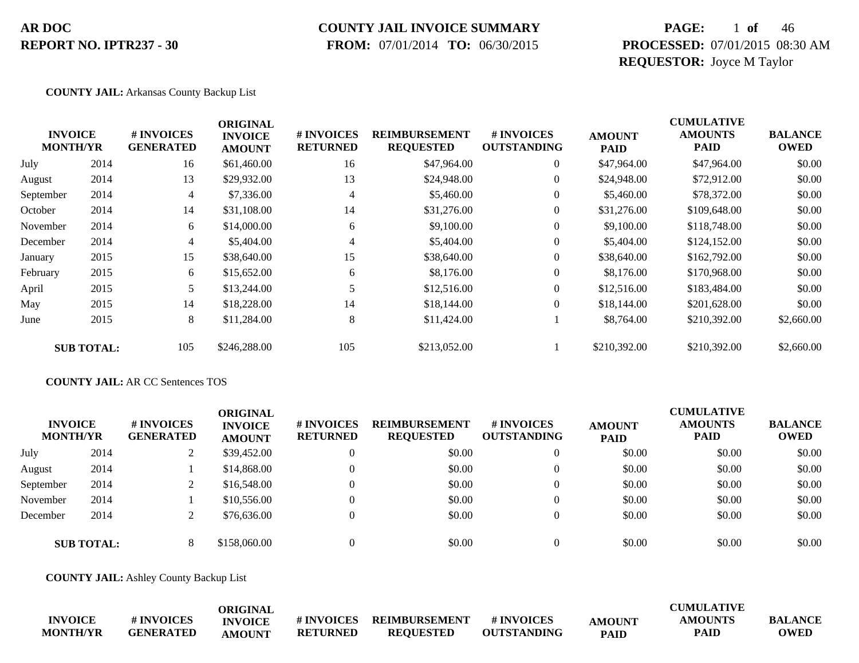### **COUNTY JAIL INVOICE SUMMARY**

 **FROM:** 07/01/2014 **TO:** 06/30/2015

### **PAGE:** 1 **of** 46 **PROCESSED:** 07/01/2015 08:30 AM **REQUESTOR:** Joyce M Taylor

#### **COUNTY JAIL:** Arkansas County Backup List

|           |                                   |                                | <b>ORIGINAL</b>                 |                               |                                          |                                  |                              | <b>CUMULATIVE</b>             |                               |
|-----------|-----------------------------------|--------------------------------|---------------------------------|-------------------------------|------------------------------------------|----------------------------------|------------------------------|-------------------------------|-------------------------------|
|           | <b>INVOICE</b><br><b>MONTH/YR</b> | # INVOICES<br><b>GENERATED</b> | <b>INVOICE</b><br><b>AMOUNT</b> | # INVOICES<br><b>RETURNED</b> | <b>REIMBURSEMENT</b><br><b>REQUESTED</b> | # INVOICES<br><b>OUTSTANDING</b> | <b>AMOUNT</b><br><b>PAID</b> | <b>AMOUNTS</b><br><b>PAID</b> | <b>BALANCE</b><br><b>OWED</b> |
| July      | 2014                              | 16                             | \$61,460.00                     | 16                            | \$47,964.00                              | $\overline{0}$                   | \$47,964.00                  | \$47,964.00                   | \$0.00                        |
| August    | 2014                              | 13                             | \$29,932.00                     | 13                            | \$24,948.00                              | $\boldsymbol{0}$                 | \$24,948.00                  | \$72,912.00                   | \$0.00                        |
| September | 2014                              | 4                              | \$7,336.00                      | 4                             | \$5,460.00                               | $\overline{0}$                   | \$5,460.00                   | \$78,372.00                   | \$0.00                        |
| October   | 2014                              | 14                             | \$31,108.00                     | 14                            | \$31,276.00                              | $\boldsymbol{0}$                 | \$31,276.00                  | \$109,648.00                  | \$0.00                        |
| November  | 2014                              | 6                              | \$14,000.00                     | 6                             | \$9,100.00                               | $\mathbf{0}$                     | \$9,100.00                   | \$118,748.00                  | \$0.00                        |
| December  | 2014                              | 4                              | \$5,404.00                      | $\overline{4}$                | \$5,404.00                               | $\overline{0}$                   | \$5,404.00                   | \$124,152.00                  | \$0.00                        |
| January   | 2015                              | 15                             | \$38,640.00                     | 15                            | \$38,640.00                              | $\overline{0}$                   | \$38,640.00                  | \$162,792.00                  | \$0.00                        |
| February  | 2015                              | 6                              | \$15,652.00                     | 6                             | \$8,176.00                               | $\overline{0}$                   | \$8,176.00                   | \$170,968.00                  | \$0.00                        |
| April     | 2015                              | 5                              | \$13,244.00                     |                               | \$12,516.00                              | $\overline{0}$                   | \$12,516.00                  | \$183,484.00                  | \$0.00                        |
| May       | 2015                              | 14                             | \$18,228.00                     | 14                            | \$18,144.00                              | $\Omega$                         | \$18,144.00                  | \$201,628.00                  | \$0.00                        |
| June      | 2015                              | 8                              | \$11,284.00                     | 8                             | \$11,424.00                              |                                  | \$8,764.00                   | \$210,392.00                  | \$2,660.00                    |
|           | <b>SUB TOTAL:</b>                 | 105                            | \$246,288.00                    | 105                           | \$213,052.00                             |                                  | \$210,392.00                 | \$210,392.00                  | \$2,660.00                    |

#### **COUNTY JAIL:** AR CC Sentences TOS

| <b>INVOICE</b><br><b>MONTH/YR</b> |                   | # INVOICES<br><b>GENERATED</b> | ORIGINAL<br><b>INVOICE</b><br><b>AMOUNT</b> | # INVOICES<br><b>RETURNED</b> | <b>REIMBURSEMENT</b><br><b>REQUESTED</b> | # INVOICES<br><b>OUTSTANDING</b> | <b>AMOUNT</b><br><b>PAID</b> | <b>CUMULATIVE</b><br><b>AMOUNTS</b><br><b>PAID</b> | <b>BALANCE</b><br><b>OWED</b> |
|-----------------------------------|-------------------|--------------------------------|---------------------------------------------|-------------------------------|------------------------------------------|----------------------------------|------------------------------|----------------------------------------------------|-------------------------------|
| July                              | 2014              |                                | \$39,452.00                                 | $\theta$                      | \$0.00                                   | $\theta$                         | \$0.00                       | \$0.00                                             | \$0.00                        |
| August                            | 2014              |                                | \$14,868.00                                 | $\theta$                      | \$0.00                                   | $\theta$                         | \$0.00                       | \$0.00                                             | \$0.00                        |
| September                         | 2014              |                                | \$16,548.00                                 | $\theta$                      | \$0.00                                   | $\theta$                         | \$0.00                       | \$0.00                                             | \$0.00                        |
| November                          | 2014              |                                | \$10,556.00                                 | $\Omega$                      | \$0.00                                   | $\theta$                         | \$0.00                       | \$0.00                                             | \$0.00                        |
| December                          | 2014              |                                | \$76,636.00                                 | $\theta$                      | \$0.00                                   | $\theta$                         | \$0.00                       | \$0.00                                             | \$0.00                        |
|                                   | <b>SUB TOTAL:</b> | 8                              | \$158,060.00                                | $\Omega$                      | \$0.00                                   | $\Omega$                         | \$0.00                       | \$0.00                                             | \$0.00                        |

**COUNTY JAIL:** Ashley County Backup List

|                 |                  | ORIGINAL       |                 |                  |                    |               | <b>CUMULATIVE</b> |                |
|-----------------|------------------|----------------|-----------------|------------------|--------------------|---------------|-------------------|----------------|
| <b>INVOICE</b>  | # INVOICES       | <b>INVOICE</b> | # INVOICES      | REIMBURSEMENT    | <b># INVOICES</b>  | <b>AMOUNT</b> | AMOUNTS           | <b>BALANCE</b> |
| <b>MONTH/YR</b> | <b>GENERATED</b> | <b>AMOUNT</b>  | <b>RETURNED</b> | <b>REOUESTED</b> | <b>OUTSTANDING</b> | <b>PAID</b>   | <b>PAID</b>       | <b>OWED</b>    |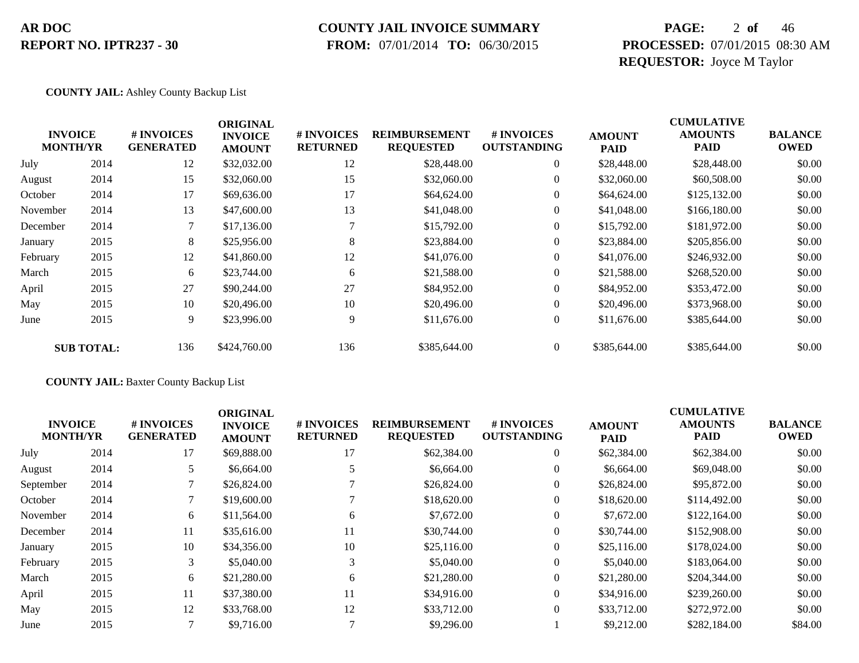### **COUNTY JAIL INVOICE SUMMARY**

 **FROM:** 07/01/2014 **TO:** 06/30/2015

### **PAGE:** 2 **of** 46 **PROCESSED:** 07/01/2015 08:30 AM **REQUESTOR:** Joyce M Taylor

**COUNTY JAIL:** Ashley County Backup List

|          |                                   |                                | <b>ORIGINAL</b>                 |                               |                                          |                                  |                              | <b>CUMULATIVE</b>             |                               |
|----------|-----------------------------------|--------------------------------|---------------------------------|-------------------------------|------------------------------------------|----------------------------------|------------------------------|-------------------------------|-------------------------------|
|          | <b>INVOICE</b><br><b>MONTH/YR</b> | # INVOICES<br><b>GENERATED</b> | <b>INVOICE</b><br><b>AMOUNT</b> | # INVOICES<br><b>RETURNED</b> | <b>REIMBURSEMENT</b><br><b>REQUESTED</b> | # INVOICES<br><b>OUTSTANDING</b> | <b>AMOUNT</b><br><b>PAID</b> | <b>AMOUNTS</b><br><b>PAID</b> | <b>BALANCE</b><br><b>OWED</b> |
| July     | 2014                              | 12                             | \$32,032.00                     | 12                            | \$28,448.00                              | $\overline{0}$                   | \$28,448.00                  | \$28,448.00                   | \$0.00                        |
| August   | 2014                              | 15                             | \$32,060.00                     | 15                            | \$32,060.00                              | $\boldsymbol{0}$                 | \$32,060.00                  | \$60,508.00                   | \$0.00                        |
| October  | 2014                              | 17                             | \$69,636.00                     | 17                            | \$64,624.00                              | $\overline{0}$                   | \$64,624.00                  | \$125,132.00                  | \$0.00                        |
| November | 2014                              | 13                             | \$47,600.00                     | 13                            | \$41,048.00                              | 0                                | \$41,048.00                  | \$166,180.00                  | \$0.00                        |
| December | 2014                              |                                | \$17,136.00                     |                               | \$15,792.00                              | $\overline{0}$                   | \$15,792.00                  | \$181,972.00                  | \$0.00                        |
| January  | 2015                              | 8                              | \$25,956.00                     | 8                             | \$23,884.00                              | $\overline{0}$                   | \$23,884.00                  | \$205,856.00                  | \$0.00                        |
| February | 2015                              | 12                             | \$41,860.00                     | 12                            | \$41,076.00                              | $\overline{0}$                   | \$41,076.00                  | \$246,932.00                  | \$0.00                        |
| March    | 2015                              | 6                              | \$23,744.00                     | 6                             | \$21,588.00                              | $\overline{0}$                   | \$21,588.00                  | \$268,520.00                  | \$0.00                        |
| April    | 2015                              | 27                             | \$90,244.00                     | 27                            | \$84,952.00                              | $\overline{0}$                   | \$84,952.00                  | \$353,472.00                  | \$0.00                        |
| May      | 2015                              | 10                             | \$20,496.00                     | 10                            | \$20,496.00                              | $\overline{0}$                   | \$20,496.00                  | \$373,968.00                  | \$0.00                        |
| June     | 2015                              | 9                              | \$23,996.00                     | 9                             | \$11,676.00                              | $\overline{0}$                   | \$11,676.00                  | \$385,644.00                  | \$0.00                        |
|          | <b>SUB TOTAL:</b>                 | 136                            | \$424,760.00                    | 136                           | \$385,644.00                             | $\theta$                         | \$385,644.00                 | \$385,644.00                  | \$0.00                        |

**COUNTY JAIL:** Baxter County Backup List

| <b>INVOICE</b><br><b>MONTH/YR</b> | # INVOICES<br><b>GENERATED</b> | <b>ORIGINAL</b><br><b>INVOICE</b><br><b>AMOUNT</b> | # INVOICES<br><b>RETURNED</b> | <b>REIMBURSEMENT</b><br><b>REQUESTED</b> | <b>#INVOICES</b><br><b>OUTSTANDING</b> | <b>AMOUNT</b><br><b>PAID</b> | <b>CUMULATIVE</b><br><b>AMOUNTS</b><br><b>PAID</b> | <b>BALANCE</b><br><b>OWED</b> |
|-----------------------------------|--------------------------------|----------------------------------------------------|-------------------------------|------------------------------------------|----------------------------------------|------------------------------|----------------------------------------------------|-------------------------------|
| 2014                              | 17                             | \$69,888.00                                        | 17                            | \$62,384.00                              | $\overline{0}$                         | \$62,384.00                  | \$62,384.00                                        | \$0.00                        |
| 2014                              | 5.                             | \$6,664.00                                         |                               | \$6,664.00                               | $\overline{0}$                         | \$6,664.00                   | \$69,048.00                                        | \$0.00                        |
| 2014                              |                                | \$26,824.00                                        |                               | \$26,824.00                              | $\overline{0}$                         | \$26,824.00                  | \$95,872.00                                        | \$0.00                        |
| 2014                              |                                | \$19,600.00                                        |                               | \$18,620.00                              | $\overline{0}$                         | \$18,620.00                  | \$114,492.00                                       | \$0.00                        |
| 2014                              | 6                              | \$11,564.00                                        | 6                             | \$7,672.00                               | $\overline{0}$                         | \$7,672.00                   | \$122,164.00                                       | \$0.00                        |
| 2014                              | 11                             | \$35,616.00                                        | 11                            | \$30,744.00                              | $\overline{0}$                         | \$30,744.00                  | \$152,908.00                                       | \$0.00                        |
| 2015                              | 10                             | \$34,356.00                                        | 10                            | \$25,116.00                              | $\overline{0}$                         | \$25,116.00                  | \$178,024.00                                       | \$0.00                        |
| 2015                              | 3                              | \$5,040.00                                         | 3                             | \$5,040.00                               | $\overline{0}$                         | \$5,040.00                   | \$183,064.00                                       | \$0.00                        |
| 2015                              | 6                              | \$21,280.00                                        | 6                             | \$21,280.00                              | $\Omega$                               | \$21,280.00                  | \$204,344.00                                       | \$0.00                        |
| 2015                              | 11                             | \$37,380.00                                        | 11                            | \$34,916.00                              | $\overline{0}$                         | \$34,916.00                  | \$239,260.00                                       | \$0.00                        |
| 2015                              | 12                             | \$33,768.00                                        | 12                            | \$33,712.00                              | $\overline{0}$                         | \$33,712.00                  | \$272,972.00                                       | \$0.00                        |
| 2015                              |                                | \$9,716.00                                         |                               | \$9,296.00                               |                                        | \$9,212.00                   | \$282,184.00                                       | \$84.00                       |
|                                   |                                |                                                    |                               |                                          |                                        |                              |                                                    |                               |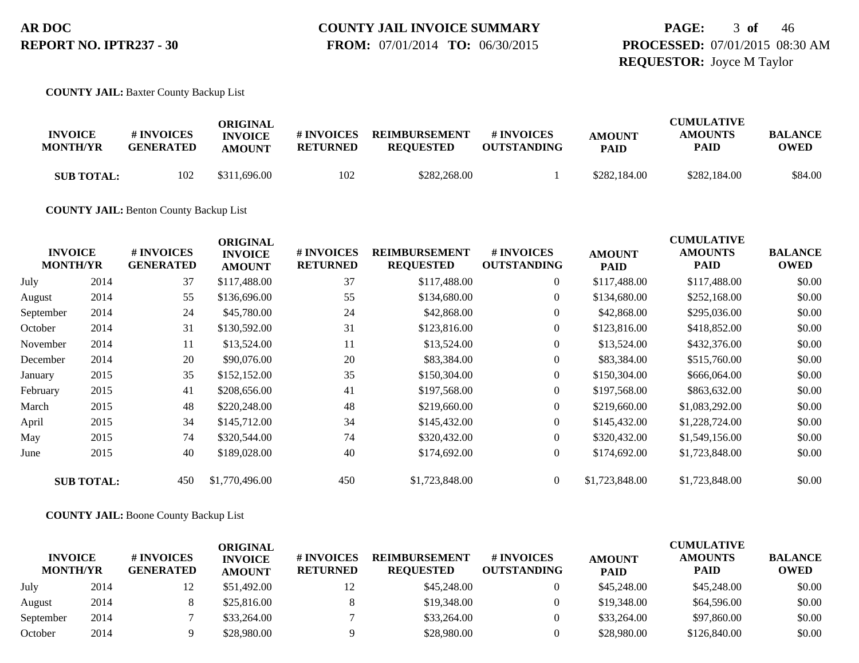### **PAGE:** 3 **of** 46 **PROCESSED:** 07/01/2015 08:30 AM **REQUESTOR:** Joyce M Taylor

**COUNTY JAIL:** Baxter County Backup List

| <b>INVOICE</b><br><b>MONTH/YR</b> | # INVOICES<br><b>GENERATED</b> | ORIGINAL<br><b>INVOICE</b><br><b>AMOUNT</b> | # INVOICES<br>RETURNED | <b>REIMBURSEMENT</b><br><b>REOUESTED</b> | <b>#INVOICES</b><br><b>OUTSTANDING</b> | <b>AMOUNT</b><br><b>PAID</b> | <b>CUMULATIVE</b><br><b>AMOUNTS</b><br>PAID | <b>BALANCE</b><br><b>OWED</b> |
|-----------------------------------|--------------------------------|---------------------------------------------|------------------------|------------------------------------------|----------------------------------------|------------------------------|---------------------------------------------|-------------------------------|
| <b>SUB TOTAL:</b>                 | 102                            | \$311,696.00                                | 102                    | \$282,268.00                             |                                        | \$282,184.00                 | \$282,184.00                                | \$84.00                       |

**COUNTY JAIL:** Benton County Backup List

|           | <b>INVOICE</b><br><b>MONTH/YR</b> | # INVOICES<br><b>GENERATED</b> | <b>ORIGINAL</b><br><b>INVOICE</b><br><b>AMOUNT</b> | # INVOICES<br><b>RETURNED</b> | <b>REIMBURSEMENT</b><br><b>REQUESTED</b> | # INVOICES<br><b>OUTSTANDING</b> | <b>AMOUNT</b><br><b>PAID</b> | <b>CUMULATIVE</b><br><b>AMOUNTS</b><br><b>PAID</b> | <b>BALANCE</b><br><b>OWED</b> |
|-----------|-----------------------------------|--------------------------------|----------------------------------------------------|-------------------------------|------------------------------------------|----------------------------------|------------------------------|----------------------------------------------------|-------------------------------|
| July      | 2014                              | 37                             | \$117,488.00                                       | 37                            | \$117,488.00                             | $\boldsymbol{0}$                 | \$117,488.00                 | \$117,488.00                                       | \$0.00                        |
| August    | 2014                              | 55                             | \$136,696.00                                       | 55                            | \$134,680.00                             | $\overline{0}$                   | \$134,680.00                 | \$252,168.00                                       | \$0.00                        |
| September | 2014                              | 24                             | \$45,780.00                                        | 24                            | \$42,868.00                              | $\overline{0}$                   | \$42,868.00                  | \$295,036.00                                       | \$0.00                        |
| October   | 2014                              | 31                             | \$130,592.00                                       | 31                            | \$123,816.00                             | $\boldsymbol{0}$                 | \$123,816.00                 | \$418,852.00                                       | \$0.00                        |
| November  | 2014                              | 11                             | \$13,524.00                                        | 11                            | \$13,524.00                              | $\boldsymbol{0}$                 | \$13,524.00                  | \$432,376.00                                       | \$0.00                        |
| December  | 2014                              | 20                             | \$90,076.00                                        | 20                            | \$83,384.00                              | $\boldsymbol{0}$                 | \$83,384.00                  | \$515,760.00                                       | \$0.00                        |
| January   | 2015                              | 35                             | \$152,152.00                                       | 35                            | \$150,304.00                             | $\overline{0}$                   | \$150,304.00                 | \$666,064.00                                       | \$0.00                        |
| February  | 2015                              | 41                             | \$208,656.00                                       | 41                            | \$197,568.00                             | $\boldsymbol{0}$                 | \$197,568.00                 | \$863,632.00                                       | \$0.00                        |
| March     | 2015                              | 48                             | \$220,248.00                                       | 48                            | \$219,660.00                             | $\overline{0}$                   | \$219,660.00                 | \$1,083,292.00                                     | \$0.00                        |
| April     | 2015                              | 34                             | \$145,712.00                                       | 34                            | \$145,432.00                             | $\overline{0}$                   | \$145,432.00                 | \$1,228,724.00                                     | \$0.00                        |
| May       | 2015                              | 74                             | \$320,544.00                                       | 74                            | \$320,432.00                             | $\boldsymbol{0}$                 | \$320,432.00                 | \$1,549,156.00                                     | \$0.00                        |
| June      | 2015                              | 40                             | \$189,028.00                                       | 40                            | \$174,692.00                             | $\mathbf{0}$                     | \$174,692.00                 | \$1,723,848.00                                     | \$0.00                        |
|           | <b>SUB TOTAL:</b>                 | 450                            | \$1,770,496.00                                     | 450                           | \$1,723,848.00                           | $\overline{0}$                   | \$1,723,848.00               | \$1,723,848.00                                     | \$0.00                        |

**COUNTY JAIL:** Boone County Backup List

|                                   |      |                                | ORIGINAL                        |                                      |                                          |                                         |                              | <b>CUMULATIVE</b>             |                               |
|-----------------------------------|------|--------------------------------|---------------------------------|--------------------------------------|------------------------------------------|-----------------------------------------|------------------------------|-------------------------------|-------------------------------|
| <b>INVOICE</b><br><b>MONTH/YR</b> |      | # INVOICES<br><b>GENERATED</b> | <b>INVOICE</b><br><b>AMOUNT</b> | <b># INVOICES</b><br><b>RETURNED</b> | <b>REIMBURSEMENT</b><br><b>REOUESTED</b> | <b># INVOICES</b><br><b>OUTSTANDING</b> | <b>AMOUNT</b><br><b>PAID</b> | <b>AMOUNTS</b><br><b>PAID</b> | <b>BALANCE</b><br><b>OWED</b> |
| July                              | 2014 | 12                             | \$51,492.00                     | 12                                   | \$45,248.00                              |                                         | \$45,248.00                  | \$45,248,00                   | \$0.00                        |
| August                            | 2014 |                                | \$25,816.00                     |                                      | \$19,348.00                              |                                         | \$19,348.00                  | \$64,596.00                   | \$0.00                        |
| September                         | 2014 |                                | \$33,264.00                     |                                      | \$33,264.00                              |                                         | \$33,264.00                  | \$97,860.00                   | \$0.00                        |
| October                           | 2014 |                                | \$28,980.00                     |                                      | \$28,980.00                              |                                         | \$28,980.00                  | \$126,840.00                  | \$0.00                        |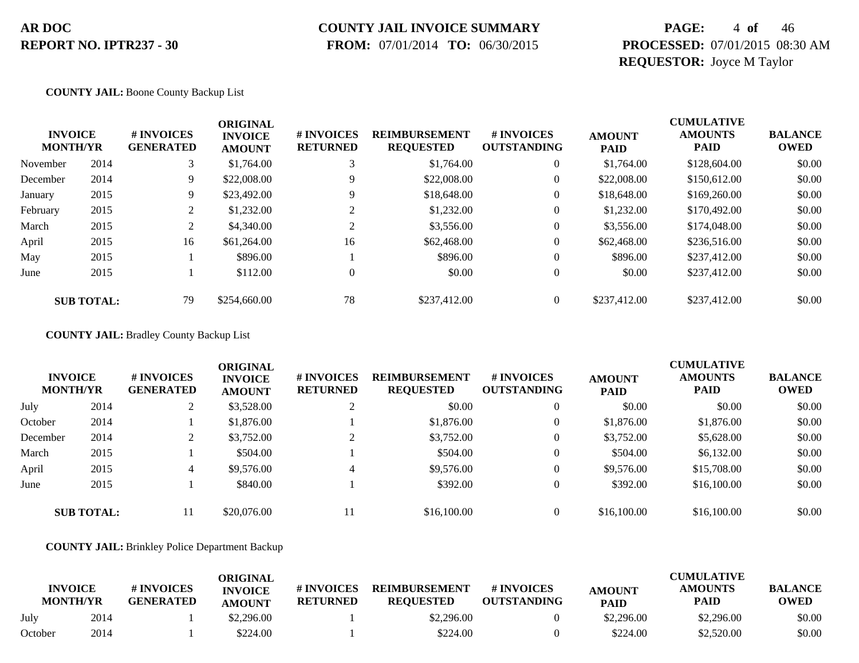# **COUNTY JAIL INVOICE SUMMARY**

 **FROM:** 07/01/2014 **TO:** 06/30/2015

### **PAGE:** 4 **of** 46 **PROCESSED:** 07/01/2015 08:30 AM **REQUESTOR:** Joyce M Taylor

#### **COUNTY JAIL:** Boone County Backup List

|          | <b>INVOICE</b><br><b>MONTH/YR</b> | # INVOICES<br><b>GENERATED</b> | <b>ORIGINAL</b><br><b>INVOICE</b><br><b>AMOUNT</b> | # INVOICES<br><b>RETURNED</b> | <b>REIMBURSEMENT</b><br><b>REQUESTED</b> | # INVOICES<br><b>OUTSTANDING</b> | <b>AMOUNT</b><br><b>PAID</b> | <b>CUMULATIVE</b><br><b>AMOUNTS</b><br><b>PAID</b> | <b>BALANCE</b><br><b>OWED</b> |
|----------|-----------------------------------|--------------------------------|----------------------------------------------------|-------------------------------|------------------------------------------|----------------------------------|------------------------------|----------------------------------------------------|-------------------------------|
| November | 2014                              | 3                              | \$1,764.00                                         | 3                             | \$1,764.00                               | $\theta$                         | \$1,764.00                   | \$128,604.00                                       | \$0.00                        |
| December | 2014                              | 9.                             | \$22,008.00                                        | 9                             | \$22,008.00                              | $\theta$                         | \$22,008.00                  | \$150,612.00                                       | \$0.00                        |
| January  | 2015                              | 9.                             | \$23,492.00                                        | Q                             | \$18,648.00                              | 0                                | \$18,648.00                  | \$169,260.00                                       | \$0.00                        |
| February | 2015                              | 2                              | \$1,232.00                                         | $\bigcap$                     | \$1,232.00                               | $\theta$                         | \$1,232.00                   | \$170,492.00                                       | \$0.00                        |
| March    | 2015                              | 2                              | \$4,340.00                                         | $\sim$                        | \$3,556.00                               | $\theta$                         | \$3,556.00                   | \$174,048.00                                       | \$0.00                        |
| April    | 2015                              | 16                             | \$61,264.00                                        | 16                            | \$62,468.00                              | $\boldsymbol{0}$                 | \$62,468.00                  | \$236,516.00                                       | \$0.00                        |
| May      | 2015                              |                                | \$896.00                                           |                               | \$896.00                                 | $\overline{0}$                   | \$896.00                     | \$237,412.00                                       | \$0.00                        |
| June     | 2015                              |                                | \$112.00                                           | $\Omega$                      | \$0.00                                   | $\overline{0}$                   | \$0.00                       | \$237,412.00                                       | \$0.00                        |
|          | <b>SUB TOTAL:</b>                 | 79                             | \$254,660.00                                       | 78                            | \$237,412.00                             | 0                                | \$237,412,00                 | \$237,412.00                                       | \$0.00                        |

**COUNTY JAIL:** Bradley County Backup List

| <b>INVOICE</b><br><b>MONTH/YR</b> |                   | # INVOICES<br><b>GENERATED</b> | <b>ORIGINAL</b><br><b>INVOICE</b><br><b>AMOUNT</b> | <b># INVOICES</b><br><b>RETURNED</b> | <b>REIMBURSEMENT</b><br><b>REQUESTED</b> | # INVOICES<br><b>OUTSTANDING</b> | <b>AMOUNT</b><br><b>PAID</b> | <b>CUMULATIVE</b><br><b>AMOUNTS</b><br><b>PAID</b> | <b>BALANCE</b><br><b>OWED</b> |
|-----------------------------------|-------------------|--------------------------------|----------------------------------------------------|--------------------------------------|------------------------------------------|----------------------------------|------------------------------|----------------------------------------------------|-------------------------------|
| July                              | 2014              |                                | \$3,528.00                                         |                                      | \$0.00                                   | $\overline{0}$                   | \$0.00                       | \$0.00                                             | \$0.00                        |
| October                           | 2014              |                                | \$1,876.00                                         |                                      | \$1,876.00                               | $\overline{0}$                   | \$1,876.00                   | \$1,876.00                                         | \$0.00                        |
| December                          | 2014              | ◠<br>∠                         | \$3,752.00                                         |                                      | \$3,752.00                               | $\overline{0}$                   | \$3,752.00                   | \$5,628.00                                         | \$0.00                        |
| March                             | 2015              |                                | \$504.00                                           |                                      | \$504.00                                 | $\overline{0}$                   | \$504.00                     | \$6,132.00                                         | \$0.00                        |
| April                             | 2015              | 4                              | \$9,576.00                                         | 4                                    | \$9,576.00                               |                                  | \$9,576.00                   | \$15,708.00                                        | \$0.00                        |
| June                              | 2015              |                                | \$840.00                                           |                                      | \$392.00                                 | $\overline{0}$                   | \$392.00                     | \$16,100.00                                        | \$0.00                        |
|                                   | <b>SUB TOTAL:</b> |                                | \$20,076.00                                        | 11                                   | \$16,100.00                              |                                  | \$16,100.00                  | \$16,100.00                                        | \$0.00                        |

**COUNTY JAIL:** Brinkley Police Department Backup

| <b>INVOICE</b><br><b>MONTH/YR</b> |      | # INVOICES<br><b>GENERATED</b> | ORIGINAL<br><b>INVOICE</b><br><b>AMOUNT</b> | # INVOICES<br><b>RETURNED</b> | <b>REIMBURSEMENT</b><br><b>REOUESTED</b> | <b>#INVOICES</b><br><b>OUTSTANDING</b> | <b>AMOUNT</b><br><b>PAID</b> | <b>CUMULATIVE</b><br><b>AMOUNTS</b><br><b>PAID</b> | <b>BALANCE</b><br><b>OWED</b> |
|-----------------------------------|------|--------------------------------|---------------------------------------------|-------------------------------|------------------------------------------|----------------------------------------|------------------------------|----------------------------------------------------|-------------------------------|
| July                              | 2014 |                                | \$2,296.00                                  |                               | \$2,296.00                               |                                        | \$2,296.00                   | \$2,296.00                                         | \$0.00                        |
| October                           | 2014 |                                | \$224.00                                    |                               | \$224.00                                 |                                        | \$224.00                     | \$2,520.00                                         | \$0.00                        |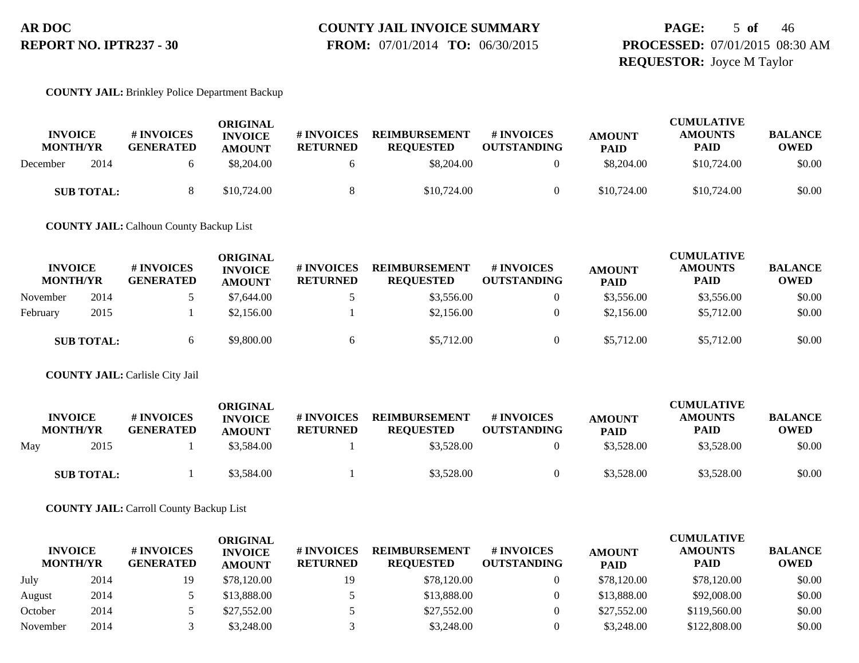#### **COUNTY JAIL INVOICE SUMMARY FROM:** 07/01/2014 **TO:** 06/30/2015

### **PAGE:** 5 **of** 46 **PROCESSED:** 07/01/2015 08:30 AM **REQUESTOR:** Joyce M Taylor

#### **COUNTY JAIL:** Brinkley Police Department Backup

| <b>INVOICE</b><br><b>MONTH/YR</b> | # INVOICES<br><b>GENERATED</b> | ORIGINAL<br><b>INVOICE</b><br><b>AMOUNT</b> | <b># INVOICES</b><br><b>RETURNED</b> | <b>REIMBURSEMENT</b><br><b>REOUESTED</b> | # INVOICES<br><b>OUTSTANDING</b> | <b>AMOUNT</b><br><b>PAID</b> | <b>CUMULATIVE</b><br><b>AMOUNTS</b><br><b>PAID</b> | <b>BALANCE</b><br><b>OWED</b> |
|-----------------------------------|--------------------------------|---------------------------------------------|--------------------------------------|------------------------------------------|----------------------------------|------------------------------|----------------------------------------------------|-------------------------------|
| 2014<br>December                  |                                | \$8,204.00                                  |                                      | \$8,204.00                               |                                  | \$8,204.00                   | \$10,724.00                                        | \$0.00                        |
| <b>SUB TOTAL:</b>                 |                                | \$10,724.00                                 |                                      | \$10,724.00                              |                                  | \$10,724.00                  | \$10,724.00                                        | \$0.00                        |

**COUNTY JAIL:** Calhoun County Backup List

| <b>INVOICE</b><br><b>MONTH/YR</b> |                   | # INVOICES<br><b>GENERATED</b> | ORIGINAL<br><b>INVOICE</b><br><b>AMOUNT</b> | <b>#INVOICES</b><br><b>RETURNED</b> | <b>REIMBURSEMENT</b><br><b>REQUESTED</b> | # INVOICES<br><b>OUTSTANDING</b> | <b>AMOUNT</b><br><b>PAID</b> | <b>CUMULATIVE</b><br><b>AMOUNTS</b><br>PAID | <b>BALANCE</b><br><b>OWED</b> |
|-----------------------------------|-------------------|--------------------------------|---------------------------------------------|-------------------------------------|------------------------------------------|----------------------------------|------------------------------|---------------------------------------------|-------------------------------|
| November                          | 2014              |                                | \$7,644.00                                  |                                     | \$3,556.00                               |                                  | \$3,556.00                   | \$3,556.00                                  | \$0.00                        |
| February                          | 2015              |                                | \$2,156.00                                  |                                     | \$2,156.00                               |                                  | \$2,156.00                   | \$5,712.00                                  | \$0.00                        |
|                                   | <b>SUB TOTAL:</b> |                                | \$9,800.00                                  |                                     | \$5,712.00                               |                                  | \$5,712.00                   | \$5,712.00                                  | \$0.00                        |

#### **COUNTY JAIL:** Carlisle City Jail

|     | <b>INVOICE</b><br><b>MONTH/YR</b> | # INVOICES<br><b>GENERATED</b> | <b>ORIGINAL</b><br><b>INVOICE</b><br><b>AMOUNT</b> | # INVOICES<br><b>RETURNED</b> | <b>REIMBURSEMENT</b><br><b>REOUESTED</b> | # INVOICES<br><b>OUTSTANDING</b> | <b>AMOUNT</b><br><b>PAID</b> | <b>CUMULATIVE</b><br><b>AMOUNTS</b><br><b>PAID</b> | <b>BALANCE</b><br><b>OWED</b> |
|-----|-----------------------------------|--------------------------------|----------------------------------------------------|-------------------------------|------------------------------------------|----------------------------------|------------------------------|----------------------------------------------------|-------------------------------|
| May | 2015                              |                                | \$3,584.00                                         |                               | \$3,528.00                               |                                  | \$3,528.00                   | \$3,528.00                                         | \$0.00                        |
|     | <b>SUB TOTAL:</b>                 |                                | \$3,584.00                                         |                               | \$3,528.00                               |                                  | \$3,528.00                   | \$3,528.00                                         | \$0.00                        |

**COUNTY JAIL:** Carroll County Backup List

| <b>INVOICE</b><br><b>MONTH/YR</b> |      | # INVOICES<br><b>GENERATED</b> | <b>ORIGINAL</b><br><b>INVOICE</b><br><b>AMOUNT</b> | # INVOICES<br><b>RETURNED</b> | <b>REIMBURSEMENT</b><br><b>REOUESTED</b> | # INVOICES<br><b>OUTSTANDING</b> | <b>AMOUNT</b><br><b>PAID</b> | <b>CUMULATIVE</b><br><b>AMOUNTS</b><br><b>PAID</b> | <b>BALANCE</b><br><b>OWED</b> |
|-----------------------------------|------|--------------------------------|----------------------------------------------------|-------------------------------|------------------------------------------|----------------------------------|------------------------------|----------------------------------------------------|-------------------------------|
| July                              | 2014 | 19                             | \$78,120.00                                        | 19                            | \$78,120.00                              |                                  | \$78,120.00                  | \$78,120.00                                        | \$0.00                        |
| August                            | 2014 |                                | \$13,888.00                                        |                               | \$13,888.00                              |                                  | \$13,888.00                  | \$92,008.00                                        | \$0.00                        |
| October                           | 2014 |                                | \$27,552.00                                        |                               | \$27,552.00                              |                                  | \$27,552.00                  | \$119,560.00                                       | \$0.00                        |
| November                          | 2014 |                                | \$3,248.00                                         |                               | \$3,248,00                               |                                  | \$3,248.00                   | \$122,808.00                                       | \$0.00                        |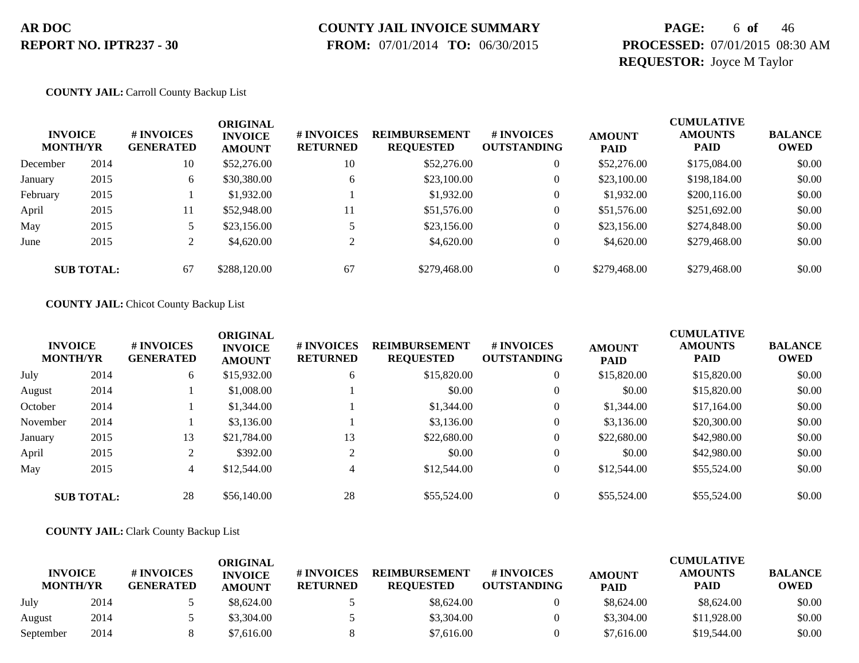# **COUNTY JAIL INVOICE SUMMARY**

 **FROM:** 07/01/2014 **TO:** 06/30/2015

### **PAGE:** 6 **of** 46 **PROCESSED:** 07/01/2015 08:30 AM **REQUESTOR:** Joyce M Taylor

#### **COUNTY JAIL:** Carroll County Backup List

| <b>INVOICE</b><br><b>MONTH/YR</b> |                   | # INVOICES<br><b>GENERATED</b> | ORIGINAL<br><b>INVOICE</b><br><b>AMOUNT</b> | <b># INVOICES</b><br><b>RETURNED</b> | <b>REIMBURSEMENT</b><br><b>REQUESTED</b> | <b>#INVOICES</b><br><b>OUTSTANDING</b> | <b>AMOUNT</b><br><b>PAID</b> | <b>CUMULATIVE</b><br><b>AMOUNTS</b><br><b>PAID</b> | <b>BALANCE</b><br><b>OWED</b> |
|-----------------------------------|-------------------|--------------------------------|---------------------------------------------|--------------------------------------|------------------------------------------|----------------------------------------|------------------------------|----------------------------------------------------|-------------------------------|
| December                          | 2014              | 10                             | \$52,276.00                                 | 10                                   | \$52,276.00                              | $\overline{0}$                         | \$52,276.00                  | \$175,084.00                                       | \$0.00                        |
| January                           | 2015              | 6                              | \$30,380.00                                 | 6                                    | \$23,100.00                              | $\theta$                               | \$23,100.00                  | \$198,184.00                                       | \$0.00                        |
| February                          | 2015              |                                | \$1,932.00                                  |                                      | \$1,932.00                               | $\overline{0}$                         | \$1,932.00                   | \$200,116.00                                       | \$0.00                        |
| April                             | 2015              | 11                             | \$52,948.00                                 | 11                                   | \$51,576.00                              | $\overline{0}$                         | \$51,576.00                  | \$251,692.00                                       | \$0.00                        |
| May                               | 2015              | 5                              | \$23,156.00                                 |                                      | \$23,156.00                              | $\overline{0}$                         | \$23,156.00                  | \$274,848.00                                       | \$0.00                        |
| June                              | 2015              | $\gamma$<br>∠                  | \$4,620.00                                  |                                      | \$4,620.00                               | $\overline{0}$                         | \$4,620.00                   | \$279,468.00                                       | \$0.00                        |
|                                   | <b>SUB TOTAL:</b> | 67                             | \$288,120.00                                | 67                                   | \$279,468.00                             | $\Omega$                               | \$279,468.00                 | \$279,468.00                                       | \$0.00                        |

#### **COUNTY JAIL:** Chicot County Backup List

| <b>INVOICE</b><br><b>MONTH/YR</b> |                   | # INVOICES<br><b>GENERATED</b> | <b>ORIGINAL</b><br><b>INVOICE</b><br><b>AMOUNT</b> | # INVOICES<br><b>RETURNED</b> | <b>REIMBURSEMENT</b><br><b>REQUESTED</b> | <b># INVOICES</b><br><b>OUTSTANDING</b> | <b>AMOUNT</b><br><b>PAID</b> | <b>CUMULATIVE</b><br><b>AMOUNTS</b><br><b>PAID</b> | <b>BALANCE</b><br><b>OWED</b> |
|-----------------------------------|-------------------|--------------------------------|----------------------------------------------------|-------------------------------|------------------------------------------|-----------------------------------------|------------------------------|----------------------------------------------------|-------------------------------|
| July                              | 2014              | 6                              | \$15,932.00                                        | 6                             | \$15,820.00                              | $\overline{0}$                          | \$15,820.00                  | \$15,820.00                                        | \$0.00                        |
| August                            | 2014              |                                | \$1,008.00                                         |                               | \$0.00                                   | $\overline{0}$                          | \$0.00                       | \$15,820.00                                        | \$0.00                        |
| October                           | 2014              |                                | \$1,344.00                                         |                               | \$1,344.00                               | $\overline{0}$                          | \$1,344.00                   | \$17,164.00                                        | \$0.00                        |
| November                          | 2014              |                                | \$3,136.00                                         |                               | \$3,136.00                               | $\overline{0}$                          | \$3,136.00                   | \$20,300.00                                        | \$0.00                        |
| January                           | 2015              | 13                             | \$21,784.00                                        | 13                            | \$22,680.00                              | $\overline{0}$                          | \$22,680.00                  | \$42,980.00                                        | \$0.00                        |
| April                             | 2015              |                                | \$392.00                                           | 2                             | \$0.00                                   | $\overline{0}$                          | \$0.00                       | \$42,980.00                                        | \$0.00                        |
| May                               | 2015              | 4                              | \$12,544.00                                        | 4                             | \$12,544.00                              | $\overline{0}$                          | \$12,544.00                  | \$55,524.00                                        | \$0.00                        |
|                                   | <b>SUB TOTAL:</b> | 28                             | \$56,140.00                                        | 28                            | \$55,524.00                              | $\Omega$                                | \$55,524.00                  | \$55,524.00                                        | \$0.00                        |

#### **COUNTY JAIL:** Clark County Backup List

|                                   |      |                                | ORIGINAL                        |                               |                                          |                                  |                              | <b>CUMULATIVE</b>             |                               |
|-----------------------------------|------|--------------------------------|---------------------------------|-------------------------------|------------------------------------------|----------------------------------|------------------------------|-------------------------------|-------------------------------|
| <b>INVOICE</b><br><b>MONTH/YR</b> |      | # INVOICES<br><b>GENERATED</b> | <b>INVOICE</b><br><b>AMOUNT</b> | # INVOICES<br><b>RETURNED</b> | <b>REIMBURSEMENT</b><br><b>REOUESTED</b> | # INVOICES<br><b>OUTSTANDING</b> | <b>AMOUNT</b><br><b>PAID</b> | <b>AMOUNTS</b><br><b>PAID</b> | <b>BALANCE</b><br><b>OWED</b> |
| July                              | 2014 |                                | \$8,624.00                      |                               | \$8,624.00                               |                                  | \$8,624.00                   | \$8,624.00                    | \$0.00                        |
| August                            | 2014 |                                | \$3,304.00                      |                               | \$3,304.00                               |                                  | \$3,304.00                   | \$11,928.00                   | \$0.00                        |
| September                         | 2014 |                                | \$7.616.00                      |                               | \$7,616.00                               |                                  | \$7,616.00                   | \$19,544.00                   | \$0.00                        |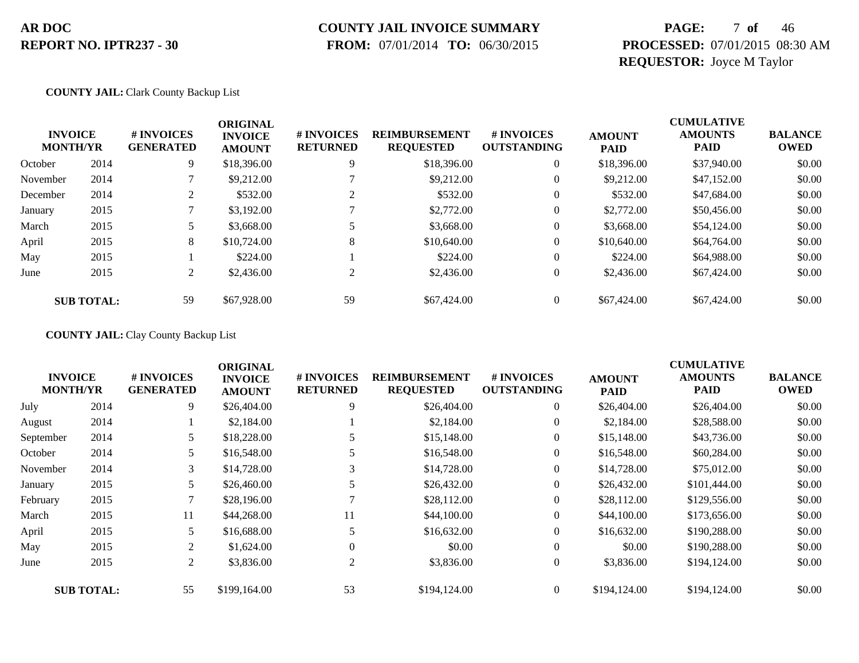### **COUNTY JAIL INVOICE SUMMARY**

 **FROM:** 07/01/2014 **TO:** 06/30/2015

### **PAGE:** 7 **of** 46 **PROCESSED:** 07/01/2015 08:30 AM **REQUESTOR:** Joyce M Taylor

#### **COUNTY JAIL:** Clark County Backup List

|          | <b>INVOICE</b><br><b>MONTH/YR</b> | # INVOICES<br><b>GENERATED</b>  | <b>ORIGINAL</b><br><b>INVOICE</b><br><b>AMOUNT</b> | # INVOICES<br><b>RETURNED</b> | <b>REIMBURSEMENT</b><br><b>REQUESTED</b> | # INVOICES<br><b>OUTSTANDING</b> | <b>AMOUNT</b><br><b>PAID</b> | <b>CUMULATIVE</b><br><b>AMOUNTS</b><br><b>PAID</b> | <b>BALANCE</b><br><b>OWED</b> |
|----------|-----------------------------------|---------------------------------|----------------------------------------------------|-------------------------------|------------------------------------------|----------------------------------|------------------------------|----------------------------------------------------|-------------------------------|
| October  | 2014                              | 9                               | \$18,396.00                                        | 9                             | \$18,396.00                              | $\overline{0}$                   | \$18,396.00                  | \$37,940.00                                        | \$0.00                        |
| November | 2014                              |                                 | \$9,212.00                                         |                               | \$9,212.00                               | $\boldsymbol{0}$                 | \$9,212.00                   | \$47,152.00                                        | \$0.00                        |
| December | 2014                              | <sup><math>\supset</math></sup> | \$532.00                                           |                               | \$532.00                                 | 0                                | \$532.00                     | \$47,684.00                                        | \$0.00                        |
| January  | 2015                              |                                 | \$3,192.00                                         |                               | \$2,772.00                               | 0                                | \$2,772.00                   | \$50,456.00                                        | \$0.00                        |
| March    | 2015                              |                                 | \$3,668.00                                         |                               | \$3,668.00                               | 0                                | \$3,668.00                   | \$54,124.00                                        | \$0.00                        |
| April    | 2015                              | 8                               | \$10,724.00                                        | 8                             | \$10,640.00                              | 0                                | \$10,640.00                  | \$64,764.00                                        | \$0.00                        |
| May      | 2015                              |                                 | \$224.00                                           |                               | \$224.00                                 | $\mathbf{0}$                     | \$224.00                     | \$64,988,00                                        | \$0.00                        |
| June     | 2015                              | 2                               | \$2,436.00                                         | 2                             | \$2,436.00                               | $\mathbf{0}$                     | \$2,436.00                   | \$67,424.00                                        | \$0.00                        |
|          | <b>SUB TOTAL:</b>                 | 59                              | \$67,928.00                                        | 59                            | \$67,424.00                              | $\Omega$                         | \$67,424.00                  | \$67,424.00                                        | \$0.00                        |

#### **COUNTY JAIL:** Clay County Backup List

|           |                                   |                                | <b>ORIGINAL</b>                 |                               |                                          |                                  |                              | <b>CUMULATIVE</b>             |                               |
|-----------|-----------------------------------|--------------------------------|---------------------------------|-------------------------------|------------------------------------------|----------------------------------|------------------------------|-------------------------------|-------------------------------|
|           | <b>INVOICE</b><br><b>MONTH/YR</b> | # INVOICES<br><b>GENERATED</b> | <b>INVOICE</b><br><b>AMOUNT</b> | # INVOICES<br><b>RETURNED</b> | <b>REIMBURSEMENT</b><br><b>REQUESTED</b> | # INVOICES<br><b>OUTSTANDING</b> | <b>AMOUNT</b><br><b>PAID</b> | <b>AMOUNTS</b><br><b>PAID</b> | <b>BALANCE</b><br><b>OWED</b> |
| July      | 2014                              | 9                              | \$26,404.00                     | 9                             | \$26,404.00                              | $\overline{0}$                   | \$26,404.00                  | \$26,404.00                   | \$0.00                        |
| August    | 2014                              |                                | \$2,184.00                      |                               | \$2,184.00                               | 0                                | \$2,184.00                   | \$28,588.00                   | \$0.00                        |
| September | 2014                              |                                | \$18,228.00                     |                               | \$15,148.00                              | $\overline{0}$                   | \$15,148.00                  | \$43,736.00                   | \$0.00                        |
| October   | 2014                              |                                | \$16,548.00                     |                               | \$16,548.00                              | $\overline{0}$                   | \$16,548.00                  | \$60,284.00                   | \$0.00                        |
| November  | 2014                              | 3                              | \$14,728.00                     | 3                             | \$14,728.00                              | $\overline{0}$                   | \$14,728.00                  | \$75,012.00                   | \$0.00                        |
| January   | 2015                              | 5                              | \$26,460.00                     |                               | \$26,432.00                              | $\overline{0}$                   | \$26,432.00                  | \$101,444.00                  | \$0.00                        |
| February  | 2015                              | 7                              | \$28,196.00                     |                               | \$28,112.00                              | $\overline{0}$                   | \$28,112.00                  | \$129,556.00                  | \$0.00                        |
| March     | 2015                              | 11                             | \$44,268.00                     | 11                            | \$44,100.00                              | $\overline{0}$                   | \$44,100.00                  | \$173,656.00                  | \$0.00                        |
| April     | 2015                              |                                | \$16,688.00                     |                               | \$16,632.00                              | $\overline{0}$                   | \$16,632.00                  | \$190,288.00                  | \$0.00                        |
| May       | 2015                              | 2                              | \$1,624.00                      | $\mathbf{0}$                  | \$0.00                                   | $\overline{0}$                   | \$0.00                       | \$190,288.00                  | \$0.00                        |
| June      | 2015                              | 2                              | \$3,836.00                      | 2                             | \$3,836.00                               | $\overline{0}$                   | \$3,836.00                   | \$194,124.00                  | \$0.00                        |
|           | <b>SUB TOTAL:</b>                 | 55                             | \$199,164.00                    | 53                            | \$194,124.00                             | $\overline{0}$                   | \$194,124.00                 | \$194,124.00                  | \$0.00                        |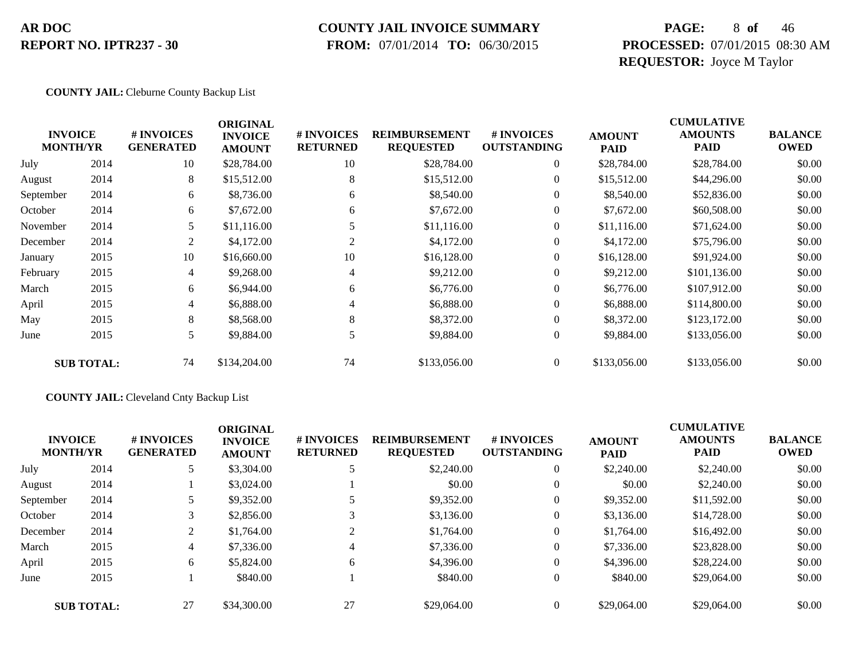### **COUNTY JAIL INVOICE SUMMARY**

 **FROM:** 07/01/2014 **TO:** 06/30/2015

### **PAGE:** 8 **of** 46 **PROCESSED:** 07/01/2015 08:30 AM **REQUESTOR:** Joyce M Taylor

#### **COUNTY JAIL:** Cleburne County Backup List

|           | <b>INVOICE</b><br><b>MONTH/YR</b> | # INVOICES<br><b>GENERATED</b> | <b>ORIGINAL</b><br><b>INVOICE</b><br><b>AMOUNT</b> | # INVOICES<br><b>RETURNED</b> | <b>REIMBURSEMENT</b><br><b>REQUESTED</b> | # INVOICES<br><b>OUTSTANDING</b> | <b>AMOUNT</b><br><b>PAID</b> | <b>CUMULATIVE</b><br><b>AMOUNTS</b><br><b>PAID</b> | <b>BALANCE</b><br><b>OWED</b> |
|-----------|-----------------------------------|--------------------------------|----------------------------------------------------|-------------------------------|------------------------------------------|----------------------------------|------------------------------|----------------------------------------------------|-------------------------------|
| July      | 2014                              | 10                             | \$28,784.00                                        | 10                            | \$28,784.00                              | $\boldsymbol{0}$                 | \$28,784.00                  | \$28,784.00                                        | \$0.00                        |
| August    | 2014                              | 8                              | \$15,512.00                                        | 8                             | \$15,512.00                              | $\overline{0}$                   | \$15,512.00                  | \$44,296.00                                        | \$0.00                        |
| September | 2014                              | 6                              | \$8,736.00                                         | 6                             | \$8,540.00                               | $\overline{0}$                   | \$8,540.00                   | \$52,836.00                                        | \$0.00                        |
| October   | 2014                              | 6                              | \$7,672.00                                         | 6                             | \$7,672.00                               | $\overline{0}$                   | \$7,672.00                   | \$60,508.00                                        | \$0.00                        |
| November  | 2014                              | 5                              | \$11,116.00                                        |                               | \$11,116.00                              | $\boldsymbol{0}$                 | \$11,116.00                  | \$71,624.00                                        | \$0.00                        |
| December  | 2014                              | 2                              | \$4,172.00                                         | $\overline{c}$                | \$4,172.00                               | $\overline{0}$                   | \$4,172.00                   | \$75,796.00                                        | \$0.00                        |
| January   | 2015                              | 10                             | \$16,660.00                                        | 10                            | \$16,128.00                              | $\overline{0}$                   | \$16,128.00                  | \$91,924.00                                        | \$0.00                        |
| February  | 2015                              | 4                              | \$9,268.00                                         | 4                             | \$9,212.00                               | $\boldsymbol{0}$                 | \$9,212.00                   | \$101,136.00                                       | \$0.00                        |
| March     | 2015                              | 6                              | \$6,944.00                                         | 6                             | \$6,776.00                               | $\boldsymbol{0}$                 | \$6,776.00                   | \$107,912.00                                       | \$0.00                        |
| April     | 2015                              | 4                              | \$6,888.00                                         | 4                             | \$6,888.00                               | $\overline{0}$                   | \$6,888.00                   | \$114,800.00                                       | \$0.00                        |
| May       | 2015                              | 8                              | \$8,568.00                                         | 8                             | \$8,372.00                               | $\overline{0}$                   | \$8,372.00                   | \$123,172.00                                       | \$0.00                        |
| June      | 2015                              | 5                              | \$9,884.00                                         | 5                             | \$9,884.00                               | $\boldsymbol{0}$                 | \$9,884.00                   | \$133,056.00                                       | \$0.00                        |
|           | <b>SUB TOTAL:</b>                 | 74                             | \$134,204.00                                       | 74                            | \$133,056.00                             | $\overline{0}$                   | \$133,056.00                 | \$133,056.00                                       | \$0.00                        |

#### **COUNTY JAIL:** Cleveland Cnty Backup List

| <b>INVOICE</b><br><b>MONTH/YR</b> |                   | # INVOICES<br><b>GENERATED</b> | <b>ORIGINAL</b><br><b>INVOICE</b><br><b>AMOUNT</b> | # INVOICES<br><b>RETURNED</b> | <b>REIMBURSEMENT</b><br><b>REQUESTED</b> | <b>#INVOICES</b><br><b>OUTSTANDING</b> | <b>AMOUNT</b><br><b>PAID</b> | <b>CUMULATIVE</b><br><b>AMOUNTS</b><br><b>PAID</b> | <b>BALANCE</b><br><b>OWED</b> |
|-----------------------------------|-------------------|--------------------------------|----------------------------------------------------|-------------------------------|------------------------------------------|----------------------------------------|------------------------------|----------------------------------------------------|-------------------------------|
| July                              | 2014              | 5                              | \$3,304.00                                         |                               | \$2,240.00                               | $\overline{0}$                         | \$2,240.00                   | \$2,240.00                                         | \$0.00                        |
| August                            | 2014              |                                | \$3,024.00                                         |                               | \$0.00                                   | $\overline{0}$                         | \$0.00                       | \$2,240.00                                         | \$0.00                        |
| September                         | 2014              |                                | \$9,352.00                                         |                               | \$9,352.00                               | $\overline{0}$                         | \$9,352.00                   | \$11,592.00                                        | \$0.00                        |
| October                           | 2014              |                                | \$2,856.00                                         |                               | \$3,136.00                               | $\overline{0}$                         | \$3,136.00                   | \$14,728.00                                        | \$0.00                        |
| December                          | 2014              | 2                              | \$1,764.00                                         |                               | \$1,764.00                               | $\overline{0}$                         | \$1,764.00                   | \$16,492.00                                        | \$0.00                        |
| March                             | 2015              | $\overline{4}$                 | \$7,336.00                                         | 4                             | \$7,336.00                               | $\overline{0}$                         | \$7,336.00                   | \$23,828.00                                        | \$0.00                        |
| April                             | 2015              | 6                              | \$5,824.00                                         | 6                             | \$4,396.00                               | $\overline{0}$                         | \$4,396.00                   | \$28,224.00                                        | \$0.00                        |
| June                              | 2015              |                                | \$840.00                                           |                               | \$840.00                                 | $\overline{0}$                         | \$840.00                     | \$29,064.00                                        | \$0.00                        |
|                                   | <b>SUB TOTAL:</b> | 27                             | \$34,300.00                                        | 27                            | \$29,064.00                              | $\Omega$                               | \$29,064.00                  | \$29,064.00                                        | \$0.00                        |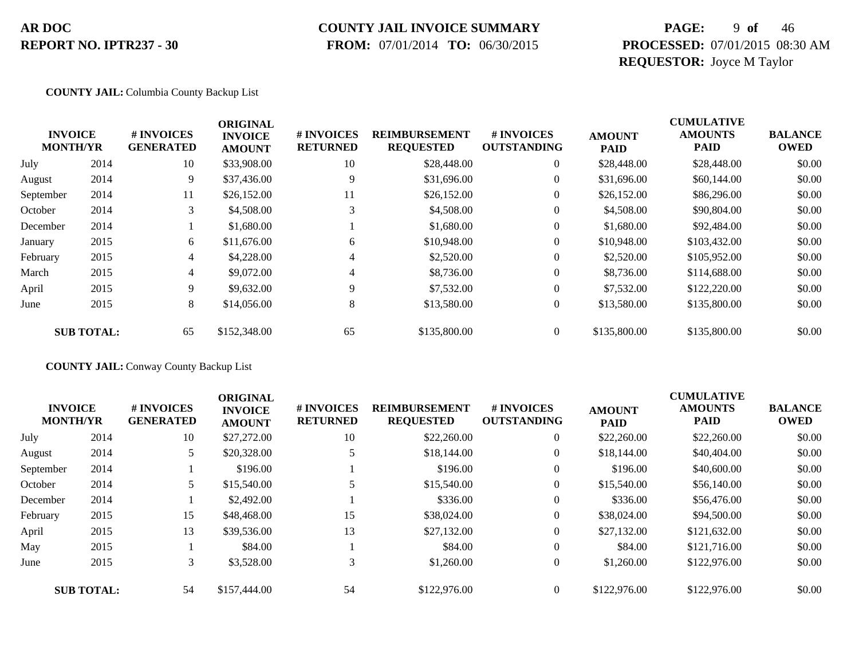# **COUNTY JAIL INVOICE SUMMARY**

 **FROM:** 07/01/2014 **TO:** 06/30/2015

### **PAGE:** 9 **of** 46 **PROCESSED:** 07/01/2015 08:30 AM **REQUESTOR:** Joyce M Taylor

#### **COUNTY JAIL:** Columbia County Backup List

|                                   |                   |                                | <b>ORIGINAL</b>                 |                               |                                          |                                  |                              | <b>CUMULATIVE</b>             |                               |
|-----------------------------------|-------------------|--------------------------------|---------------------------------|-------------------------------|------------------------------------------|----------------------------------|------------------------------|-------------------------------|-------------------------------|
| <b>INVOICE</b><br><b>MONTH/YR</b> |                   | # INVOICES<br><b>GENERATED</b> | <b>INVOICE</b><br><b>AMOUNT</b> | # INVOICES<br><b>RETURNED</b> | <b>REIMBURSEMENT</b><br><b>REQUESTED</b> | # INVOICES<br><b>OUTSTANDING</b> | <b>AMOUNT</b><br><b>PAID</b> | <b>AMOUNTS</b><br><b>PAID</b> | <b>BALANCE</b><br><b>OWED</b> |
| July                              | 2014              | 10                             | \$33,908.00                     | 10                            | \$28,448.00                              | $\overline{0}$                   | \$28,448.00                  | \$28,448.00                   | \$0.00                        |
| August                            | 2014              | 9                              | \$37,436.00                     | 9                             | \$31,696.00                              | $\overline{0}$                   | \$31,696.00                  | \$60,144.00                   | \$0.00                        |
| September                         | 2014              | 11                             | \$26,152.00                     | 11                            | \$26,152.00                              | $\mathbf{0}$                     | \$26,152.00                  | \$86,296.00                   | \$0.00                        |
| October                           | 2014              | 3                              | \$4,508.00                      | 3                             | \$4,508.00                               | $\theta$                         | \$4,508.00                   | \$90,804.00                   | \$0.00                        |
| December                          | 2014              |                                | \$1,680.00                      |                               | \$1,680.00                               | $\overline{0}$                   | \$1,680.00                   | \$92,484.00                   | \$0.00                        |
| January                           | 2015              | 6                              | \$11,676.00                     | 6                             | \$10,948.00                              | $\mathbf{0}$                     | \$10,948.00                  | \$103,432.00                  | \$0.00                        |
| February                          | 2015              | 4                              | \$4,228.00                      | 4                             | \$2,520.00                               | $\mathbf{0}$                     | \$2,520.00                   | \$105,952.00                  | \$0.00                        |
| March                             | 2015              | 4                              | \$9,072.00                      | 4                             | \$8,736.00                               | $\overline{0}$                   | \$8,736.00                   | \$114,688.00                  | \$0.00                        |
| April                             | 2015              | 9                              | \$9,632.00                      | 9                             | \$7,532.00                               | $\overline{0}$                   | \$7,532.00                   | \$122,220.00                  | \$0.00                        |
| June                              | 2015              | 8                              | \$14,056.00                     | 8                             | \$13,580.00                              | $\boldsymbol{0}$                 | \$13,580.00                  | \$135,800.00                  | \$0.00                        |
|                                   | <b>SUB TOTAL:</b> | 65                             | \$152,348.00                    | 65                            | \$135,800.00                             | $\Omega$                         | \$135,800.00                 | \$135,800.00                  | \$0.00                        |

#### **COUNTY JAIL:** Conway County Backup List

|           | <b>INVOICE</b><br><b>MONTH/YR</b> | # INVOICES<br><b>GENERATED</b> | <b>ORIGINAL</b><br><b>INVOICE</b><br><b>AMOUNT</b> | # INVOICES<br><b>RETURNED</b> | <b>REIMBURSEMENT</b><br><b>REQUESTED</b> | # INVOICES<br><b>OUTSTANDING</b> | <b>AMOUNT</b><br><b>PAID</b> | <b>CUMULATIVE</b><br><b>AMOUNTS</b><br><b>PAID</b> | <b>BALANCE</b><br><b>OWED</b> |
|-----------|-----------------------------------|--------------------------------|----------------------------------------------------|-------------------------------|------------------------------------------|----------------------------------|------------------------------|----------------------------------------------------|-------------------------------|
| July      | 2014                              | 10                             | \$27,272.00                                        | 10                            | \$22,260.00                              |                                  | \$22,260.00                  | \$22,260.00                                        | \$0.00                        |
| August    | 2014                              |                                | \$20,328.00                                        |                               | \$18,144.00                              | $\theta$                         | \$18,144.00                  | \$40,404.00                                        | \$0.00                        |
| September | 2014                              |                                | \$196.00                                           |                               | \$196.00                                 | $\theta$                         | \$196.00                     | \$40,600.00                                        | \$0.00                        |
| October   | 2014                              |                                | \$15,540.00                                        |                               | \$15,540.00                              |                                  | \$15,540.00                  | \$56,140.00                                        | \$0.00                        |
| December  | 2014                              |                                | \$2,492.00                                         |                               | \$336.00                                 | $\theta$                         | \$336.00                     | \$56,476.00                                        | \$0.00                        |
| February  | 2015                              | 15                             | \$48,468.00                                        | 15                            | \$38,024.00                              | $\overline{0}$                   | \$38,024.00                  | \$94,500.00                                        | \$0.00                        |
| April     | 2015                              | 13                             | \$39,536.00                                        | 13                            | \$27,132.00                              | $\overline{0}$                   | \$27,132.00                  | \$121,632.00                                       | \$0.00                        |
| May       | 2015                              |                                | \$84.00                                            |                               | \$84.00                                  | $\overline{0}$                   | \$84.00                      | \$121,716.00                                       | \$0.00                        |
| June      | 2015                              | 3                              | \$3,528.00                                         | 3                             | \$1,260.00                               | $\overline{0}$                   | \$1,260.00                   | \$122,976.00                                       | \$0.00                        |
|           | <b>SUB TOTAL:</b>                 | 54                             | \$157,444.00                                       | 54                            | \$122,976.00                             |                                  | \$122,976.00                 | \$122,976.00                                       | \$0.00                        |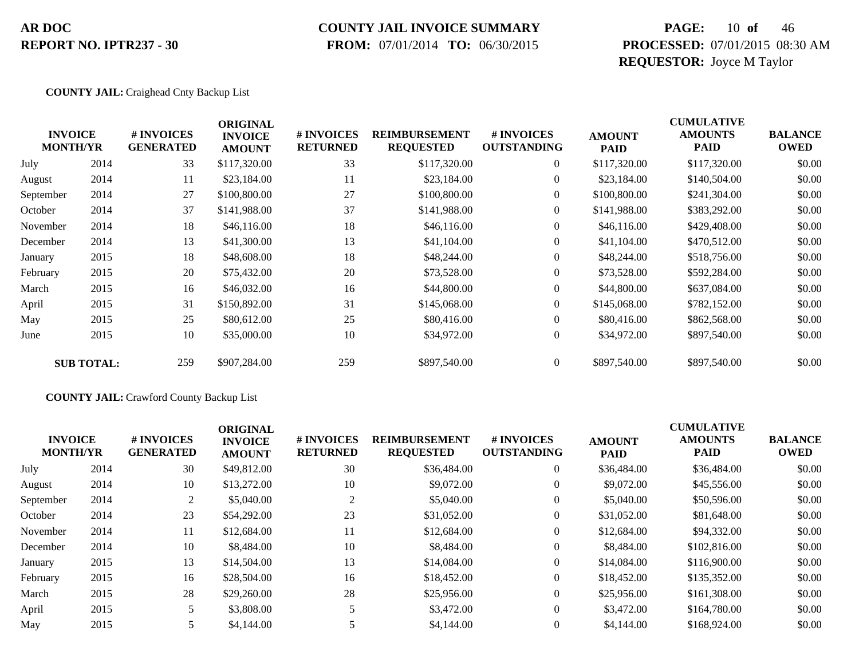# **COUNTY JAIL INVOICE SUMMARY**

 **FROM:** 07/01/2014 **TO:** 06/30/2015

### **PAGE:** 10 **of** 46 **PROCESSED:** 07/01/2015 08:30 AM **REQUESTOR:** Joyce M Taylor

#### **COUNTY JAIL:** Craighead Cnty Backup List

|           | <b>INVOICE</b><br><b>MONTH/YR</b> | # INVOICES<br><b>GENERATED</b> | <b>ORIGINAL</b><br><b>INVOICE</b><br><b>AMOUNT</b> | # INVOICES<br><b>RETURNED</b> | <b>REIMBURSEMENT</b><br><b>REQUESTED</b> | # INVOICES<br><b>OUTSTANDING</b> | <b>AMOUNT</b><br><b>PAID</b> | <b>CUMULATIVE</b><br><b>AMOUNTS</b><br><b>PAID</b> | <b>BALANCE</b><br><b>OWED</b> |
|-----------|-----------------------------------|--------------------------------|----------------------------------------------------|-------------------------------|------------------------------------------|----------------------------------|------------------------------|----------------------------------------------------|-------------------------------|
| July      | 2014                              | 33                             | \$117,320.00                                       | 33                            | \$117,320.00                             | $\overline{0}$                   | \$117,320.00                 | \$117,320.00                                       | \$0.00                        |
| August    | 2014                              | 11                             | \$23,184.00                                        | 11                            | \$23,184.00                              | $\overline{0}$                   | \$23,184.00                  | \$140,504.00                                       | \$0.00                        |
| September | 2014                              | 27                             | \$100,800.00                                       | 27                            | \$100,800.00                             | $\overline{0}$                   | \$100,800.00                 | \$241,304.00                                       | \$0.00                        |
| October   | 2014                              | 37                             | \$141,988.00                                       | 37                            | \$141,988.00                             | $\overline{0}$                   | \$141,988.00                 | \$383,292.00                                       | \$0.00                        |
| November  | 2014                              | 18                             | \$46,116.00                                        | 18                            | \$46,116.00                              | $\overline{0}$                   | \$46,116.00                  | \$429,408.00                                       | \$0.00                        |
| December  | 2014                              | 13                             | \$41,300.00                                        | 13                            | \$41,104.00                              | $\overline{0}$                   | \$41,104.00                  | \$470,512.00                                       | \$0.00                        |
| January   | 2015                              | 18                             | \$48,608.00                                        | 18                            | \$48,244.00                              | $\overline{0}$                   | \$48,244.00                  | \$518,756.00                                       | \$0.00                        |
| February  | 2015                              | 20                             | \$75,432.00                                        | 20                            | \$73,528.00                              | $\overline{0}$                   | \$73,528.00                  | \$592,284.00                                       | \$0.00                        |
| March     | 2015                              | 16                             | \$46,032.00                                        | 16                            | \$44,800.00                              | $\overline{0}$                   | \$44,800.00                  | \$637,084.00                                       | \$0.00                        |
| April     | 2015                              | 31                             | \$150,892.00                                       | 31                            | \$145,068.00                             | $\overline{0}$                   | \$145,068.00                 | \$782,152.00                                       | \$0.00                        |
| May       | 2015                              | 25                             | \$80,612.00                                        | 25                            | \$80,416.00                              | $\overline{0}$                   | \$80,416.00                  | \$862,568.00                                       | \$0.00                        |
| June      | 2015                              | 10                             | \$35,000.00                                        | 10                            | \$34,972.00                              | $\overline{0}$                   | \$34,972.00                  | \$897,540.00                                       | \$0.00                        |
|           | <b>SUB TOTAL:</b>                 | 259                            | \$907,284.00                                       | 259                           | \$897,540.00                             | $\overline{0}$                   | \$897,540.00                 | \$897,540.00                                       | \$0.00                        |

#### **COUNTY JAIL:** Crawford County Backup List

| <b>INVOICE</b><br><b>MONTH/YR</b> |      | <b>#INVOICES</b><br><b>GENERATED</b> | <b>ORIGINAL</b><br><b>INVOICE</b><br><b>AMOUNT</b> | <b># INVOICES</b><br><b>RETURNED</b> | <b>REIMBURSEMENT</b><br><b>REQUESTED</b> | # INVOICES<br><b>OUTSTANDING</b> | <b>AMOUNT</b><br><b>PAID</b> | <b>CUMULATIVE</b><br><b>AMOUNTS</b><br><b>PAID</b> | <b>BALANCE</b><br><b>OWED</b> |
|-----------------------------------|------|--------------------------------------|----------------------------------------------------|--------------------------------------|------------------------------------------|----------------------------------|------------------------------|----------------------------------------------------|-------------------------------|
| July                              | 2014 | 30                                   | \$49,812.00                                        | 30                                   | \$36,484.00                              | $\overline{0}$                   | \$36,484.00                  | \$36,484.00                                        | \$0.00                        |
| August                            | 2014 | 10                                   | \$13,272.00                                        | 10                                   | \$9,072.00                               | $\overline{0}$                   | \$9,072.00                   | \$45,556.00                                        | \$0.00                        |
| September                         | 2014 | 2                                    | \$5,040.00                                         | 2                                    | \$5,040.00                               | $\overline{0}$                   | \$5,040.00                   | \$50,596.00                                        | \$0.00                        |
| October                           | 2014 | 23                                   | \$54,292.00                                        | 23                                   | \$31,052.00                              | $\overline{0}$                   | \$31,052.00                  | \$81,648.00                                        | \$0.00                        |
| November                          | 2014 | 11                                   | \$12,684.00                                        | 11                                   | \$12,684.00                              | $\overline{0}$                   | \$12,684.00                  | \$94,332.00                                        | \$0.00                        |
| December                          | 2014 | 10                                   | \$8,484.00                                         | 10                                   | \$8,484.00                               | $\overline{0}$                   | \$8,484.00                   | \$102,816.00                                       | \$0.00                        |
| January                           | 2015 | 13                                   | \$14,504.00                                        | 13                                   | \$14,084.00                              | $\overline{0}$                   | \$14,084.00                  | \$116,900.00                                       | \$0.00                        |
| February                          | 2015 | 16                                   | \$28,504.00                                        | 16                                   | \$18,452.00                              | $\overline{0}$                   | \$18,452.00                  | \$135,352.00                                       | \$0.00                        |
| March                             | 2015 | 28                                   | \$29,260.00                                        | 28                                   | \$25,956.00                              | $\overline{0}$                   | \$25,956.00                  | \$161,308,00                                       | \$0.00                        |
| April                             | 2015 |                                      | \$3,808.00                                         |                                      | \$3,472.00                               | $\Omega$                         | \$3,472.00                   | \$164,780.00                                       | \$0.00                        |
| May                               | 2015 |                                      | \$4,144.00                                         |                                      | \$4,144.00                               | $\overline{0}$                   | \$4,144.00                   | \$168,924.00                                       | \$0.00                        |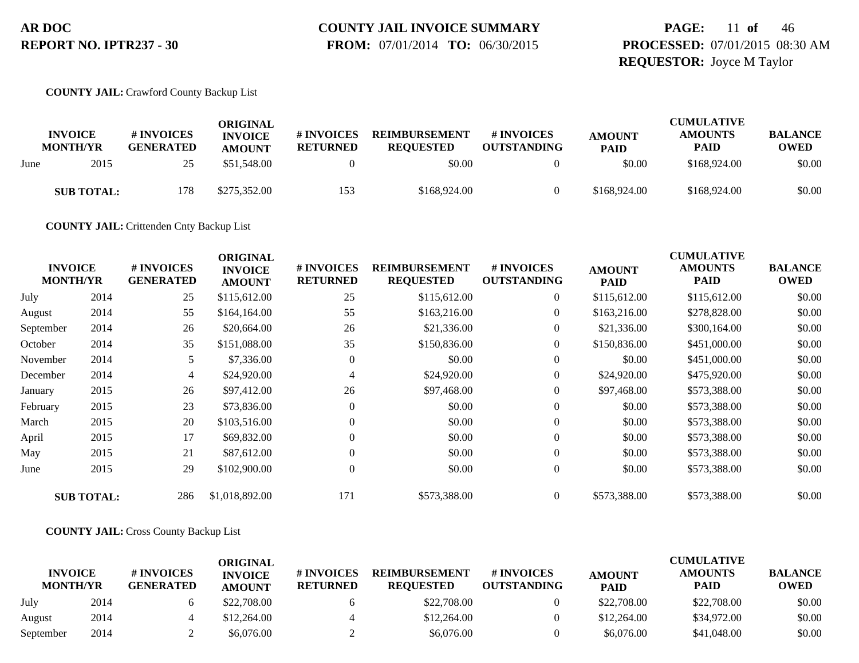#### **COUNTY JAIL INVOICE SUMMARY FROM:** 07/01/2014 **TO:** 06/30/2015

**PAGE:** 11 **of** 46 **PROCESSED:** 07/01/2015 08:30 AM **REQUESTOR:** Joyce M Taylor

#### **COUNTY JAIL:** Crawford County Backup List

|      | <b>INVOICE</b><br><b>MONTH/YR</b> | # INVOICES<br><b>GENERATED</b> | ORIGINAL<br><b>INVOICE</b><br><b>AMOUNT</b> | # INVOICES<br><b>RETURNED</b> | <b>REIMBURSEMENT</b><br><b>REQUESTED</b> | # INVOICES<br><b>OUTSTANDING</b> | <b>AMOUNT</b><br><b>PAID</b> | <b>CUMULATIVE</b><br><b>AMOUNTS</b><br><b>PAID</b> | <b>BALANCE</b><br>OWED |
|------|-----------------------------------|--------------------------------|---------------------------------------------|-------------------------------|------------------------------------------|----------------------------------|------------------------------|----------------------------------------------------|------------------------|
| June | 2015                              | 25                             | \$51,548.00                                 |                               | \$0.00                                   |                                  | \$0.00                       | \$168,924.00                                       | \$0.00                 |
|      | <b>SUB TOTAL:</b>                 | 178                            | \$275,352.00                                | 153                           | \$168,924.00                             |                                  | \$168,924.00                 | \$168,924.00                                       | \$0.00                 |

**COUNTY JAIL:** Crittenden Cnty Backup List

| <b>INVOICE</b><br><b>MONTH/YR</b> |                   | # INVOICES<br><b>GENERATED</b> | <b>ORIGINAL</b><br><b>INVOICE</b><br><b>AMOUNT</b> | # INVOICES<br><b>RETURNED</b> | <b>REIMBURSEMENT</b><br><b>REQUESTED</b> | # INVOICES<br><b>OUTSTANDING</b> | <b>AMOUNT</b><br><b>PAID</b> | <b>CUMULATIVE</b><br><b>AMOUNTS</b><br><b>PAID</b> | <b>BALANCE</b><br><b>OWED</b> |
|-----------------------------------|-------------------|--------------------------------|----------------------------------------------------|-------------------------------|------------------------------------------|----------------------------------|------------------------------|----------------------------------------------------|-------------------------------|
| July                              | 2014              | 25                             | \$115,612.00                                       | 25                            | \$115,612.00                             | $\overline{0}$                   | \$115,612.00                 | \$115,612.00                                       | \$0.00                        |
| August                            | 2014              | 55                             | \$164,164.00                                       | 55                            | \$163,216.00                             | $\overline{0}$                   | \$163,216.00                 | \$278,828.00                                       | \$0.00                        |
| September                         | 2014              | 26                             | \$20,664.00                                        | 26                            | \$21,336.00                              | $\overline{0}$                   | \$21,336.00                  | \$300,164.00                                       | \$0.00                        |
| October                           | 2014              | 35                             | \$151,088.00                                       | 35                            | \$150,836.00                             | $\overline{0}$                   | \$150,836.00                 | \$451,000.00                                       | \$0.00                        |
| November                          | 2014              | 5                              | \$7,336.00                                         | $\theta$                      | \$0.00                                   | $\overline{0}$                   | \$0.00                       | \$451,000.00                                       | \$0.00                        |
| December                          | 2014              | 4                              | \$24,920.00                                        | 4                             | \$24,920.00                              | $\overline{0}$                   | \$24,920.00                  | \$475,920.00                                       | \$0.00                        |
| January                           | 2015              | 26                             | \$97,412.00                                        | 26                            | \$97,468.00                              | 0                                | \$97,468.00                  | \$573,388.00                                       | \$0.00                        |
| February                          | 2015              | 23                             | \$73,836.00                                        | $\Omega$                      | \$0.00                                   | $\overline{0}$                   | \$0.00                       | \$573,388.00                                       | \$0.00                        |
| March                             | 2015              | 20                             | \$103,516.00                                       | $\Omega$                      | \$0.00                                   | $\boldsymbol{0}$                 | \$0.00                       | \$573,388.00                                       | \$0.00                        |
| April                             | 2015              | 17                             | \$69,832.00                                        | $\theta$                      | \$0.00                                   | $\overline{0}$                   | \$0.00                       | \$573,388.00                                       | \$0.00                        |
| May                               | 2015              | 21                             | \$87,612.00                                        | $\Omega$                      | \$0.00                                   | $\overline{0}$                   | \$0.00                       | \$573,388.00                                       | \$0.00                        |
| June                              | 2015              | 29                             | \$102,900.00                                       | $\mathbf{0}$                  | \$0.00                                   | $\overline{0}$                   | \$0.00                       | \$573,388.00                                       | \$0.00                        |
|                                   | <b>SUB TOTAL:</b> | 286                            | \$1,018,892.00                                     | 171                           | \$573,388.00                             | $\overline{0}$                   | \$573,388.00                 | \$573,388.00                                       | \$0.00                        |

#### **COUNTY JAIL:** Cross County Backup List

|                                   |      |                                | ORIGINAL                        |                               |                                          |                                  |                              | <b>CUMULATIVE</b>             |                               |
|-----------------------------------|------|--------------------------------|---------------------------------|-------------------------------|------------------------------------------|----------------------------------|------------------------------|-------------------------------|-------------------------------|
| <b>INVOICE</b><br><b>MONTH/YR</b> |      | # INVOICES<br><b>GENERATED</b> | <b>INVOICE</b><br><b>AMOUNT</b> | # INVOICES<br><b>RETURNED</b> | <b>REIMBURSEMENT</b><br><b>REOUESTED</b> | # INVOICES<br><b>OUTSTANDING</b> | <b>AMOUNT</b><br><b>PAID</b> | <b>AMOUNTS</b><br><b>PAID</b> | <b>BALANCE</b><br><b>OWED</b> |
| July                              | 2014 |                                | \$22,708.00                     |                               | \$22,708.00                              |                                  | \$22,708.00                  | \$22,708.00                   | \$0.00                        |
| August                            | 2014 |                                | \$12,264.00                     |                               | \$12,264.00                              |                                  | \$12,264.00                  | \$34,972.00                   | \$0.00                        |
| September                         | 2014 |                                | \$6.076.00                      |                               | \$6,076.00                               |                                  | \$6,076.00                   | \$41,048.00                   | \$0.00                        |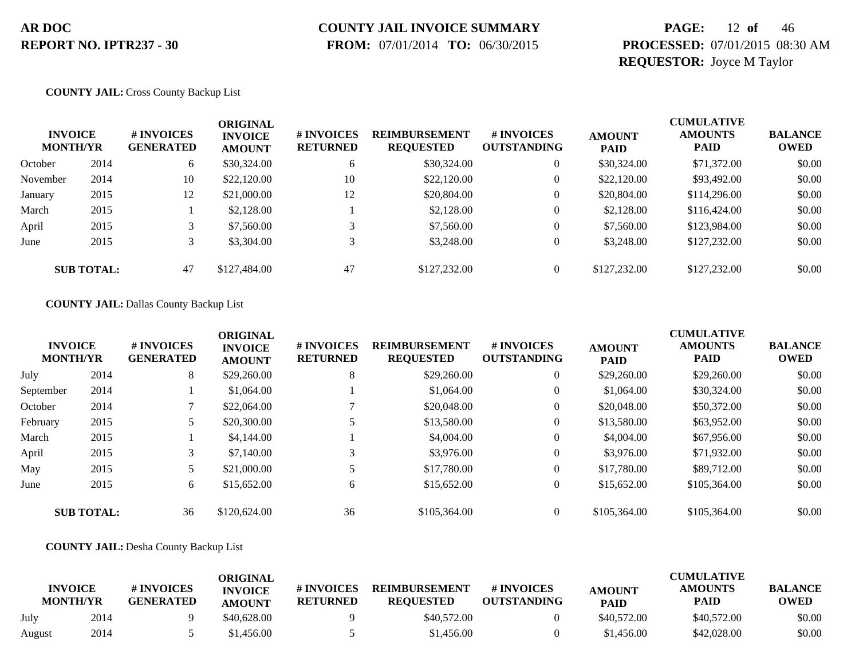### **COUNTY JAIL INVOICE SUMMARY**

 **FROM:** 07/01/2014 **TO:** 06/30/2015

### **PAGE:** 12 **of** 46 **PROCESSED:** 07/01/2015 08:30 AM **REQUESTOR:** Joyce M Taylor

#### **COUNTY JAIL:** Cross County Backup List

| <b>INVOICE</b><br><b>MONTH/YR</b> |                   | # INVOICES<br><b>GENERATED</b> | <b>ORIGINAL</b><br><b>INVOICE</b><br><b>AMOUNT</b> | <b># INVOICES</b><br><b>RETURNED</b> | <b>REIMBURSEMENT</b><br><b>REQUESTED</b> | # INVOICES<br><b>OUTSTANDING</b> | <b>AMOUNT</b><br><b>PAID</b> | <b>CUMULATIVE</b><br><b>AMOUNTS</b><br><b>PAID</b> | <b>BALANCE</b><br><b>OWED</b> |
|-----------------------------------|-------------------|--------------------------------|----------------------------------------------------|--------------------------------------|------------------------------------------|----------------------------------|------------------------------|----------------------------------------------------|-------------------------------|
| October                           | 2014              | 6                              | \$30,324.00                                        | 6                                    | \$30,324.00                              |                                  | \$30,324.00                  | \$71,372.00                                        | \$0.00                        |
| November                          | 2014              | 10                             | \$22,120.00                                        | 10                                   | \$22,120.00                              |                                  | \$22,120.00                  | \$93,492.00                                        | \$0.00                        |
| January                           | 2015              | 12                             | \$21,000.00                                        | 12                                   | \$20,804.00                              |                                  | \$20,804.00                  | \$114,296.00                                       | \$0.00                        |
| March                             | 2015              |                                | \$2,128.00                                         |                                      | \$2,128.00                               | 0                                | \$2,128.00                   | \$116,424.00                                       | \$0.00                        |
| April                             | 2015              | 3                              | \$7,560.00                                         |                                      | \$7,560.00                               |                                  | \$7,560.00                   | \$123,984.00                                       | \$0.00                        |
| June                              | 2015              | 3                              | \$3,304.00                                         |                                      | \$3,248.00                               |                                  | \$3,248.00                   | \$127,232.00                                       | \$0.00                        |
|                                   | <b>SUB TOTAL:</b> | 47                             | \$127,484.00                                       | 47                                   | \$127,232.00                             |                                  | \$127,232.00                 | \$127,232.00                                       | \$0.00                        |

#### **COUNTY JAIL:** Dallas County Backup List

| <b>INVOICE</b><br><b>MONTH/YR</b> |                   | # INVOICES<br><b>GENERATED</b> | <b>ORIGINAL</b><br><b>INVOICE</b><br><b>AMOUNT</b> | # INVOICES<br><b>RETURNED</b> | <b>REIMBURSEMENT</b><br><b>REQUESTED</b> | # INVOICES<br><b>OUTSTANDING</b> | <b>AMOUNT</b><br><b>PAID</b> | <b>CUMULATIVE</b><br><b>AMOUNTS</b><br><b>PAID</b> | <b>BALANCE</b><br><b>OWED</b> |
|-----------------------------------|-------------------|--------------------------------|----------------------------------------------------|-------------------------------|------------------------------------------|----------------------------------|------------------------------|----------------------------------------------------|-------------------------------|
| July                              | 2014              | 8                              | \$29,260.00                                        | 8                             | \$29,260.00                              | $\overline{0}$                   | \$29,260.00                  | \$29,260.00                                        | \$0.00                        |
| September                         | 2014              |                                | \$1,064.00                                         |                               | \$1,064.00                               | $\theta$                         | \$1,064.00                   | \$30,324.00                                        | \$0.00                        |
| October                           | 2014              |                                | \$22,064.00                                        |                               | \$20,048.00                              | $\theta$                         | \$20,048.00                  | \$50,372.00                                        | \$0.00                        |
| February                          | 2015              | 5                              | \$20,300.00                                        |                               | \$13,580.00                              | $\boldsymbol{0}$                 | \$13,580.00                  | \$63,952.00                                        | \$0.00                        |
| March                             | 2015              |                                | \$4,144.00                                         |                               | \$4,004.00                               | $\boldsymbol{0}$                 | \$4,004.00                   | \$67,956.00                                        | \$0.00                        |
| April                             | 2015              | 3                              | \$7,140.00                                         | 3                             | \$3,976.00                               | $\theta$                         | \$3,976.00                   | \$71,932.00                                        | \$0.00                        |
| May                               | 2015              | 5                              | \$21,000.00                                        |                               | \$17,780.00                              | $\overline{0}$                   | \$17,780.00                  | \$89,712.00                                        | \$0.00                        |
| June                              | 2015              | 6                              | \$15,652.00                                        | 6                             | \$15,652.00                              | $\overline{0}$                   | \$15,652.00                  | \$105,364.00                                       | \$0.00                        |
|                                   | <b>SUB TOTAL:</b> | 36                             | \$120,624.00                                       | 36                            | \$105,364.00                             |                                  | \$105,364.00                 | \$105,364.00                                       | \$0.00                        |

#### **COUNTY JAIL:** Desha County Backup List

| <b>INVOICE</b><br><b>MONTH/YR</b> |      | # INVOICES<br><b>GENERATED</b> | ORIGINAL<br><b>INVOICE</b><br><b>AMOUNT</b> | # INVOICES<br><b>RETURNED</b> | <b>REIMBURSEMENT</b><br><b>REOUESTED</b> | # INVOICES<br><b>OUTSTANDING</b> | <b>AMOUNT</b><br><b>PAID</b> | <b>CUMULATIVE</b><br><b>AMOUNTS</b><br>PAID | <b>BALANCE</b><br><b>OWED</b> |
|-----------------------------------|------|--------------------------------|---------------------------------------------|-------------------------------|------------------------------------------|----------------------------------|------------------------------|---------------------------------------------|-------------------------------|
| July                              | 2014 |                                | \$40,628.00                                 |                               | \$40,572.00                              |                                  | \$40,572.00                  | \$40,572.00                                 | \$0.00                        |
| August                            | 2014 |                                | \$1.456.00                                  |                               | \$1,456.00                               |                                  | \$1,456.00                   | \$42,028.00                                 | \$0.00                        |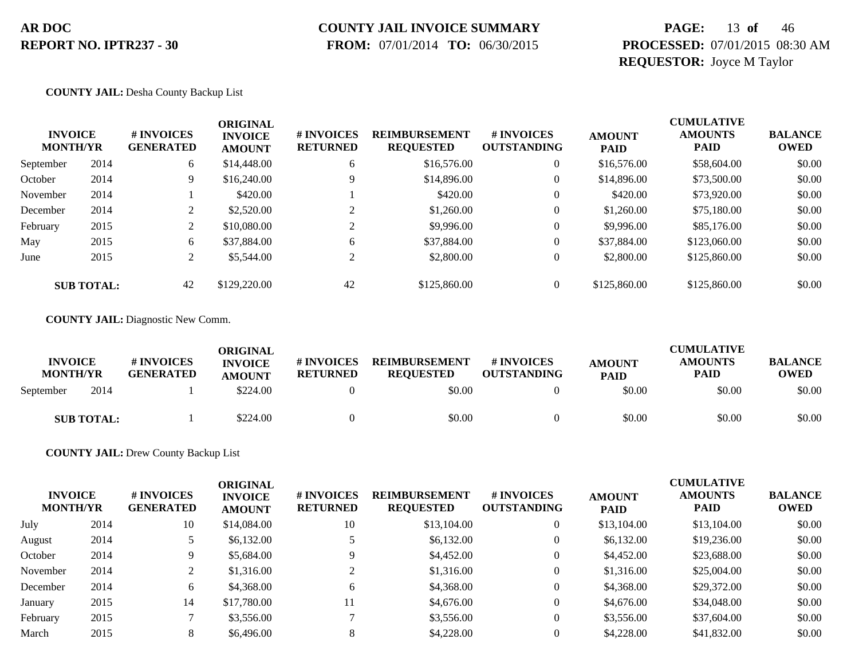# **COUNTY JAIL INVOICE SUMMARY**

 **FROM:** 07/01/2014 **TO:** 06/30/2015

### **PAGE:** 13 **of** 46 **PROCESSED:** 07/01/2015 08:30 AM **REQUESTOR:** Joyce M Taylor

#### **COUNTY JAIL:** Desha County Backup List

| <b>INVOICE</b><br><b>MONTH/YR</b> |                   | # INVOICES<br><b>GENERATED</b> | ORIGINAL<br><b>INVOICE</b><br><b>AMOUNT</b> | # INVOICES<br><b>RETURNED</b> | <b>REIMBURSEMENT</b><br><b>REQUESTED</b> | # INVOICES<br><b>OUTSTANDING</b> | <b>AMOUNT</b><br><b>PAID</b> | <b>CUMULATIVE</b><br><b>AMOUNTS</b><br><b>PAID</b> | <b>BALANCE</b><br><b>OWED</b> |
|-----------------------------------|-------------------|--------------------------------|---------------------------------------------|-------------------------------|------------------------------------------|----------------------------------|------------------------------|----------------------------------------------------|-------------------------------|
| September                         | 2014              | 6                              | \$14,448.00                                 | 6                             | \$16,576.00                              | 0                                | \$16,576.00                  | \$58,604.00                                        | \$0.00                        |
| October                           | 2014              | 9.                             | \$16,240.00                                 | 9                             | \$14,896.00                              | $\mathbf{0}$                     | \$14,896.00                  | \$73,500.00                                        | \$0.00                        |
| November                          | 2014              |                                | \$420.00                                    |                               | \$420.00                                 | $\mathbf{0}$                     | \$420.00                     | \$73,920.00                                        | \$0.00                        |
| December                          | 2014              | ◠                              | \$2,520.00                                  | $\gamma$                      | \$1,260.00                               | 0                                | \$1,260.00                   | \$75,180.00                                        | \$0.00                        |
| February                          | 2015              |                                | \$10,080.00                                 |                               | \$9,996.00                               | $\mathbf{0}$                     | \$9,996.00                   | \$85,176.00                                        | \$0.00                        |
| May                               | 2015              | 6                              | \$37,884.00                                 | 6                             | \$37,884.00                              | 0                                | \$37,884.00                  | \$123,060.00                                       | \$0.00                        |
| June                              | 2015              | 2                              | \$5,544.00                                  | 2                             | \$2,800.00                               | $\mathbf{0}$                     | \$2,800.00                   | \$125,860.00                                       | \$0.00                        |
|                                   | <b>SUB TOTAL:</b> | 42                             | \$129,220.00                                | 42                            | \$125,860.00                             | 0                                | \$125,860.00                 | \$125,860.00                                       | \$0.00                        |

**COUNTY JAIL:** Diagnostic New Comm.

| <b>INVOICE</b><br><b>MONTH/YR</b> |                   | # INVOICES<br><b>GENERATED</b> | ORIGINAL<br><b>INVOICE</b><br><b>AMOUNT</b> | # INVOICES<br><b>RETURNED</b> | <b>REIMBURSEMENT</b><br><b>REOUESTED</b> | # INVOICES<br><b>OUTSTANDING</b> | <b>AMOUNT</b><br><b>PAID</b> | <b>CUMULATIVE</b><br><b>AMOUNTS</b><br><b>PAID</b> | <b>BALANCE</b><br><b>OWED</b> |
|-----------------------------------|-------------------|--------------------------------|---------------------------------------------|-------------------------------|------------------------------------------|----------------------------------|------------------------------|----------------------------------------------------|-------------------------------|
| September                         | 2014              |                                | \$224.00                                    |                               | \$0.00                                   |                                  | \$0.00                       | \$0.00                                             | \$0.00                        |
|                                   | <b>SUB TOTAL:</b> |                                | \$224.00                                    |                               | \$0.00                                   |                                  | \$0.00                       | \$0.00                                             | \$0.00                        |

**COUNTY JAIL:** Drew County Backup List

| <b>INVOICE</b><br><b>MONTH/YR</b> |      | # INVOICES<br><b>GENERATED</b> | ORIGINAL<br><b>INVOICE</b><br><b>AMOUNT</b> | # INVOICES<br><b>RETURNED</b> | <b>REIMBURSEMENT</b><br><b>REQUESTED</b> | <b># INVOICES</b><br><b>OUTSTANDING</b> | <b>AMOUNT</b><br><b>PAID</b> | <b>CUMULATIVE</b><br><b>AMOUNTS</b><br><b>PAID</b> | <b>BALANCE</b><br>OWED |
|-----------------------------------|------|--------------------------------|---------------------------------------------|-------------------------------|------------------------------------------|-----------------------------------------|------------------------------|----------------------------------------------------|------------------------|
| July                              | 2014 | 10                             | \$14,084.00                                 | 10                            | \$13,104.00                              | 0                                       | \$13,104.00                  | \$13,104.00                                        | \$0.00                 |
| August                            | 2014 |                                | \$6,132.00                                  |                               | \$6,132.00                               | 0                                       | \$6,132.00                   | \$19,236.00                                        | \$0.00                 |
| October                           | 2014 | 9                              | \$5,684.00                                  | Q                             | \$4,452.00                               | 0                                       | \$4,452.00                   | \$23,688.00                                        | \$0.00                 |
| November                          | 2014 | ◠                              | \$1,316.00                                  |                               | \$1,316.00                               | 0                                       | \$1,316.00                   | \$25,004.00                                        | \$0.00                 |
| December                          | 2014 | 6                              | \$4,368.00                                  | h.                            | \$4,368.00                               | 0                                       | \$4,368.00                   | \$29,372.00                                        | \$0.00                 |
| January                           | 2015 | 14                             | \$17,780.00                                 | 11                            | \$4,676.00                               | 0                                       | \$4,676.00                   | \$34,048.00                                        | \$0.00                 |
| February                          | 2015 |                                | \$3,556.00                                  |                               | \$3,556.00                               | $\mathbf{0}$                            | \$3,556.00                   | \$37,604.00                                        | \$0.00                 |
| March                             | 2015 |                                | \$6,496.00                                  |                               | \$4,228.00                               | 0                                       | \$4,228.00                   | \$41,832.00                                        | \$0.00                 |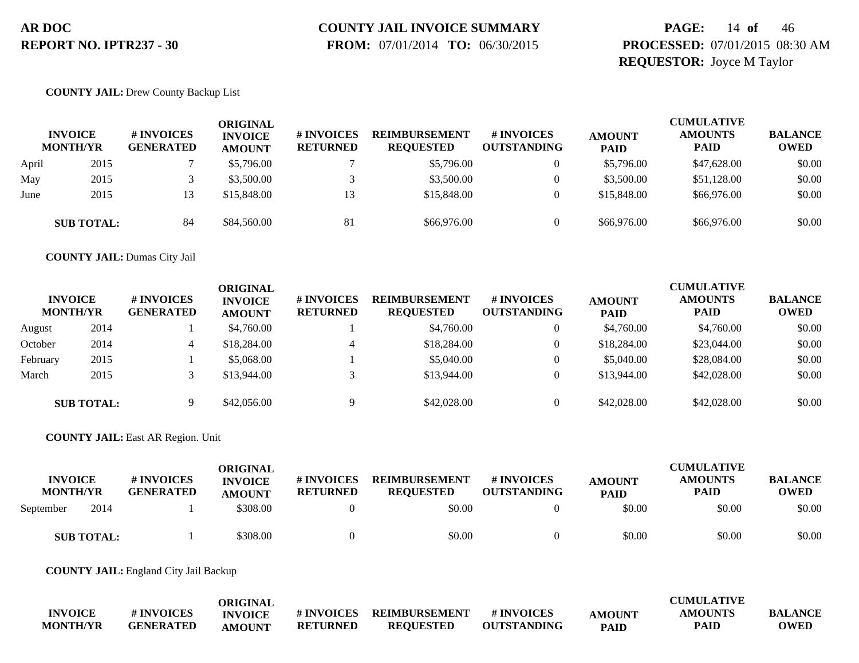# **COUNTY JAIL INVOICE SUMMARY**

 **FROM:** 07/01/2014 **TO:** 06/30/2015

### **PAGE:** 14 **of** 46 **PROCESSED:** 07/01/2015 08:30 AM **REQUESTOR:** Joyce M Taylor

#### **COUNTY JAIL:** Drew County Backup List

|       | <b>INVOICE</b><br><b>MONTH/YR</b> | # INVOICES<br><b>GENERATED</b> | ORIGINAL<br><b>INVOICE</b><br><b>AMOUNT</b> | # INVOICES<br><b>RETURNED</b> | <b>REIMBURSEMENT</b><br><b>REQUESTED</b> | <b>#INVOICES</b><br><b>OUTSTANDING</b> | <b>AMOUNT</b><br><b>PAID</b> | <b>CUMULATIVE</b><br><b>AMOUNTS</b><br><b>PAID</b> | <b>BALANCE</b><br><b>OWED</b> |
|-------|-----------------------------------|--------------------------------|---------------------------------------------|-------------------------------|------------------------------------------|----------------------------------------|------------------------------|----------------------------------------------------|-------------------------------|
| April | 2015                              |                                | \$5,796.00                                  |                               | \$5,796.00                               | $\overline{0}$                         | \$5,796.00                   | \$47,628.00                                        | \$0.00                        |
| May   | 2015                              |                                | \$3,500.00                                  |                               | \$3,500.00                               |                                        | \$3,500.00                   | \$51,128.00                                        | \$0.00                        |
| June  | 2015                              |                                | \$15,848.00                                 | 13                            | \$15,848.00                              | $\Omega$                               | \$15,848.00                  | \$66,976.00                                        | \$0.00                        |
|       | <b>SUB TOTAL:</b>                 | 84                             | \$84,560.00                                 | 81                            | \$66,976.00                              |                                        | \$66,976.00                  | \$66,976.00                                        | \$0.00                        |

**COUNTY JAIL:** Dumas City Jail

|          | <b>INVOICE</b><br><b>MONTH/YR</b> | # INVOICES<br><b>GENERATED</b> | ORIGINAL<br><b>INVOICE</b><br><b>AMOUNT</b> | # INVOICES<br><b>RETURNED</b> | <b>REIMBURSEMENT</b><br><b>REOUESTED</b> | # INVOICES<br><b>OUTSTANDING</b> | <b>AMOUNT</b><br><b>PAID</b> | <b>CUMULATIVE</b><br><b>AMOUNTS</b><br><b>PAID</b> | <b>BALANCE</b><br><b>OWED</b> |
|----------|-----------------------------------|--------------------------------|---------------------------------------------|-------------------------------|------------------------------------------|----------------------------------|------------------------------|----------------------------------------------------|-------------------------------|
| August   | 2014                              |                                | \$4,760.00                                  |                               | \$4,760.00                               |                                  | \$4,760.00                   | \$4,760.00                                         | \$0.00                        |
| October  | 2014                              | 4                              | \$18,284.00                                 | 4                             | \$18,284.00                              |                                  | \$18,284.00                  | \$23,044.00                                        | \$0.00                        |
| February | 2015                              |                                | \$5,068.00                                  |                               | \$5,040.00                               |                                  | \$5,040.00                   | \$28,084.00                                        | \$0.00                        |
| March    | 2015                              |                                | \$13,944.00                                 |                               | \$13,944.00                              |                                  | \$13,944.00                  | \$42,028.00                                        | \$0.00                        |
|          | <b>SUB TOTAL:</b>                 |                                | \$42,056.00                                 |                               | \$42,028.00                              |                                  | \$42,028.00                  | \$42,028.00                                        | \$0.00                        |

**COUNTY JAIL:** East AR Region. Unit

| <b>INVOICE</b><br><b>MONTH/YR</b> | # INVOICES<br><b>GENERATED</b> | ORIGINAL<br><b>INVOICE</b><br><b>AMOUNT</b> | # INVOICES<br><b>RETURNED</b> | <b>REIMBURSEMENT</b><br><b>REOUESTED</b> | # INVOICES<br><b>OUTSTANDING</b> | <b>AMOUNT</b><br><b>PAID</b> | <b>CUMULATIVE</b><br><b>AMOUNTS</b><br><b>PAID</b> | <b>BALANCE</b><br><b>OWED</b> |
|-----------------------------------|--------------------------------|---------------------------------------------|-------------------------------|------------------------------------------|----------------------------------|------------------------------|----------------------------------------------------|-------------------------------|
| 2014<br>September                 |                                | \$308.00                                    |                               | \$0.00                                   |                                  | \$0.00                       | \$0.00                                             | \$0.00                        |
| <b>SUB TOTAL:</b>                 |                                | \$308.00                                    |                               | \$0.00                                   |                                  | \$0.00                       | \$0.00                                             | \$0.00                        |

**COUNTY JAIL:** England City Jail Backup

|                 |                  | <b>ORIGINAL</b> |                 |                          |                    |               | <b>CUMULATIVE</b> |                |
|-----------------|------------------|-----------------|-----------------|--------------------------|--------------------|---------------|-------------------|----------------|
| <b>INVOICE</b>  | # INVOICES       | <b>INVOICE</b>  |                 | # INVOICES REIMBURSEMENT | # INVOICES         | <b>AMOUNT</b> | <b>AMOUNTS</b>    | <b>BALANCE</b> |
| <b>MONTH/YR</b> | <b>GENERATED</b> | <b>AMOUNT</b>   | <b>RETURNED</b> | <b>REOUESTED</b>         | <b>OUTSTANDING</b> | <b>PAID</b>   | PAID              | <b>OWED</b>    |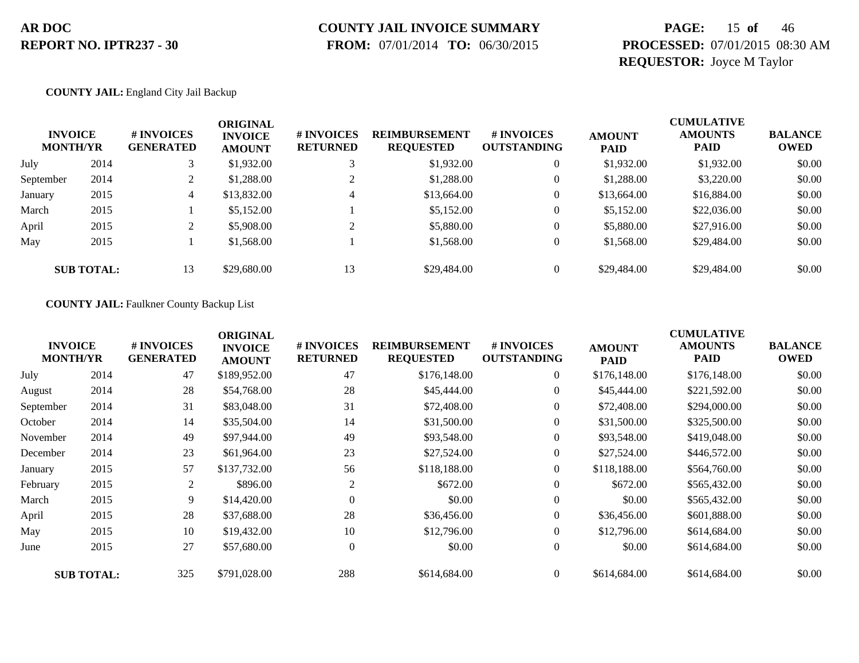# **COUNTY JAIL INVOICE SUMMARY**

 **FROM:** 07/01/2014 **TO:** 06/30/2015

### **PAGE:** 15 **of** 46 **PROCESSED:** 07/01/2015 08:30 AM **REQUESTOR:** Joyce M Taylor

#### **COUNTY JAIL:** England City Jail Backup

|           | <b>INVOICE</b><br><b>MONTH/YR</b> | # INVOICES<br><b>GENERATED</b> | ORIGINAL<br><b>INVOICE</b><br><b>AMOUNT</b> | # INVOICES<br><b>RETURNED</b> | <b>REIMBURSEMENT</b><br><b>REQUESTED</b> | <b>#INVOICES</b><br><b>OUTSTANDING</b> | <b>AMOUNT</b><br><b>PAID</b> | <b>CUMULATIVE</b><br><b>AMOUNTS</b><br><b>PAID</b> | <b>BALANCE</b><br><b>OWED</b> |
|-----------|-----------------------------------|--------------------------------|---------------------------------------------|-------------------------------|------------------------------------------|----------------------------------------|------------------------------|----------------------------------------------------|-------------------------------|
| July      | 2014                              |                                | \$1,932.00                                  | 3                             | \$1,932.00                               | $\overline{0}$                         | \$1,932.00                   | \$1,932.00                                         | \$0.00                        |
| September | 2014                              | $\overline{ }$                 | \$1,288.00                                  |                               | \$1,288.00                               | $\overline{0}$                         | \$1,288.00                   | \$3,220.00                                         | \$0.00                        |
| January   | 2015                              | 4                              | \$13,832.00                                 | 4                             | \$13,664.00                              | $\overline{0}$                         | \$13,664.00                  | \$16,884.00                                        | \$0.00                        |
| March     | 2015                              |                                | \$5,152.00                                  |                               | \$5,152.00                               | $\overline{0}$                         | \$5,152.00                   | \$22,036.00                                        | \$0.00                        |
| April     | 2015                              | ∠                              | \$5,908.00                                  | $\bigcap$                     | \$5,880.00                               | $\overline{0}$                         | \$5,880.00                   | \$27,916.00                                        | \$0.00                        |
| May       | 2015                              |                                | \$1,568.00                                  |                               | \$1,568.00                               | $\overline{0}$                         | \$1,568.00                   | \$29,484.00                                        | \$0.00                        |
|           | <b>SUB TOTAL:</b>                 | 13                             | \$29,680.00                                 | 13                            | \$29,484.00                              | $\overline{0}$                         | \$29,484.00                  | \$29,484.00                                        | \$0.00                        |

#### **COUNTY JAIL:** Faulkner County Backup List

| <b>INVOICE</b><br><b>MONTH/YR</b> |                   | # INVOICES<br><b>GENERATED</b> | <b>ORIGINAL</b><br><b>INVOICE</b><br><b>AMOUNT</b> | # INVOICES<br><b>RETURNED</b> | <b>REIMBURSEMENT</b><br><b>REQUESTED</b> | # INVOICES<br><b>OUTSTANDING</b> | <b>AMOUNT</b><br><b>PAID</b> | <b>CUMULATIVE</b><br><b>AMOUNTS</b><br><b>PAID</b> | <b>BALANCE</b><br><b>OWED</b> |
|-----------------------------------|-------------------|--------------------------------|----------------------------------------------------|-------------------------------|------------------------------------------|----------------------------------|------------------------------|----------------------------------------------------|-------------------------------|
| July                              | 2014              | 47                             | \$189,952.00                                       | 47                            | \$176,148.00                             | $\boldsymbol{0}$                 | \$176,148.00                 | \$176,148.00                                       | \$0.00                        |
| August                            | 2014              | 28                             | \$54,768.00                                        | 28                            | \$45,444.00                              | $\overline{0}$                   | \$45,444.00                  | \$221,592.00                                       | \$0.00                        |
| September                         | 2014              | 31                             | \$83,048.00                                        | 31                            | \$72,408.00                              | $\overline{0}$                   | \$72,408.00                  | \$294,000.00                                       | \$0.00                        |
| October                           | 2014              | 14                             | \$35,504.00                                        | 14                            | \$31,500.00                              | $\boldsymbol{0}$                 | \$31,500.00                  | \$325,500.00                                       | \$0.00                        |
| November                          | 2014              | 49                             | \$97,944.00                                        | 49                            | \$93,548.00                              | $\boldsymbol{0}$                 | \$93,548.00                  | \$419,048.00                                       | \$0.00                        |
| December                          | 2014              | 23                             | \$61,964.00                                        | 23                            | \$27,524.00                              | $\overline{0}$                   | \$27,524.00                  | \$446,572.00                                       | \$0.00                        |
| January                           | 2015              | 57                             | \$137,732.00                                       | 56                            | \$118,188.00                             | $\mathbf{0}$                     | \$118,188.00                 | \$564,760.00                                       | \$0.00                        |
| February                          | 2015              | 2                              | \$896.00                                           | 2                             | \$672.00                                 | $\overline{0}$                   | \$672.00                     | \$565,432.00                                       | \$0.00                        |
| March                             | 2015              | 9                              | \$14,420.00                                        | $\Omega$                      | \$0.00                                   | $\mathbf{0}$                     | \$0.00                       | \$565,432.00                                       | \$0.00                        |
| April                             | 2015              | 28                             | \$37,688.00                                        | 28                            | \$36,456.00                              | $\overline{0}$                   | \$36,456.00                  | \$601,888.00                                       | \$0.00                        |
| May                               | 2015              | 10                             | \$19,432.00                                        | 10                            | \$12,796.00                              | $\overline{0}$                   | \$12,796.00                  | \$614,684.00                                       | \$0.00                        |
| June                              | 2015              | 27                             | \$57,680.00                                        | $\Omega$                      | \$0.00                                   | $\mathbf{0}$                     | \$0.00                       | \$614,684.00                                       | \$0.00                        |
|                                   | <b>SUB TOTAL:</b> | 325                            | \$791,028.00                                       | 288                           | \$614,684.00                             | $\overline{0}$                   | \$614,684.00                 | \$614,684.00                                       | \$0.00                        |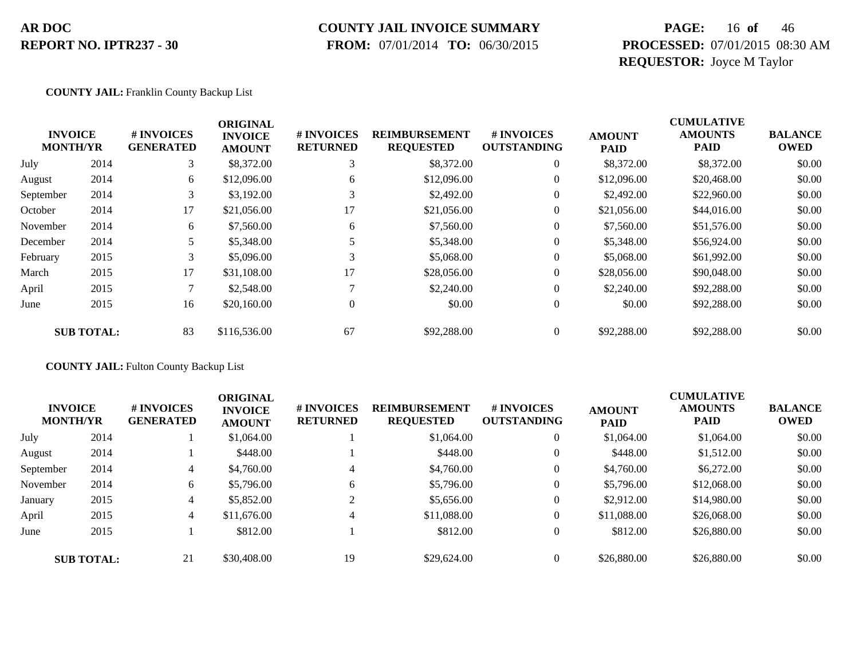# **COUNTY JAIL INVOICE SUMMARY**

 **FROM:** 07/01/2014 **TO:** 06/30/2015

### **PAGE:** 16 **of** 46 **PROCESSED:** 07/01/2015 08:30 AM **REQUESTOR:** Joyce M Taylor

#### **COUNTY JAIL:** Franklin County Backup List

|                                   |                   |                                | <b>ORIGINAL</b>                 |                               |                                          |                                  |                              | <b>CUMULATIVE</b>             |                               |
|-----------------------------------|-------------------|--------------------------------|---------------------------------|-------------------------------|------------------------------------------|----------------------------------|------------------------------|-------------------------------|-------------------------------|
| <b>INVOICE</b><br><b>MONTH/YR</b> |                   | # INVOICES<br><b>GENERATED</b> | <b>INVOICE</b><br><b>AMOUNT</b> | # INVOICES<br><b>RETURNED</b> | <b>REIMBURSEMENT</b><br><b>REQUESTED</b> | # INVOICES<br><b>OUTSTANDING</b> | <b>AMOUNT</b><br><b>PAID</b> | <b>AMOUNTS</b><br><b>PAID</b> | <b>BALANCE</b><br><b>OWED</b> |
| July                              | 2014              | 3                              | \$8,372.00                      | 3                             | \$8,372.00                               | $\overline{0}$                   | \$8,372.00                   | \$8,372.00                    | \$0.00                        |
| August                            | 2014              | 6                              | \$12,096.00                     | 6                             | \$12,096.00                              | $\overline{0}$                   | \$12,096.00                  | \$20,468.00                   | \$0.00                        |
| September                         | 2014              | 3                              | \$3,192.00                      | 3                             | \$2,492.00                               | $\theta$                         | \$2,492.00                   | \$22,960.00                   | \$0.00                        |
| October                           | 2014              | 17                             | \$21,056.00                     | 17                            | \$21,056.00                              | 0                                | \$21,056.00                  | \$44,016.00                   | \$0.00                        |
| November                          | 2014              | 6                              | \$7,560.00                      | 6                             | \$7,560.00                               | $\overline{0}$                   | \$7,560.00                   | \$51,576.00                   | \$0.00                        |
| December                          | 2014              |                                | \$5,348.00                      |                               | \$5,348.00                               | $\theta$                         | \$5,348.00                   | \$56,924.00                   | \$0.00                        |
| February                          | 2015              | 3                              | \$5,096.00                      | 3                             | \$5,068.00                               | 0                                | \$5,068.00                   | \$61,992.00                   | \$0.00                        |
| March                             | 2015              | 17                             | \$31,108.00                     | 17                            | \$28,056.00                              | 0                                | \$28,056.00                  | \$90,048.00                   | \$0.00                        |
| April                             | 2015              | ⇁                              | \$2,548.00                      |                               | \$2,240.00                               | $\overline{0}$                   | \$2,240.00                   | \$92,288.00                   | \$0.00                        |
| June                              | 2015              | 16                             | \$20,160.00                     | $\overline{0}$                | \$0.00                                   | $\overline{0}$                   | \$0.00                       | \$92,288.00                   | \$0.00                        |
|                                   | <b>SUB TOTAL:</b> | 83                             | \$116,536.00                    | 67                            | \$92,288.00                              | $\Omega$                         | \$92,288.00                  | \$92,288.00                   | \$0.00                        |

**COUNTY JAIL:** Fulton County Backup List

| <b>INVOICE</b><br><b>MONTH/YR</b> |                   | # INVOICES<br><b>GENERATED</b> | <b>ORIGINAL</b><br><b>INVOICE</b><br><b>AMOUNT</b> | # INVOICES<br><b>RETURNED</b> | <b>REIMBURSEMENT</b><br><b>REQUESTED</b> | <b>#INVOICES</b><br><b>OUTSTANDING</b> | <b>AMOUNT</b><br><b>PAID</b> | <b>CUMULATIVE</b><br><b>AMOUNTS</b><br><b>PAID</b> | <b>BALANCE</b><br><b>OWED</b> |
|-----------------------------------|-------------------|--------------------------------|----------------------------------------------------|-------------------------------|------------------------------------------|----------------------------------------|------------------------------|----------------------------------------------------|-------------------------------|
| July                              | 2014              |                                | \$1,064.00                                         |                               | \$1,064.00                               | $\overline{0}$                         | \$1,064.00                   | \$1,064.00                                         | \$0.00                        |
| August                            | 2014              |                                | \$448.00                                           |                               | \$448.00                                 | $\overline{0}$                         | \$448.00                     | \$1,512.00                                         | \$0.00                        |
| September                         | 2014              | 4                              | \$4,760.00                                         | 4                             | \$4,760.00                               | $\overline{0}$                         | \$4,760.00                   | \$6,272.00                                         | \$0.00                        |
| November                          | 2014              | 6                              | \$5,796.00                                         | 6                             | \$5,796.00                               | $\overline{0}$                         | \$5,796.00                   | \$12,068.00                                        | \$0.00                        |
| January                           | 2015              | 4                              | \$5,852.00                                         |                               | \$5,656.00                               | $\overline{0}$                         | \$2,912.00                   | \$14,980.00                                        | \$0.00                        |
| April                             | 2015              | $\overline{4}$                 | \$11,676.00                                        | 4                             | \$11,088.00                              | $\overline{0}$                         | \$11,088.00                  | \$26,068.00                                        | \$0.00                        |
| June                              | 2015              |                                | \$812.00                                           |                               | \$812.00                                 | $\overline{0}$                         | \$812.00                     | \$26,880.00                                        | \$0.00                        |
|                                   | <b>SUB TOTAL:</b> | 21                             | \$30,408.00                                        | 19                            | \$29,624.00                              | $\Omega$                               | \$26,880.00                  | \$26,880.00                                        | \$0.00                        |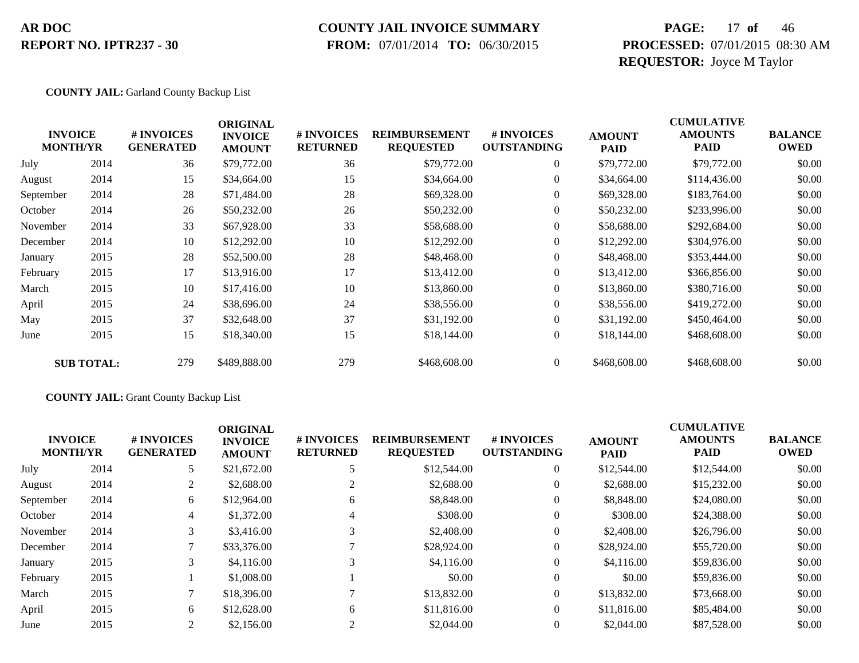### **COUNTY JAIL INVOICE SUMMARY**

 **FROM:** 07/01/2014 **TO:** 06/30/2015

### **PAGE:** 17 **of** 46 **PROCESSED:** 07/01/2015 08:30 AM **REQUESTOR:** Joyce M Taylor

#### **COUNTY JAIL:** Garland County Backup List

|           | <b>INVOICE</b><br><b>MONTH/YR</b> | # INVOICES<br><b>GENERATED</b> | <b>ORIGINAL</b><br><b>INVOICE</b><br><b>AMOUNT</b> | # INVOICES<br><b>RETURNED</b> | <b>REIMBURSEMENT</b><br><b>REQUESTED</b> | # INVOICES<br><b>OUTSTANDING</b> | <b>AMOUNT</b><br><b>PAID</b> | <b>CUMULATIVE</b><br><b>AMOUNTS</b><br>PAID | <b>BALANCE</b><br><b>OWED</b> |
|-----------|-----------------------------------|--------------------------------|----------------------------------------------------|-------------------------------|------------------------------------------|----------------------------------|------------------------------|---------------------------------------------|-------------------------------|
| July      | 2014                              | 36                             | \$79,772.00                                        | 36                            | \$79,772.00                              | $\overline{0}$                   | \$79,772.00                  | \$79,772.00                                 | \$0.00                        |
| August    | 2014                              | 15                             | \$34,664.00                                        | 15                            | \$34,664.00                              | $\overline{0}$                   | \$34,664.00                  | \$114,436.00                                | \$0.00                        |
| September | 2014                              | 28                             | \$71,484.00                                        | 28                            | \$69,328.00                              | $\overline{0}$                   | \$69,328.00                  | \$183,764.00                                | \$0.00                        |
| October   | 2014                              | 26                             | \$50,232.00                                        | 26                            | \$50,232.00                              | $\overline{0}$                   | \$50,232.00                  | \$233,996.00                                | \$0.00                        |
| November  | 2014                              | 33                             | \$67,928.00                                        | 33                            | \$58,688.00                              | $\overline{0}$                   | \$58,688.00                  | \$292,684.00                                | \$0.00                        |
| December  | 2014                              | 10                             | \$12,292.00                                        | 10                            | \$12,292.00                              | $\overline{0}$                   | \$12,292.00                  | \$304,976.00                                | \$0.00                        |
| January   | 2015                              | 28                             | \$52,500.00                                        | 28                            | \$48,468.00                              | $\overline{0}$                   | \$48,468.00                  | \$353,444.00                                | \$0.00                        |
| February  | 2015                              | 17                             | \$13,916.00                                        | 17                            | \$13,412.00                              | $\overline{0}$                   | \$13,412.00                  | \$366,856.00                                | \$0.00                        |
| March     | 2015                              | 10                             | \$17,416.00                                        | 10                            | \$13,860.00                              | $\overline{0}$                   | \$13,860.00                  | \$380,716.00                                | \$0.00                        |
| April     | 2015                              | 24                             | \$38,696.00                                        | 24                            | \$38,556.00                              | $\overline{0}$                   | \$38,556.00                  | \$419,272.00                                | \$0.00                        |
| May       | 2015                              | 37                             | \$32,648.00                                        | 37                            | \$31,192.00                              | $\overline{0}$                   | \$31,192.00                  | \$450,464.00                                | \$0.00                        |
| June      | 2015                              | 15                             | \$18,340.00                                        | 15                            | \$18,144.00                              | $\overline{0}$                   | \$18,144.00                  | \$468,608.00                                | \$0.00                        |
|           | <b>SUB TOTAL:</b>                 | 279                            | \$489,888.00                                       | 279                           | \$468,608.00                             | $\overline{0}$                   | \$468,608.00                 | \$468,608.00                                | \$0.00                        |

#### **COUNTY JAIL:** Grant County Backup List

|           | <b>INVOICE</b><br><b>MONTH/YR</b> | <b>#INVOICES</b><br><b>GENERATED</b> | <b>ORIGINAL</b><br><b>INVOICE</b><br><b>AMOUNT</b> | <b># INVOICES</b><br><b>RETURNED</b> | <b>REIMBURSEMENT</b><br><b>REQUESTED</b> | # INVOICES<br><b>OUTSTANDING</b> | <b>AMOUNT</b><br><b>PAID</b> | <b>CUMULATIVE</b><br><b>AMOUNTS</b><br><b>PAID</b> | <b>BALANCE</b><br><b>OWED</b> |
|-----------|-----------------------------------|--------------------------------------|----------------------------------------------------|--------------------------------------|------------------------------------------|----------------------------------|------------------------------|----------------------------------------------------|-------------------------------|
| July      | 2014                              | 5                                    | \$21,672.00                                        |                                      | \$12,544.00                              | $\overline{0}$                   | \$12,544.00                  | \$12,544.00                                        | \$0.00                        |
| August    | 2014                              | 2                                    | \$2,688.00                                         |                                      | \$2,688.00                               | $\theta$                         | \$2,688.00                   | \$15,232.00                                        | \$0.00                        |
| September | 2014                              | 6                                    | \$12,964.00                                        | 6                                    | \$8,848.00                               | $\theta$                         | \$8,848.00                   | \$24,080.00                                        | \$0.00                        |
| October   | 2014                              | 4                                    | \$1,372.00                                         | 4                                    | \$308.00                                 | $\theta$                         | \$308.00                     | \$24,388.00                                        | \$0.00                        |
| November  | 2014                              | 3                                    | \$3,416.00                                         |                                      | \$2,408.00                               | $\theta$                         | \$2,408.00                   | \$26,796.00                                        | \$0.00                        |
| December  | 2014                              |                                      | \$33,376.00                                        |                                      | \$28,924.00                              | $\theta$                         | \$28,924.00                  | \$55,720.00                                        | \$0.00                        |
| January   | 2015                              | 3                                    | \$4,116.00                                         |                                      | \$4,116.00                               | $\overline{0}$                   | \$4,116.00                   | \$59,836.00                                        | \$0.00                        |
| February  | 2015                              |                                      | \$1,008.00                                         |                                      | \$0.00                                   | $\theta$                         | \$0.00                       | \$59,836.00                                        | \$0.00                        |
| March     | 2015                              |                                      | \$18,396.00                                        |                                      | \$13,832.00                              | $\overline{0}$                   | \$13,832.00                  | \$73,668.00                                        | \$0.00                        |
| April     | 2015                              | 6                                    | \$12,628.00                                        | 6                                    | \$11,816.00                              | $\Omega$                         | \$11,816.00                  | \$85,484.00                                        | \$0.00                        |
| June      | 2015                              | 2                                    | \$2,156.00                                         |                                      | \$2,044.00                               | $\theta$                         | \$2,044.00                   | \$87,528.00                                        | \$0.00                        |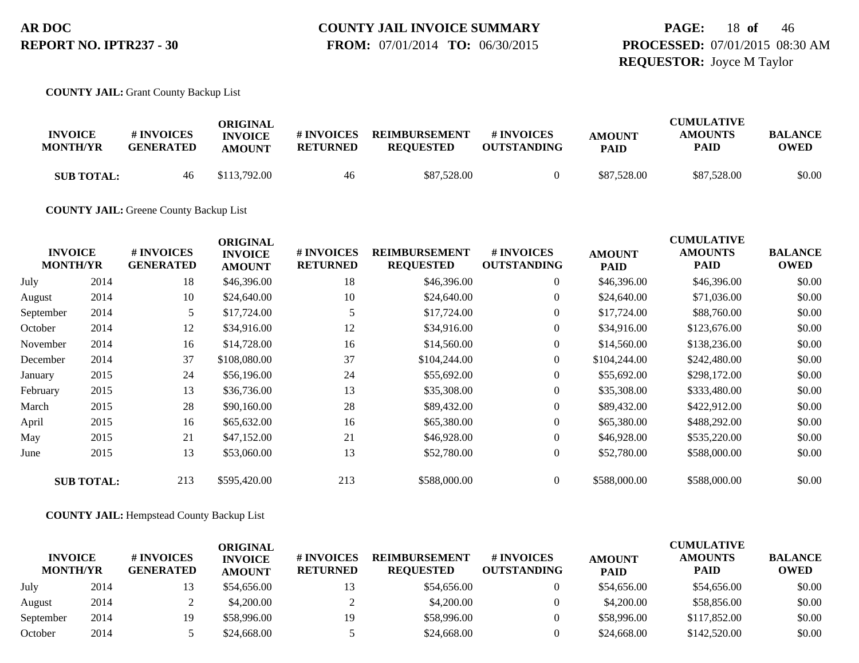### **PAGE:** 18 **of** 46 **PROCESSED:** 07/01/2015 08:30 AM **REQUESTOR:** Joyce M Taylor

**COUNTY JAIL:** Grant County Backup List

| <b>INVOICE</b><br><b>MONTH/YR</b> | # INVOICES<br><b>GENERATED</b> | ORIGINAL<br><b>INVOICE</b><br><b>AMOUNT</b> | # INVOICES<br><b>RETURNED</b> | <b>REIMBURSEMENT</b><br><b>REOUESTED</b> | # INVOICES<br><b>OUTSTANDING</b> | <b>AMOUNT</b><br><b>PAID</b> | <b>CUMULATIVE</b><br><b>AMOUNTS</b><br>PAID | <b>BALANCE</b><br><b>OWED</b> |
|-----------------------------------|--------------------------------|---------------------------------------------|-------------------------------|------------------------------------------|----------------------------------|------------------------------|---------------------------------------------|-------------------------------|
| <b>SUB TOTAL:</b>                 | 46                             | \$113,792.00                                | 46                            | \$87,528.00                              |                                  | \$87,528.00                  | \$87,528.00                                 | \$0.00                        |

**COUNTY JAIL:** Greene County Backup List

| <b>INVOICE</b><br><b>MONTH/YR</b> |                   | # INVOICES<br><b>GENERATED</b> | <b>ORIGINAL</b><br><b>INVOICE</b><br><b>AMOUNT</b> | # INVOICES<br><b>RETURNED</b> | <b>REIMBURSEMENT</b><br><b>REQUESTED</b> | # INVOICES<br><b>OUTSTANDING</b> | <b>AMOUNT</b><br><b>PAID</b> | <b>CUMULATIVE</b><br><b>AMOUNTS</b><br><b>PAID</b> | <b>BALANCE</b><br><b>OWED</b> |
|-----------------------------------|-------------------|--------------------------------|----------------------------------------------------|-------------------------------|------------------------------------------|----------------------------------|------------------------------|----------------------------------------------------|-------------------------------|
| July                              | 2014              | 18                             | \$46,396.00                                        | 18                            | \$46,396.00                              | $\overline{0}$                   | \$46,396.00                  | \$46,396.00                                        | \$0.00                        |
| August                            | 2014              | 10                             | \$24,640.00                                        | 10                            | \$24,640.00                              | $\boldsymbol{0}$                 | \$24,640.00                  | \$71,036.00                                        | \$0.00                        |
| September                         | 2014              | 5                              | \$17,724.00                                        |                               | \$17,724.00                              | $\overline{0}$                   | \$17,724.00                  | \$88,760.00                                        | \$0.00                        |
| October                           | 2014              | 12                             | \$34,916.00                                        | 12                            | \$34,916.00                              | $\boldsymbol{0}$                 | \$34,916.00                  | \$123,676.00                                       | \$0.00                        |
| November                          | 2014              | 16                             | \$14,728.00                                        | 16                            | \$14,560.00                              | $\boldsymbol{0}$                 | \$14,560.00                  | \$138,236.00                                       | \$0.00                        |
| December                          | 2014              | 37                             | \$108,080.00                                       | 37                            | \$104,244.00                             | $\overline{0}$                   | \$104,244.00                 | \$242,480.00                                       | \$0.00                        |
| January                           | 2015              | 24                             | \$56,196.00                                        | 24                            | \$55,692.00                              | $\overline{0}$                   | \$55,692.00                  | \$298,172.00                                       | \$0.00                        |
| February                          | 2015              | 13                             | \$36,736.00                                        | 13                            | \$35,308.00                              | $\boldsymbol{0}$                 | \$35,308.00                  | \$333,480.00                                       | \$0.00                        |
| March                             | 2015              | 28                             | \$90,160.00                                        | 28                            | \$89,432.00                              | $\overline{0}$                   | \$89,432.00                  | \$422,912.00                                       | \$0.00                        |
| April                             | 2015              | 16                             | \$65,632.00                                        | 16                            | \$65,380.00                              | $\overline{0}$                   | \$65,380.00                  | \$488,292.00                                       | \$0.00                        |
| May                               | 2015              | 21                             | \$47,152.00                                        | 21                            | \$46,928.00                              | $\overline{0}$                   | \$46,928.00                  | \$535,220.00                                       | \$0.00                        |
| June                              | 2015              | 13                             | \$53,060.00                                        | 13                            | \$52,780.00                              | $\boldsymbol{0}$                 | \$52,780.00                  | \$588,000.00                                       | \$0.00                        |
|                                   | <b>SUB TOTAL:</b> | 213                            | \$595,420.00                                       | 213                           | \$588,000.00                             | $\overline{0}$                   | \$588,000.00                 | \$588,000.00                                       | \$0.00                        |

**COUNTY JAIL:** Hempstead County Backup List

| <b>INVOICE</b><br><b>MONTH/YR</b> |      | # INVOICES<br><b>GENERATED</b> | ORIGINAL<br><b>INVOICE</b><br><b>AMOUNT</b> | # INVOICES<br><b>RETURNED</b> | <b>REIMBURSEMENT</b><br><b>REQUESTED</b> | # INVOICES<br><b>OUTSTANDING</b> | <b>AMOUNT</b><br><b>PAID</b> | <b>CUMULATIVE</b><br><b>AMOUNTS</b><br><b>PAID</b> | <b>BALANCE</b><br><b>OWED</b> |
|-----------------------------------|------|--------------------------------|---------------------------------------------|-------------------------------|------------------------------------------|----------------------------------|------------------------------|----------------------------------------------------|-------------------------------|
| July                              | 2014 |                                | \$54,656.00                                 | 13                            | \$54,656.00                              |                                  | \$54,656.00                  | \$54,656.00                                        | \$0.00                        |
| August                            | 2014 |                                | \$4,200.00                                  |                               | \$4,200.00                               |                                  | \$4,200.00                   | \$58,856.00                                        | \$0.00                        |
| September                         | 2014 | 19                             | \$58,996.00                                 | 19                            | \$58,996.00                              |                                  | \$58,996.00                  | \$117,852.00                                       | \$0.00                        |
| October                           | 2014 |                                | \$24,668.00                                 |                               | \$24,668.00                              |                                  | \$24,668.00                  | \$142,520.00                                       | \$0.00                        |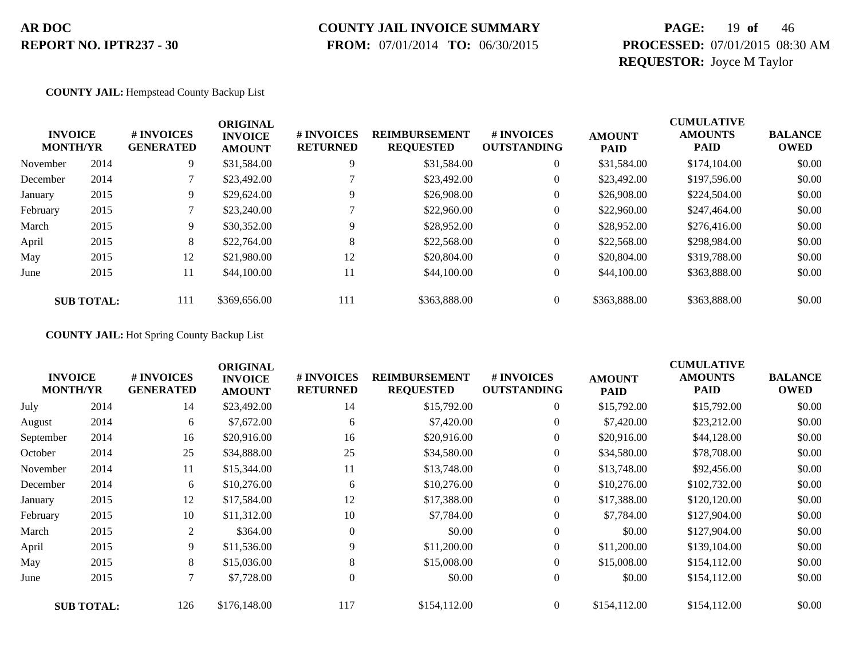# **COUNTY JAIL INVOICE SUMMARY**

 **FROM:** 07/01/2014 **TO:** 06/30/2015

### **PAGE:** 19 **of** 46 **PROCESSED:** 07/01/2015 08:30 AM **REQUESTOR:** Joyce M Taylor

#### **COUNTY JAIL:** Hempstead County Backup List

|          | <b>INVOICE</b><br><b>MONTH/YR</b> | # INVOICES<br><b>GENERATED</b> | <b>ORIGINAL</b><br><b>INVOICE</b><br><b>AMOUNT</b> | # INVOICES<br><b>RETURNED</b> | <b>REIMBURSEMENT</b><br><b>REQUESTED</b> | # INVOICES<br><b>OUTSTANDING</b> | <b>AMOUNT</b><br><b>PAID</b> | <b>CUMULATIVE</b><br><b>AMOUNTS</b><br><b>PAID</b> | <b>BALANCE</b><br><b>OWED</b> |
|----------|-----------------------------------|--------------------------------|----------------------------------------------------|-------------------------------|------------------------------------------|----------------------------------|------------------------------|----------------------------------------------------|-------------------------------|
| November | 2014                              | 9.                             | \$31,584.00                                        | 9                             | \$31,584.00                              | $\theta$                         | \$31,584.00                  | \$174,104.00                                       | \$0.00                        |
| December | 2014                              |                                | \$23,492.00                                        |                               | \$23,492.00                              | $\theta$                         | \$23,492.00                  | \$197,596.00                                       | \$0.00                        |
| January  | 2015                              | 9.                             | \$29,624.00                                        | Q                             | \$26,908.00                              | 0                                | \$26,908.00                  | \$224,504.00                                       | \$0.00                        |
| February | 2015                              |                                | \$23,240.00                                        |                               | \$22,960.00                              | 0                                | \$22,960.00                  | \$247,464.00                                       | \$0.00                        |
| March    | 2015                              | 9.                             | \$30,352.00                                        | q                             | \$28,952.00                              | $\boldsymbol{0}$                 | \$28,952.00                  | \$276,416.00                                       | \$0.00                        |
| April    | 2015                              | 8                              | \$22,764.00                                        | 8                             | \$22,568.00                              | $\boldsymbol{0}$                 | \$22,568.00                  | \$298,984.00                                       | \$0.00                        |
| May      | 2015                              | 12                             | \$21,980.00                                        | 12                            | \$20,804.00                              | $\overline{0}$                   | \$20,804.00                  | \$319,788.00                                       | \$0.00                        |
| June     | 2015                              | 11                             | \$44,100.00                                        | 11                            | \$44,100.00                              | $\overline{0}$                   | \$44,100.00                  | \$363,888.00                                       | \$0.00                        |
|          | <b>SUB TOTAL:</b>                 | 111                            | \$369,656.00                                       | 111                           | \$363,888.00                             |                                  | \$363,888.00                 | \$363,888.00                                       | \$0.00                        |

**COUNTY JAIL:** Hot Spring County Backup List

|           | <b>INVOICE</b><br><b>MONTH/YR</b> | # INVOICES<br><b>GENERATED</b> | <b>ORIGINAL</b><br><b>INVOICE</b><br><b>AMOUNT</b> | # INVOICES<br><b>RETURNED</b> | <b>REIMBURSEMENT</b><br><b>REQUESTED</b> | <b>#INVOICES</b><br><b>OUTSTANDING</b> | <b>AMOUNT</b><br><b>PAID</b> | <b>CUMULATIVE</b><br><b>AMOUNTS</b><br><b>PAID</b> | <b>BALANCE</b><br><b>OWED</b> |
|-----------|-----------------------------------|--------------------------------|----------------------------------------------------|-------------------------------|------------------------------------------|----------------------------------------|------------------------------|----------------------------------------------------|-------------------------------|
| July      | 2014                              | 14                             | \$23,492.00                                        | 14                            | \$15,792.00                              | $\boldsymbol{0}$                       | \$15,792.00                  | \$15,792.00                                        | \$0.00                        |
| August    | 2014                              | 6                              | \$7,672.00                                         | 6                             | \$7,420.00                               | $\overline{0}$                         | \$7,420.00                   | \$23,212.00                                        | \$0.00                        |
| September | 2014                              | 16                             | \$20,916.00                                        | 16                            | \$20,916.00                              | $\overline{0}$                         | \$20,916.00                  | \$44,128.00                                        | \$0.00                        |
| October   | 2014                              | 25                             | \$34,888.00                                        | 25                            | \$34,580.00                              | $\boldsymbol{0}$                       | \$34,580.00                  | \$78,708.00                                        | \$0.00                        |
| November  | 2014                              | 11                             | \$15,344.00                                        | 11                            | \$13,748.00                              | $\boldsymbol{0}$                       | \$13,748.00                  | \$92,456.00                                        | \$0.00                        |
| December  | 2014                              | 6                              | \$10,276.00                                        | 6                             | \$10,276.00                              | $\overline{0}$                         | \$10,276.00                  | \$102,732.00                                       | \$0.00                        |
| January   | 2015                              | 12                             | \$17,584.00                                        | 12                            | \$17,388.00                              | $\overline{0}$                         | \$17,388.00                  | \$120,120.00                                       | \$0.00                        |
| February  | 2015                              | 10                             | \$11,312.00                                        | 10                            | \$7,784.00                               | $\overline{0}$                         | \$7,784.00                   | \$127,904.00                                       | \$0.00                        |
| March     | 2015                              | 2                              | \$364.00                                           | $\Omega$                      | \$0.00                                   | $\overline{0}$                         | \$0.00                       | \$127,904.00                                       | \$0.00                        |
| April     | 2015                              | 9                              | \$11,536.00                                        | 9                             | \$11,200.00                              | $\overline{0}$                         | \$11,200.00                  | \$139,104.00                                       | \$0.00                        |
| May       | 2015                              | 8                              | \$15,036.00                                        | 8                             | \$15,008.00                              | $\overline{0}$                         | \$15,008.00                  | \$154,112.00                                       | \$0.00                        |
| June      | 2015                              | 7                              | \$7,728.00                                         | $\Omega$                      | \$0.00                                   | $\overline{0}$                         | \$0.00                       | \$154,112.00                                       | \$0.00                        |
|           | <b>SUB TOTAL:</b>                 | 126                            | \$176,148.00                                       | 117                           | \$154,112.00                             | $\overline{0}$                         | \$154,112.00                 | \$154,112.00                                       | \$0.00                        |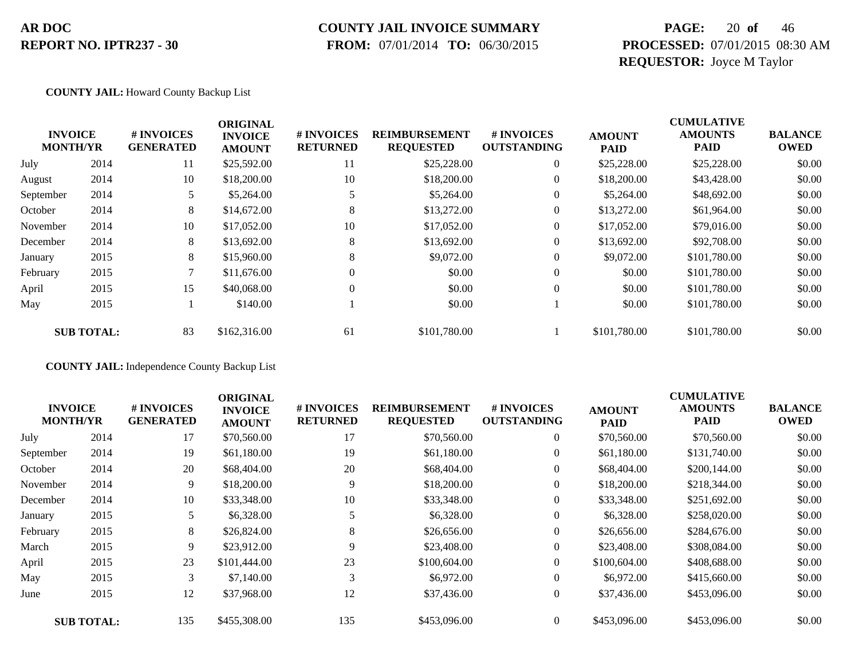### **COUNTY JAIL INVOICE SUMMARY**

 **FROM:** 07/01/2014 **TO:** 06/30/2015

### **PAGE:** 20 **of** 46 **PROCESSED:** 07/01/2015 08:30 AM **REQUESTOR:** Joyce M Taylor

#### **COUNTY JAIL:** Howard County Backup List

|                                   |                   |                                | <b>ORIGINAL</b>                 |                               |                                          |                                  |                              | <b>CUMULATIVE</b>             |                               |
|-----------------------------------|-------------------|--------------------------------|---------------------------------|-------------------------------|------------------------------------------|----------------------------------|------------------------------|-------------------------------|-------------------------------|
| <b>INVOICE</b><br><b>MONTH/YR</b> |                   | # INVOICES<br><b>GENERATED</b> | <b>INVOICE</b><br><b>AMOUNT</b> | # INVOICES<br><b>RETURNED</b> | <b>REIMBURSEMENT</b><br><b>REQUESTED</b> | # INVOICES<br><b>OUTSTANDING</b> | <b>AMOUNT</b><br><b>PAID</b> | <b>AMOUNTS</b><br><b>PAID</b> | <b>BALANCE</b><br><b>OWED</b> |
| July                              | 2014              | 11                             | \$25,592.00                     | 11                            | \$25,228.00                              | $\overline{0}$                   | \$25,228.00                  | \$25,228.00                   | \$0.00                        |
| August                            | 2014              | 10                             | \$18,200.00                     | 10                            | \$18,200.00                              | $\overline{0}$                   | \$18,200.00                  | \$43,428.00                   | \$0.00                        |
| September                         | 2014              | 5                              | \$5,264.00                      |                               | \$5,264.00                               | $\overline{0}$                   | \$5,264.00                   | \$48,692.00                   | \$0.00                        |
| October                           | 2014              | 8                              | \$14,672.00                     | 8                             | \$13,272.00                              | 0                                | \$13,272.00                  | \$61,964.00                   | \$0.00                        |
| November                          | 2014              | 10                             | \$17,052.00                     | 10                            | \$17,052.00                              | $\overline{0}$                   | \$17,052.00                  | \$79,016.00                   | \$0.00                        |
| December                          | 2014              | 8                              | \$13,692.00                     | 8                             | \$13,692.00                              | $\overline{0}$                   | \$13,692.00                  | \$92,708.00                   | \$0.00                        |
| January                           | 2015              | 8                              | \$15,960.00                     | 8                             | \$9,072.00                               | $\overline{0}$                   | \$9,072.00                   | \$101,780.00                  | \$0.00                        |
| February                          | 2015              |                                | \$11,676.00                     | $\theta$                      | \$0.00                                   | $\overline{0}$                   | \$0.00                       | \$101,780.00                  | \$0.00                        |
| April                             | 2015              | 15                             | \$40,068.00                     | $\Omega$                      | \$0.00                                   | $\theta$                         | \$0.00                       | \$101,780.00                  | \$0.00                        |
| May                               | 2015              |                                | \$140.00                        |                               | \$0.00                                   |                                  | \$0.00                       | \$101,780.00                  | \$0.00                        |
|                                   | <b>SUB TOTAL:</b> | 83                             | \$162,316.00                    | 61                            | \$101,780.00                             |                                  | \$101,780.00                 | \$101,780.00                  | \$0.00                        |

**COUNTY JAIL:** Independence County Backup List

|                                   |                   |                                       | <b>ORIGINAL</b>                 |                               |                                          |                                  |                              | <b>CUMULATIVE</b>             |                               |
|-----------------------------------|-------------------|---------------------------------------|---------------------------------|-------------------------------|------------------------------------------|----------------------------------|------------------------------|-------------------------------|-------------------------------|
| <b>INVOICE</b><br><b>MONTH/YR</b> |                   | <b># INVOICES</b><br><b>GENERATED</b> | <b>INVOICE</b><br><b>AMOUNT</b> | # INVOICES<br><b>RETURNED</b> | <b>REIMBURSEMENT</b><br><b>REQUESTED</b> | # INVOICES<br><b>OUTSTANDING</b> | <b>AMOUNT</b><br><b>PAID</b> | <b>AMOUNTS</b><br><b>PAID</b> | <b>BALANCE</b><br><b>OWED</b> |
| July                              | 2014              | 17                                    | \$70,560.00                     | 17                            | \$70,560.00                              | $\boldsymbol{0}$                 | \$70,560.00                  | \$70,560.00                   | \$0.00                        |
| September                         | 2014              | 19                                    | \$61,180.00                     | 19                            | \$61,180.00                              | $\boldsymbol{0}$                 | \$61,180.00                  | \$131,740.00                  | \$0.00                        |
| October                           | 2014              | 20                                    | \$68,404.00                     | 20                            | \$68,404.00                              | $\overline{0}$                   | \$68,404.00                  | \$200,144.00                  | \$0.00                        |
| November                          | 2014              | 9                                     | \$18,200.00                     | 9                             | \$18,200.00                              | $\overline{0}$                   | \$18,200.00                  | \$218,344.00                  | \$0.00                        |
| December                          | 2014              | 10                                    | \$33,348.00                     | 10                            | \$33,348.00                              | $\overline{0}$                   | \$33,348.00                  | \$251,692.00                  | \$0.00                        |
| January                           | 2015              | 5                                     | \$6,328.00                      | 5                             | \$6,328.00                               | $\boldsymbol{0}$                 | \$6,328.00                   | \$258,020.00                  | \$0.00                        |
| February                          | 2015              | 8                                     | \$26,824.00                     | 8                             | \$26,656.00                              | $\boldsymbol{0}$                 | \$26,656.00                  | \$284,676.00                  | \$0.00                        |
| March                             | 2015              | 9                                     | \$23,912.00                     | 9                             | \$23,408.00                              | $\boldsymbol{0}$                 | \$23,408.00                  | \$308,084.00                  | \$0.00                        |
| April                             | 2015              | 23                                    | \$101,444.00                    | 23                            | \$100,604.00                             | $\overline{0}$                   | \$100,604.00                 | \$408,688.00                  | \$0.00                        |
| May                               | 2015              | 3                                     | \$7,140.00                      | 3                             | \$6,972.00                               | $\overline{0}$                   | \$6,972.00                   | \$415,660.00                  | \$0.00                        |
| June                              | 2015              | 12                                    | \$37,968.00                     | 12                            | \$37,436.00                              | $\boldsymbol{0}$                 | \$37,436.00                  | \$453,096.00                  | \$0.00                        |
|                                   | <b>SUB TOTAL:</b> | 135                                   | \$455,308.00                    | 135                           | \$453,096.00                             | $\overline{0}$                   | \$453,096.00                 | \$453,096.00                  | \$0.00                        |
|                                   |                   |                                       |                                 |                               |                                          |                                  |                              |                               |                               |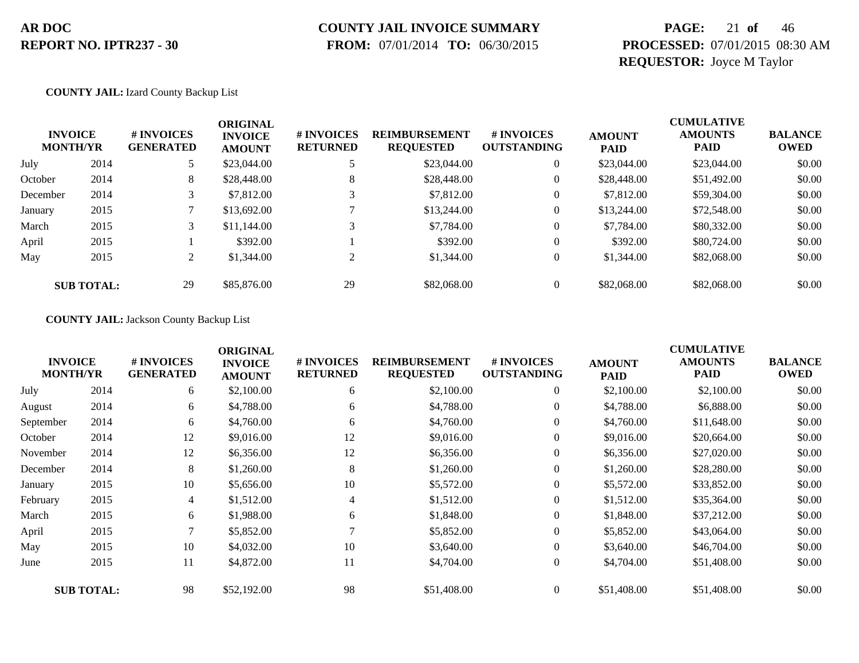### **COUNTY JAIL INVOICE SUMMARY**

 **FROM:** 07/01/2014 **TO:** 06/30/2015

### **PAGE:** 21 **of** 46 **PROCESSED:** 07/01/2015 08:30 AM **REQUESTOR:** Joyce M Taylor

**COUNTY JAIL:** Izard County Backup List

| <b>INVOICE</b><br><b>MONTH/YR</b> |                   | # INVOICES<br><b>GENERATED</b> | <b>ORIGINAL</b><br><b>INVOICE</b><br><b>AMOUNT</b> | # INVOICES<br><b>RETURNED</b> | <b>REIMBURSEMENT</b><br><b>REQUESTED</b> | # INVOICES<br><b>OUTSTANDING</b> | <b>AMOUNT</b><br><b>PAID</b> | <b>CUMULATIVE</b><br><b>AMOUNTS</b><br><b>PAID</b> | <b>BALANCE</b><br><b>OWED</b> |
|-----------------------------------|-------------------|--------------------------------|----------------------------------------------------|-------------------------------|------------------------------------------|----------------------------------|------------------------------|----------------------------------------------------|-------------------------------|
| July                              | 2014              |                                | \$23,044.00                                        |                               | \$23,044.00                              | $\theta$                         | \$23,044.00                  | \$23,044.00                                        | \$0.00                        |
| October                           | 2014              | 8                              | \$28,448.00                                        | 8                             | \$28,448.00                              | $\theta$                         | \$28,448.00                  | \$51,492.00                                        | \$0.00                        |
| December                          | 2014              | 3                              | \$7,812.00                                         |                               | \$7,812.00                               | 0                                | \$7,812.00                   | \$59,304.00                                        | \$0.00                        |
| January                           | 2015              |                                | \$13,692.00                                        |                               | \$13,244.00                              | $\theta$                         | \$13,244.00                  | \$72,548.00                                        | \$0.00                        |
| March                             | 2015              |                                | \$11,144.00                                        |                               | \$7,784.00                               | $\theta$                         | \$7,784.00                   | \$80,332.00                                        | \$0.00                        |
| April                             | 2015              |                                | \$392.00                                           |                               | \$392.00                                 | $\theta$                         | \$392.00                     | \$80,724.00                                        | \$0.00                        |
| May                               | 2015              | 2                              | \$1,344.00                                         |                               | \$1,344.00                               | $\overline{0}$                   | \$1,344.00                   | \$82,068.00                                        | \$0.00                        |
|                                   | <b>SUB TOTAL:</b> | 29                             | \$85,876.00                                        | 29                            | \$82,068.00                              |                                  | \$82,068.00                  | \$82,068.00                                        | \$0.00                        |

#### **COUNTY JAIL:** Jackson County Backup List

| <b>INVOICE</b><br><b>MONTH/YR</b> |                   | # INVOICES<br><b>GENERATED</b> | <b>ORIGINAL</b><br><b>INVOICE</b><br><b>AMOUNT</b> | # INVOICES<br><b>RETURNED</b> | <b>REIMBURSEMENT</b><br><b>REQUESTED</b> | # INVOICES<br><b>OUTSTANDING</b> | <b>AMOUNT</b><br>PAID | <b>CUMULATIVE</b><br><b>AMOUNTS</b><br><b>PAID</b> | <b>BALANCE</b><br><b>OWED</b> |
|-----------------------------------|-------------------|--------------------------------|----------------------------------------------------|-------------------------------|------------------------------------------|----------------------------------|-----------------------|----------------------------------------------------|-------------------------------|
| July                              | 2014              | 6                              | \$2,100.00                                         | 6                             | \$2,100.00                               | $\boldsymbol{0}$                 | \$2,100.00            | \$2,100.00                                         | \$0.00                        |
| August                            | 2014              | 6                              | \$4,788.00                                         | 6                             | \$4,788.00                               | 0                                | \$4,788.00            | \$6,888.00                                         | \$0.00                        |
| September                         | 2014              | 6                              | \$4,760.00                                         | 6                             | \$4,760.00                               | $\overline{0}$                   | \$4,760.00            | \$11,648.00                                        | \$0.00                        |
| October                           | 2014              | 12                             | \$9,016.00                                         | 12                            | \$9,016.00                               | 0                                | \$9,016.00            | \$20,664.00                                        | \$0.00                        |
| November                          | 2014              | 12                             | \$6,356.00                                         | 12                            | \$6,356.00                               | $\overline{0}$                   | \$6,356.00            | \$27,020.00                                        | \$0.00                        |
| December                          | 2014              | 8                              | \$1,260.00                                         | 8                             | \$1,260.00                               | $\overline{0}$                   | \$1,260.00            | \$28,280.00                                        | \$0.00                        |
| January                           | 2015              | 10                             | \$5,656.00                                         | 10                            | \$5,572.00                               | 0                                | \$5,572.00            | \$33,852.00                                        | \$0.00                        |
| February                          | 2015              | 4                              | \$1,512.00                                         | $\overline{4}$                | \$1,512.00                               | $\boldsymbol{0}$                 | \$1,512.00            | \$35,364.00                                        | \$0.00                        |
| March                             | 2015              | 6                              | \$1,988.00                                         | 6                             | \$1,848.00                               | 0                                | \$1,848.00            | \$37,212.00                                        | \$0.00                        |
| April                             | 2015              | 7                              | \$5,852.00                                         |                               | \$5,852.00                               | $\overline{0}$                   | \$5,852.00            | \$43,064.00                                        | \$0.00                        |
| May                               | 2015              | 10                             | \$4,032.00                                         | 10                            | \$3,640.00                               | $\overline{0}$                   | \$3,640.00            | \$46,704.00                                        | \$0.00                        |
| June                              | 2015              | 11                             | \$4,872.00                                         | 11                            | \$4,704.00                               | $\boldsymbol{0}$                 | \$4,704.00            | \$51,408.00                                        | \$0.00                        |
|                                   | <b>SUB TOTAL:</b> | 98                             | \$52,192.00                                        | 98                            | \$51,408.00                              | $\overline{0}$                   | \$51,408.00           | \$51,408.00                                        | \$0.00                        |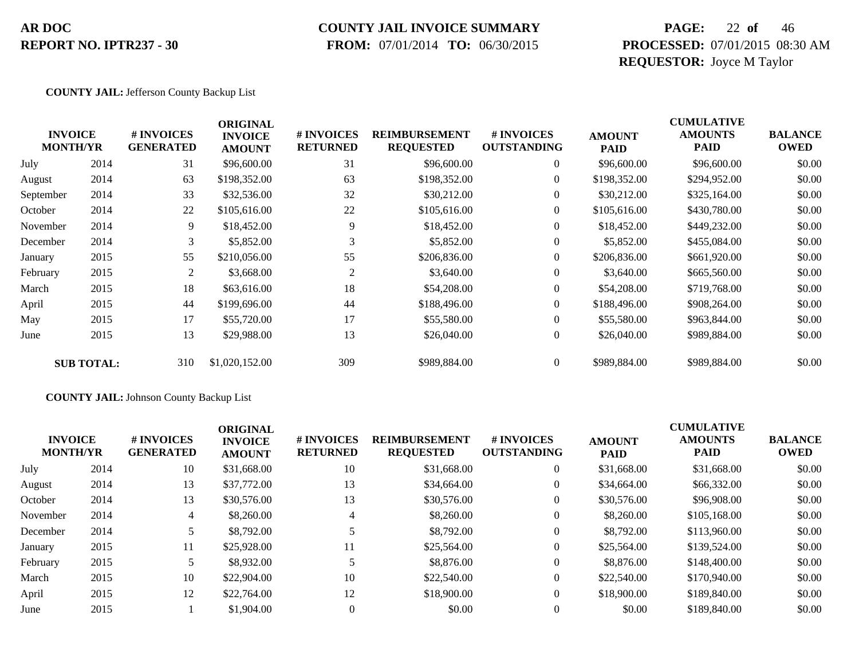# **COUNTY JAIL INVOICE SUMMARY**

 **FROM:** 07/01/2014 **TO:** 06/30/2015

### **PAGE:** 22 **of** 46 **PROCESSED:** 07/01/2015 08:30 AM **REQUESTOR:** Joyce M Taylor

#### **COUNTY JAIL:** Jefferson County Backup List

|           | <b>INVOICE</b><br><b>MONTH/YR</b> | # INVOICES<br><b>GENERATED</b> | <b>ORIGINAL</b><br><b>INVOICE</b><br><b>AMOUNT</b> | # INVOICES<br><b>RETURNED</b> | <b>REIMBURSEMENT</b><br><b>REQUESTED</b> | # INVOICES<br><b>OUTSTANDING</b> | <b>AMOUNT</b><br><b>PAID</b> | <b>CUMULATIVE</b><br><b>AMOUNTS</b><br>PAID | <b>BALANCE</b><br><b>OWED</b> |
|-----------|-----------------------------------|--------------------------------|----------------------------------------------------|-------------------------------|------------------------------------------|----------------------------------|------------------------------|---------------------------------------------|-------------------------------|
| July      | 2014                              | 31                             | \$96,600.00                                        | 31                            | \$96,600.00                              | $\overline{0}$                   | \$96,600.00                  | \$96,600.00                                 | \$0.00                        |
| August    | 2014                              | 63                             | \$198,352.00                                       | 63                            | \$198,352.00                             | $\overline{0}$                   | \$198,352.00                 | \$294,952.00                                | \$0.00                        |
| September | 2014                              | 33                             | \$32,536.00                                        | 32                            | \$30,212.00                              | $\overline{0}$                   | \$30,212.00                  | \$325,164.00                                | \$0.00                        |
| October   | 2014                              | 22                             | \$105,616.00                                       | 22                            | \$105,616.00                             | $\overline{0}$                   | \$105,616.00                 | \$430,780.00                                | \$0.00                        |
| November  | 2014                              | 9                              | \$18,452.00                                        | 9                             | \$18,452.00                              | $\overline{0}$                   | \$18,452.00                  | \$449,232.00                                | \$0.00                        |
| December  | 2014                              | 3                              | \$5,852.00                                         | 3                             | \$5,852.00                               | $\overline{0}$                   | \$5,852.00                   | \$455,084.00                                | \$0.00                        |
| January   | 2015                              | 55                             | \$210,056.00                                       | 55                            | \$206,836.00                             | $\overline{0}$                   | \$206,836.00                 | \$661,920.00                                | \$0.00                        |
| February  | 2015                              | 2                              | \$3,668.00                                         | 2                             | \$3,640.00                               | $\overline{0}$                   | \$3,640.00                   | \$665,560.00                                | \$0.00                        |
| March     | 2015                              | 18                             | \$63,616.00                                        | 18                            | \$54,208.00                              | $\overline{0}$                   | \$54,208.00                  | \$719,768.00                                | \$0.00                        |
| April     | 2015                              | 44                             | \$199,696.00                                       | 44                            | \$188,496.00                             | 0                                | \$188,496.00                 | \$908,264.00                                | \$0.00                        |
| May       | 2015                              | 17                             | \$55,720.00                                        | 17                            | \$55,580.00                              | $\overline{0}$                   | \$55,580.00                  | \$963,844.00                                | \$0.00                        |
| June      | 2015                              | 13                             | \$29,988.00                                        | 13                            | \$26,040.00                              | $\boldsymbol{0}$                 | \$26,040.00                  | \$989,884.00                                | \$0.00                        |
|           | <b>SUB TOTAL:</b>                 | 310                            | \$1,020,152.00                                     | 309                           | \$989,884.00                             | $\boldsymbol{0}$                 | \$989,884.00                 | \$989,884.00                                | \$0.00                        |

#### **COUNTY JAIL:** Johnson County Backup List

| <b>INVOICE</b><br><b>MONTH/YR</b> |      | # INVOICES<br><b>GENERATED</b> | <b>ORIGINAL</b><br><b>INVOICE</b><br><b>AMOUNT</b> | # INVOICES<br><b>RETURNED</b> | <b>REIMBURSEMENT</b><br><b>REQUESTED</b> | # INVOICES<br><b>OUTSTANDING</b> | <b>AMOUNT</b><br><b>PAID</b> | <b>CUMULATIVE</b><br><b>AMOUNTS</b><br>PAID | <b>BALANCE</b><br><b>OWED</b> |
|-----------------------------------|------|--------------------------------|----------------------------------------------------|-------------------------------|------------------------------------------|----------------------------------|------------------------------|---------------------------------------------|-------------------------------|
| July                              | 2014 | 10                             | \$31,668.00                                        | 10                            | \$31,668.00                              | $\overline{0}$                   | \$31,668.00                  | \$31,668.00                                 | \$0.00                        |
| August                            | 2014 | 13                             | \$37,772.00                                        | 13                            | \$34,664.00                              | $\overline{0}$                   | \$34,664.00                  | \$66,332.00                                 | \$0.00                        |
| October                           | 2014 | 13                             | \$30,576.00                                        | 13                            | \$30,576.00                              | $\overline{0}$                   | \$30,576.00                  | \$96,908.00                                 | \$0.00                        |
| November                          | 2014 | $\overline{4}$                 | \$8,260.00                                         | 4                             | \$8,260.00                               | $\theta$                         | \$8,260.00                   | \$105,168.00                                | \$0.00                        |
| December                          | 2014 |                                | \$8,792.00                                         |                               | \$8,792.00                               | $\overline{0}$                   | \$8,792.00                   | \$113,960.00                                | \$0.00                        |
| January                           | 2015 | 11                             | \$25,928.00                                        | 11                            | \$25,564.00                              | $\overline{0}$                   | \$25,564.00                  | \$139,524.00                                | \$0.00                        |
| February                          | 2015 |                                | \$8,932.00                                         |                               | \$8,876.00                               | $\overline{0}$                   | \$8,876.00                   | \$148,400.00                                | \$0.00                        |
| March                             | 2015 | 10                             | \$22,904.00                                        | 10                            | \$22,540.00                              | $\overline{0}$                   | \$22,540.00                  | \$170,940.00                                | \$0.00                        |
| April                             | 2015 | 12                             | \$22,764.00                                        | 12                            | \$18,900.00                              | $\overline{0}$                   | \$18,900.00                  | \$189,840.00                                | \$0.00                        |
| June                              | 2015 |                                | \$1,904.00                                         |                               | \$0.00                                   | $\overline{0}$                   | \$0.00                       | \$189,840.00                                | \$0.00                        |
|                                   |      |                                |                                                    |                               |                                          |                                  |                              |                                             |                               |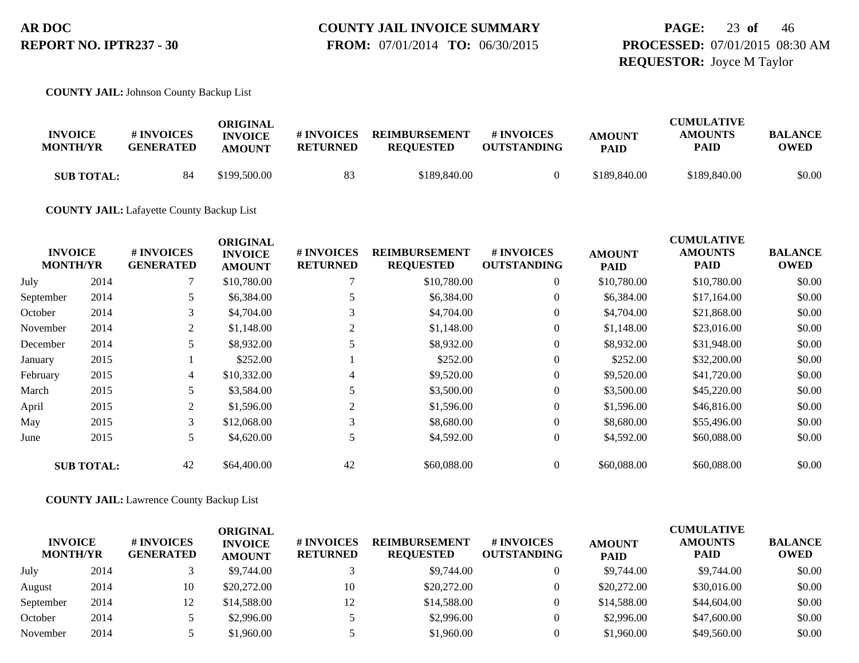### **PAGE:** 23 **of** 46 **PROCESSED:** 07/01/2015 08:30 AM **REQUESTOR:** Joyce M Taylor

**COUNTY JAIL:** Johnson County Backup List

| <b>INVOICE</b><br><b>MONTH/YR</b> | # INVOICES<br><b>GENERATED</b> | ORIGINAL<br><b>INVOICE</b><br><b>AMOUNT</b> | # INVOICES<br>RETURNED | <b>REIMBURSEMENT</b><br><b>REOUESTED</b> | <b>#INVOICES</b><br><b>OUTSTANDING</b> | <b>AMOUNT</b><br><b>PAID</b> | <b>CUMULATIVE</b><br><b>AMOUNTS</b><br><b>PAID</b> | <b>BALANCE</b><br><b>OWED</b> |
|-----------------------------------|--------------------------------|---------------------------------------------|------------------------|------------------------------------------|----------------------------------------|------------------------------|----------------------------------------------------|-------------------------------|
| <b>SUB TOTAL:</b>                 | 84                             | \$199,500.00                                | 83                     | \$189,840.00                             |                                        | \$189,840.00                 | \$189,840.00                                       | \$0.00                        |

**COUNTY JAIL:** Lafayette County Backup List

|                                   |                   |                                | <b>ORIGINAL</b>                 |                               |                                          |                                  |                              | <b>CUMULATIVE</b>      |                               |
|-----------------------------------|-------------------|--------------------------------|---------------------------------|-------------------------------|------------------------------------------|----------------------------------|------------------------------|------------------------|-------------------------------|
| <b>INVOICE</b><br><b>MONTH/YR</b> |                   | # INVOICES<br><b>GENERATED</b> | <b>INVOICE</b><br><b>AMOUNT</b> | # INVOICES<br><b>RETURNED</b> | <b>REIMBURSEMENT</b><br><b>REQUESTED</b> | # INVOICES<br><b>OUTSTANDING</b> | <b>AMOUNT</b><br><b>PAID</b> | <b>AMOUNTS</b><br>PAID | <b>BALANCE</b><br><b>OWED</b> |
| July                              | 2014              |                                | \$10,780.00                     |                               | \$10,780.00                              | $\overline{0}$                   | \$10,780.00                  | \$10,780.00            | \$0.00                        |
| September                         | 2014              | 5                              | \$6,384.00                      |                               | \$6,384.00                               | $\boldsymbol{0}$                 | \$6,384.00                   | \$17,164.00            | \$0.00                        |
| October                           | 2014              | 3                              | \$4,704.00                      | 3                             | \$4,704.00                               | $\overline{0}$                   | \$4,704.00                   | \$21,868.00            | \$0.00                        |
| November                          | 2014              | 2                              | \$1,148.00                      |                               | \$1,148.00                               | $\overline{0}$                   | \$1,148.00                   | \$23,016.00            | \$0.00                        |
| December                          | 2014              | 5                              | \$8,932.00                      |                               | \$8,932.00                               | $\overline{0}$                   | \$8,932.00                   | \$31,948.00            | \$0.00                        |
| January                           | 2015              |                                | \$252.00                        |                               | \$252.00                                 | $\overline{0}$                   | \$252.00                     | \$32,200.00            | \$0.00                        |
| February                          | 2015              | 4                              | \$10,332.00                     | 4                             | \$9,520.00                               | $\overline{0}$                   | \$9,520.00                   | \$41,720.00            | \$0.00                        |
| March                             | 2015              | 5                              | \$3,584.00                      |                               | \$3,500.00                               | $\overline{0}$                   | \$3,500.00                   | \$45,220.00            | \$0.00                        |
| April                             | 2015              | 2                              | \$1,596.00                      |                               | \$1,596.00                               | $\overline{0}$                   | \$1,596.00                   | \$46,816.00            | \$0.00                        |
| May                               | 2015              | 3                              | \$12,068.00                     | 3                             | \$8,680.00                               | $\overline{0}$                   | \$8,680.00                   | \$55,496.00            | \$0.00                        |
| June                              | 2015              | 5                              | \$4,620.00                      |                               | \$4,592.00                               | $\mathbf{0}$                     | \$4,592.00                   | \$60,088.00            | \$0.00                        |
|                                   | <b>SUB TOTAL:</b> | 42                             | \$64,400.00                     | 42                            | \$60,088,00                              | $\overline{0}$                   | \$60,088.00                  | \$60,088.00            | \$0.00                        |

**COUNTY JAIL:** Lawrence County Backup List

| <b>INVOICE</b><br><b>MONTH/YR</b> |      | # INVOICES<br><b>GENERATED</b> | ORIGINAL<br><b>INVOICE</b><br><b>AMOUNT</b> | # INVOICES<br><b>RETURNED</b> | <b>REIMBURSEMENT</b><br><b>REOUESTED</b> | # INVOICES<br><b>OUTSTANDING</b> | <b>AMOUNT</b><br><b>PAID</b> | <b>CUMULATIVE</b><br><b>AMOUNTS</b><br><b>PAID</b> | <b>BALANCE</b><br><b>OWED</b> |
|-----------------------------------|------|--------------------------------|---------------------------------------------|-------------------------------|------------------------------------------|----------------------------------|------------------------------|----------------------------------------------------|-------------------------------|
| July                              | 2014 |                                | \$9,744.00                                  |                               | \$9,744.00                               |                                  | \$9,744.00                   | \$9,744.00                                         | \$0.00                        |
| August                            | 2014 | 10                             | \$20,272.00                                 | 10                            | \$20,272.00                              |                                  | \$20,272.00                  | \$30,016.00                                        | \$0.00                        |
| September                         | 2014 | 12                             | \$14,588.00                                 | 12                            | \$14,588,00                              |                                  | \$14,588.00                  | \$44,604.00                                        | \$0.00                        |
| October                           | 2014 |                                | \$2,996.00                                  |                               | \$2,996.00                               |                                  | \$2,996.00                   | \$47,600.00                                        | \$0.00                        |
| November                          | 2014 |                                | \$1,960.00                                  |                               | \$1,960.00                               |                                  | \$1,960.00                   | \$49,560.00                                        | \$0.00                        |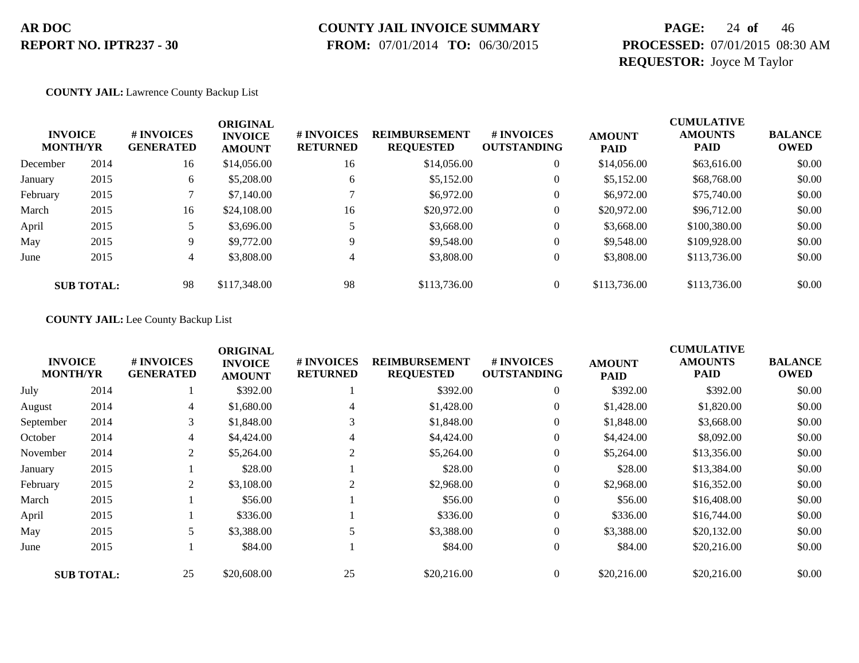# **COUNTY JAIL INVOICE SUMMARY**

 **FROM:** 07/01/2014 **TO:** 06/30/2015

### **PAGE:** 24 **of** 46 **PROCESSED:** 07/01/2015 08:30 AM **REQUESTOR:** Joyce M Taylor

#### **COUNTY JAIL:** Lawrence County Backup List

| <b>INVOICE</b><br><b>MONTH/YR</b> |                   | # INVOICES<br><b>GENERATED</b> | <b>ORIGINAL</b><br><b>INVOICE</b><br><b>AMOUNT</b> | # INVOICES<br><b>RETURNED</b> | <b>REIMBURSEMENT</b><br><b>REQUESTED</b> | # INVOICES<br><b>OUTSTANDING</b> | <b>AMOUNT</b><br><b>PAID</b> | <b>CUMULATIVE</b><br><b>AMOUNTS</b><br><b>PAID</b> | <b>BALANCE</b><br>OWED |
|-----------------------------------|-------------------|--------------------------------|----------------------------------------------------|-------------------------------|------------------------------------------|----------------------------------|------------------------------|----------------------------------------------------|------------------------|
| December                          | 2014              | 16                             | \$14,056.00                                        | 16                            | \$14,056.00                              | $\overline{0}$                   | \$14,056.00                  | \$63,616.00                                        | \$0.00                 |
| January                           | 2015              | 6                              | \$5,208.00                                         | 6                             | \$5,152.00                               | $\mathbf{0}$                     | \$5,152.00                   | \$68,768.00                                        | \$0.00                 |
| February                          | 2015              |                                | \$7,140.00                                         |                               | \$6,972.00                               | 0                                | \$6,972.00                   | \$75,740.00                                        | \$0.00                 |
| March                             | 2015              | 16                             | \$24,108.00                                        | 16                            | \$20,972.00                              | $\mathbf{0}$                     | \$20,972.00                  | \$96,712.00                                        | \$0.00                 |
| April                             | 2015              |                                | \$3,696.00                                         |                               | \$3,668.00                               | $\mathbf{0}$                     | \$3,668.00                   | \$100,380.00                                       | \$0.00                 |
| May                               | 2015              | 9                              | \$9,772.00                                         | Q                             | \$9,548.00                               | $\mathbf{0}$                     | \$9,548.00                   | \$109,928.00                                       | \$0.00                 |
| June                              | 2015              | 4                              | \$3,808.00                                         | 4                             | \$3,808.00                               | $\overline{0}$                   | \$3,808.00                   | \$113,736.00                                       | \$0.00                 |
|                                   | <b>SUB TOTAL:</b> | 98                             | \$117,348.00                                       | 98                            | \$113,736.00                             | $\Omega$                         | \$113,736.00                 | \$113,736.00                                       | \$0.00                 |

#### **COUNTY JAIL:** Lee County Backup List

|                                   |                   |                                | <b>ORIGINAL</b>                 |                               |                                          |                                  |                              | <b>CUMULATIVE</b>             |                               |
|-----------------------------------|-------------------|--------------------------------|---------------------------------|-------------------------------|------------------------------------------|----------------------------------|------------------------------|-------------------------------|-------------------------------|
| <b>INVOICE</b><br><b>MONTH/YR</b> |                   | # INVOICES<br><b>GENERATED</b> | <b>INVOICE</b><br><b>AMOUNT</b> | # INVOICES<br><b>RETURNED</b> | <b>REIMBURSEMENT</b><br><b>REQUESTED</b> | # INVOICES<br><b>OUTSTANDING</b> | <b>AMOUNT</b><br><b>PAID</b> | <b>AMOUNTS</b><br><b>PAID</b> | <b>BALANCE</b><br><b>OWED</b> |
| July                              | 2014              |                                | \$392.00                        |                               | \$392.00                                 | $\overline{0}$                   | \$392.00                     | \$392.00                      | \$0.00                        |
| August                            | 2014              | 4                              | \$1,680.00                      | 4                             | \$1,428.00                               | $\overline{0}$                   | \$1,428.00                   | \$1,820.00                    | \$0.00                        |
| September                         | 2014              | 3                              | \$1,848.00                      | 3                             | \$1,848.00                               | $\overline{0}$                   | \$1,848.00                   | \$3,668.00                    | \$0.00                        |
| October                           | 2014              | 4                              | \$4,424.00                      | 4                             | \$4,424.00                               | $\overline{0}$                   | \$4,424.00                   | \$8,092.00                    | \$0.00                        |
| November                          | 2014              | $\overline{c}$                 | \$5,264.00                      | 2                             | \$5,264.00                               | $\overline{0}$                   | \$5,264.00                   | \$13,356.00                   | \$0.00                        |
| January                           | 2015              |                                | \$28.00                         |                               | \$28.00                                  | $\overline{0}$                   | \$28.00                      | \$13,384.00                   | \$0.00                        |
| February                          | 2015              | $\overline{c}$                 | \$3,108.00                      | 2                             | \$2,968.00                               | $\overline{0}$                   | \$2,968.00                   | \$16,352.00                   | \$0.00                        |
| March                             | 2015              |                                | \$56.00                         |                               | \$56.00                                  | $\mathbf{0}$                     | \$56.00                      | \$16,408.00                   | \$0.00                        |
| April                             | 2015              |                                | \$336.00                        |                               | \$336.00                                 | $\overline{0}$                   | \$336.00                     | \$16,744.00                   | \$0.00                        |
| May                               | 2015              |                                | \$3,388.00                      |                               | \$3,388.00                               | $\overline{0}$                   | \$3,388.00                   | \$20,132.00                   | \$0.00                        |
| June                              | 2015              |                                | \$84.00                         |                               | \$84.00                                  | $\mathbf{0}$                     | \$84.00                      | \$20,216.00                   | \$0.00                        |
|                                   | <b>SUB TOTAL:</b> | 25                             | \$20,608.00                     | 25                            | \$20,216.00                              | $\overline{0}$                   | \$20,216.00                  | \$20,216.00                   | \$0.00                        |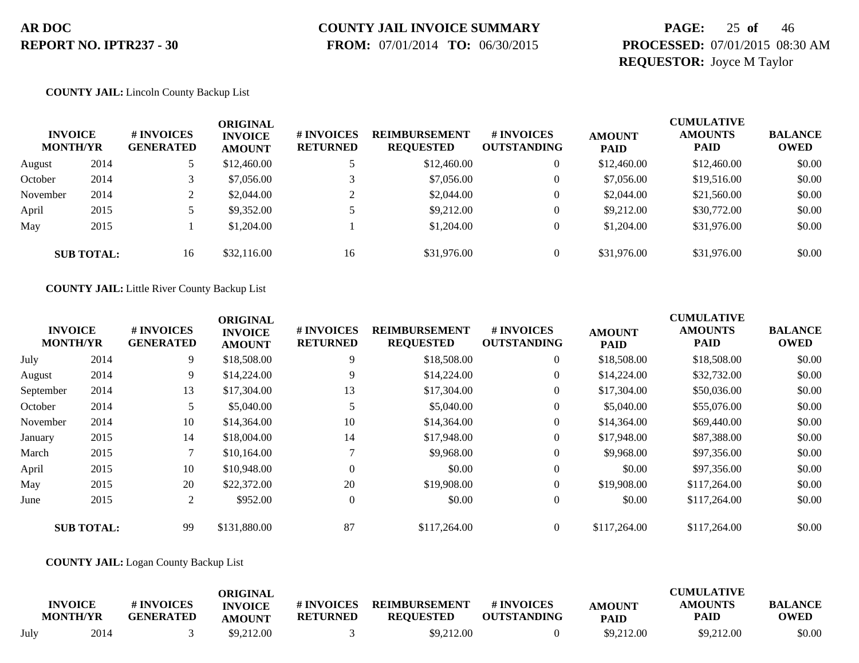# **COUNTY JAIL INVOICE SUMMARY**

 **FROM:** 07/01/2014 **TO:** 06/30/2015

### **PAGE:** 25 **of** 46 **PROCESSED:** 07/01/2015 08:30 AM **REQUESTOR:** Joyce M Taylor

#### **COUNTY JAIL:** Lincoln County Backup List

| <b>INVOICE</b><br><b>MONTH/YR</b> |                   | # INVOICES<br><b>GENERATED</b> | ORIGINAL<br><b>INVOICE</b><br><b>AMOUNT</b> | <b># INVOICES</b><br><b>RETURNED</b> | <b>REIMBURSEMENT</b><br><b>REQUESTED</b> | <b>#INVOICES</b><br><b>OUTSTANDING</b> | <b>AMOUNT</b><br><b>PAID</b> | <b>CUMULATIVE</b><br><b>AMOUNTS</b><br><b>PAID</b> | <b>BALANCE</b><br><b>OWED</b> |
|-----------------------------------|-------------------|--------------------------------|---------------------------------------------|--------------------------------------|------------------------------------------|----------------------------------------|------------------------------|----------------------------------------------------|-------------------------------|
| August                            | 2014              |                                | \$12,460.00                                 |                                      | \$12,460.00                              |                                        | \$12,460.00                  | \$12,460.00                                        | \$0.00                        |
| October                           | 2014              |                                | \$7,056.00                                  |                                      | \$7,056.00                               |                                        | \$7,056.00                   | \$19,516.00                                        | \$0.00                        |
| November                          | 2014              |                                | \$2,044.00                                  |                                      | \$2,044.00                               |                                        | \$2,044.00                   | \$21,560.00                                        | \$0.00                        |
| April                             | 2015              |                                | \$9,352.00                                  |                                      | \$9,212.00                               |                                        | \$9,212.00                   | \$30,772.00                                        | \$0.00                        |
| May                               | 2015              |                                | \$1,204.00                                  |                                      | \$1,204.00                               |                                        | \$1,204.00                   | \$31,976.00                                        | \$0.00                        |
|                                   | <b>SUB TOTAL:</b> | 16                             | \$32,116.00                                 | 16                                   | \$31,976.00                              |                                        | \$31,976.00                  | \$31,976.00                                        | \$0.00                        |

**COUNTY JAIL:** Little River County Backup List

|           |                                   |                                | <b>ORIGINAL</b>                 |                               |                                          |                                        |                              | <b>CUMULATIVE</b>             |                               |
|-----------|-----------------------------------|--------------------------------|---------------------------------|-------------------------------|------------------------------------------|----------------------------------------|------------------------------|-------------------------------|-------------------------------|
|           | <b>INVOICE</b><br><b>MONTH/YR</b> | # INVOICES<br><b>GENERATED</b> | <b>INVOICE</b><br><b>AMOUNT</b> | # INVOICES<br><b>RETURNED</b> | <b>REIMBURSEMENT</b><br><b>REQUESTED</b> | <b>#INVOICES</b><br><b>OUTSTANDING</b> | <b>AMOUNT</b><br><b>PAID</b> | <b>AMOUNTS</b><br><b>PAID</b> | <b>BALANCE</b><br><b>OWED</b> |
| July      | 2014                              | 9                              | \$18,508.00                     | 9                             | \$18,508.00                              | $\overline{0}$                         | \$18,508.00                  | \$18,508.00                   | \$0.00                        |
| August    | 2014                              | 9                              | \$14,224.00                     | 9                             | \$14,224.00                              |                                        | \$14,224.00                  | \$32,732.00                   | \$0.00                        |
| September | 2014                              | 13                             | \$17,304.00                     | 13                            | \$17,304.00                              | $\theta$                               | \$17,304.00                  | \$50,036.00                   | \$0.00                        |
| October   | 2014                              | 5.                             | \$5,040.00                      |                               | \$5,040.00                               |                                        | \$5,040.00                   | \$55,076.00                   | \$0.00                        |
| November  | 2014                              | 10                             | \$14,364.00                     | 10                            | \$14,364.00                              | $\overline{0}$                         | \$14,364.00                  | \$69,440.00                   | \$0.00                        |
| January   | 2015                              | 14                             | \$18,004.00                     | 14                            | \$17,948.00                              | $\overline{0}$                         | \$17,948.00                  | \$87,388.00                   | \$0.00                        |
| March     | 2015                              |                                | \$10,164.00                     |                               | \$9,968.00                               | $\overline{0}$                         | \$9,968.00                   | \$97,356.00                   | \$0.00                        |
| April     | 2015                              | 10                             | \$10,948.00                     | $\Omega$                      | \$0.00                                   | $\overline{0}$                         | \$0.00                       | \$97,356.00                   | \$0.00                        |
| May       | 2015                              | 20                             | \$22,372.00                     | 20                            | \$19,908.00                              | $\Omega$                               | \$19,908.00                  | \$117,264.00                  | \$0.00                        |
| June      | 2015                              | 2                              | \$952.00                        | $\overline{0}$                | \$0.00                                   | $\overline{0}$                         | \$0.00                       | \$117,264.00                  | \$0.00                        |
|           | <b>SUB TOTAL:</b>                 | 99                             | \$131,880.00                    | 87                            | \$117,264.00                             | $\Omega$                               | \$117,264.00                 | \$117,264.00                  | \$0.00                        |

#### **COUNTY JAIL:** Logan County Backup List

|      | <b>INVOICE</b><br><b>MONTH/YR</b> | # INVOICES<br><b>GENERATED</b> | ORIGINAL<br><b>INVOICE</b><br><b>AMOUNT</b> | # INVOICES<br><b>RETURNED</b> | <b>REIMBURSEMENT</b><br><b>REOUESTED</b> | # INVOICES<br><b>OUTSTANDING</b> | <b>AMOUNT</b><br><b>PAID</b> | <b>CUMULATIVE</b><br><b>AMOUNTS</b><br>PAID | <b>BALANCE</b><br><b>OWED</b> |
|------|-----------------------------------|--------------------------------|---------------------------------------------|-------------------------------|------------------------------------------|----------------------------------|------------------------------|---------------------------------------------|-------------------------------|
| July | 2014                              |                                | \$9,212.00                                  |                               | \$9,212.00                               |                                  | \$9,212.00                   | \$9,212.00                                  | \$0.00                        |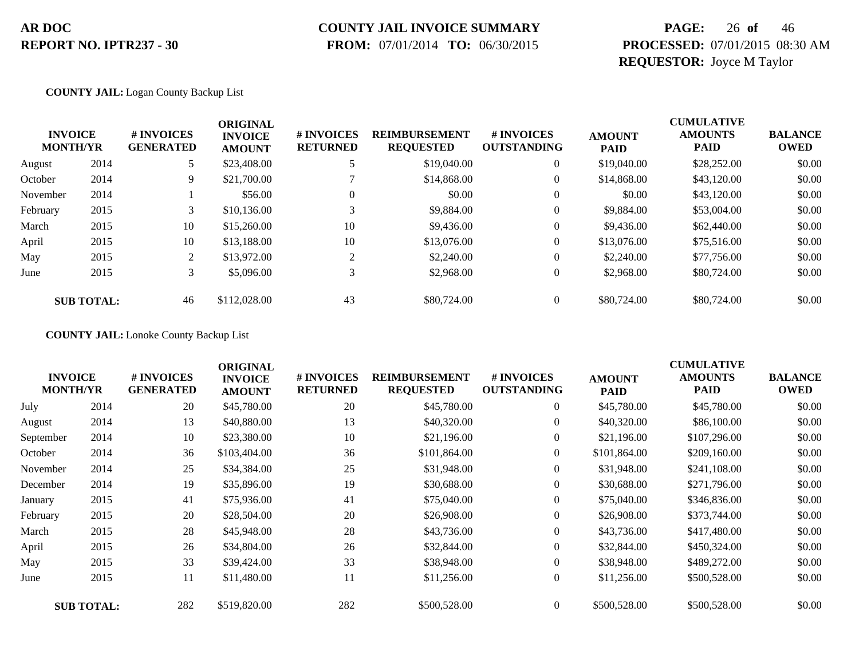### **COUNTY JAIL INVOICE SUMMARY**

 **FROM:** 07/01/2014 **TO:** 06/30/2015

### **PAGE:** 26 **of** 46 **PROCESSED:** 07/01/2015 08:30 AM **REQUESTOR:** Joyce M Taylor

#### **COUNTY JAIL:** Logan County Backup List

|          | <b>INVOICE</b><br><b>MONTH/YR</b> | # INVOICES<br><b>GENERATED</b> | <b>ORIGINAL</b><br><b>INVOICE</b><br><b>AMOUNT</b> | # INVOICES<br><b>RETURNED</b> | <b>REIMBURSEMENT</b><br><b>REQUESTED</b> | # INVOICES<br><b>OUTSTANDING</b> | <b>AMOUNT</b><br><b>PAID</b> | <b>CUMULATIVE</b><br><b>AMOUNTS</b><br><b>PAID</b> | <b>BALANCE</b><br><b>OWED</b> |
|----------|-----------------------------------|--------------------------------|----------------------------------------------------|-------------------------------|------------------------------------------|----------------------------------|------------------------------|----------------------------------------------------|-------------------------------|
| August   | 2014                              |                                | \$23,408.00                                        | 5                             | \$19,040.00                              | $\overline{0}$                   | \$19,040.00                  | \$28,252.00                                        | \$0.00                        |
| October  | 2014                              | 9                              | \$21,700.00                                        |                               | \$14,868,00                              | $\mathbf{0}$                     | \$14,868,00                  | \$43,120.00                                        | \$0.00                        |
| November | 2014                              |                                | \$56.00                                            | 0                             | \$0.00                                   | $\boldsymbol{0}$                 | \$0.00                       | \$43,120.00                                        | \$0.00                        |
| February | 2015                              | 3                              | \$10,136.00                                        |                               | \$9,884.00                               | 0                                | \$9,884.00                   | \$53,004.00                                        | \$0.00                        |
| March    | 2015                              | 10                             | \$15,260.00                                        | 10                            | \$9,436.00                               | 0                                | \$9,436.00                   | \$62,440.00                                        | \$0.00                        |
| April    | 2015                              | 10                             | \$13,188.00                                        | 10                            | \$13,076.00                              | 0                                | \$13,076.00                  | \$75,516.00                                        | \$0.00                        |
| May      | 2015                              | 2                              | \$13,972.00                                        | $\sim$                        | \$2,240.00                               | $\mathbf{0}$                     | \$2,240.00                   | \$77,756.00                                        | \$0.00                        |
| June     | 2015                              | 3                              | \$5,096.00                                         | 3                             | \$2,968.00                               | $\theta$                         | \$2,968.00                   | \$80,724.00                                        | \$0.00                        |
|          | <b>SUB TOTAL:</b>                 | 46                             | \$112,028.00                                       | 43                            | \$80,724.00                              |                                  | \$80,724.00                  | \$80,724.00                                        | \$0.00                        |

**COUNTY JAIL:** Lonoke County Backup List

| <b>INVOICE</b><br><b>MONTH/YR</b> |                   | # INVOICES<br><b>GENERATED</b> | <b>ORIGINAL</b><br><b>INVOICE</b><br><b>AMOUNT</b> | # INVOICES<br><b>RETURNED</b> | <b>REIMBURSEMENT</b><br><b>REQUESTED</b> | # INVOICES<br><b>OUTSTANDING</b> | <b>AMOUNT</b><br><b>PAID</b> | <b>CUMULATIVE</b><br><b>AMOUNTS</b><br><b>PAID</b> | <b>BALANCE</b><br><b>OWED</b> |
|-----------------------------------|-------------------|--------------------------------|----------------------------------------------------|-------------------------------|------------------------------------------|----------------------------------|------------------------------|----------------------------------------------------|-------------------------------|
| July                              | 2014              | 20                             | \$45,780.00                                        | 20                            | \$45,780.00                              | $\overline{0}$                   | \$45,780.00                  | \$45,780.00                                        | \$0.00                        |
| August                            | 2014              | 13                             | \$40,880.00                                        | 13                            | \$40,320.00                              | $\overline{0}$                   | \$40,320.00                  | \$86,100.00                                        | \$0.00                        |
| September                         | 2014              | 10                             | \$23,380.00                                        | 10                            | \$21,196.00                              | $\overline{0}$                   | \$21,196.00                  | \$107,296.00                                       | \$0.00                        |
| October                           | 2014              | 36                             | \$103,404.00                                       | 36                            | \$101,864.00                             | $\overline{0}$                   | \$101,864.00                 | \$209,160.00                                       | \$0.00                        |
| November                          | 2014              | 25                             | \$34,384.00                                        | 25                            | \$31,948.00                              | $\overline{0}$                   | \$31,948.00                  | \$241,108.00                                       | \$0.00                        |
| December                          | 2014              | 19                             | \$35,896.00                                        | 19                            | \$30,688.00                              | $\overline{0}$                   | \$30,688.00                  | \$271,796.00                                       | \$0.00                        |
| January                           | 2015              | 41                             | \$75,936.00                                        | 41                            | \$75,040.00                              | $\boldsymbol{0}$                 | \$75,040.00                  | \$346,836.00                                       | \$0.00                        |
| February                          | 2015              | 20                             | \$28,504.00                                        | 20                            | \$26,908.00                              | $\overline{0}$                   | \$26,908.00                  | \$373,744.00                                       | \$0.00                        |
| March                             | 2015              | 28                             | \$45,948.00                                        | 28                            | \$43,736.00                              | $\overline{0}$                   | \$43,736.00                  | \$417,480.00                                       | \$0.00                        |
| April                             | 2015              | 26                             | \$34,804.00                                        | 26                            | \$32,844.00                              | $\boldsymbol{0}$                 | \$32,844.00                  | \$450,324.00                                       | \$0.00                        |
| May                               | 2015              | 33                             | \$39,424.00                                        | 33                            | \$38,948.00                              | $\boldsymbol{0}$                 | \$38,948.00                  | \$489,272.00                                       | \$0.00                        |
| June                              | 2015              | 11                             | \$11,480.00                                        | 11                            | \$11,256.00                              | $\overline{0}$                   | \$11,256.00                  | \$500,528.00                                       | \$0.00                        |
|                                   | <b>SUB TOTAL:</b> | 282                            | \$519,820.00                                       | 282                           | \$500,528.00                             | $\overline{0}$                   | \$500,528.00                 | \$500,528.00                                       | \$0.00                        |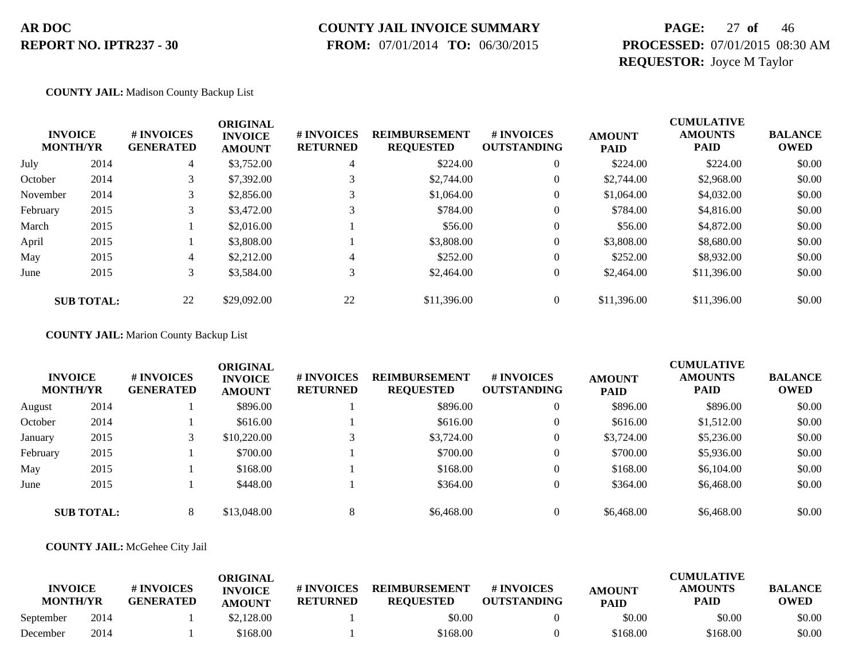# **COUNTY JAIL INVOICE SUMMARY**

 **FROM:** 07/01/2014 **TO:** 06/30/2015

### **PAGE:** 27 **of** 46 **PROCESSED:** 07/01/2015 08:30 AM **REQUESTOR:** Joyce M Taylor

#### **COUNTY JAIL:** Madison County Backup List

|          | <b>INVOICE</b><br><b>MONTH/YR</b> | # INVOICES<br><b>GENERATED</b> | <b>ORIGINAL</b><br><b>INVOICE</b><br><b>AMOUNT</b> | # INVOICES<br><b>RETURNED</b> | <b>REIMBURSEMENT</b><br><b>REQUESTED</b> | # INVOICES<br><b>OUTSTANDING</b> | <b>AMOUNT</b><br><b>PAID</b> | <b>CUMULATIVE</b><br><b>AMOUNTS</b><br><b>PAID</b> | <b>BALANCE</b><br><b>OWED</b> |
|----------|-----------------------------------|--------------------------------|----------------------------------------------------|-------------------------------|------------------------------------------|----------------------------------|------------------------------|----------------------------------------------------|-------------------------------|
| July     | 2014                              | 4                              | \$3,752.00                                         | 4                             | \$224.00                                 | $\theta$                         | \$224.00                     | \$224.00                                           | \$0.00                        |
| October  | 2014                              | 3                              | \$7,392.00                                         |                               | \$2,744.00                               | $\theta$                         | \$2,744.00                   | \$2,968.00                                         | \$0.00                        |
| November | 2014                              |                                | \$2,856.00                                         |                               | \$1,064.00                               | $\mathbf{0}$                     | \$1,064.00                   | \$4,032.00                                         | \$0.00                        |
| February | 2015                              | 3                              | \$3,472.00                                         |                               | \$784.00                                 | $\overline{0}$                   | \$784.00                     | \$4,816.00                                         | \$0.00                        |
| March    | 2015                              |                                | \$2,016.00                                         |                               | \$56.00                                  | $\overline{0}$                   | \$56.00                      | \$4,872.00                                         | \$0.00                        |
| April    | 2015                              |                                | \$3,808.00                                         |                               | \$3,808,00                               | $\mathbf{0}$                     | \$3,808.00                   | \$8,680.00                                         | \$0.00                        |
| May      | 2015                              | 4                              | \$2,212.00                                         | 4                             | \$252.00                                 | $\mathbf{0}$                     | \$252.00                     | \$8,932.00                                         | \$0.00                        |
| June     | 2015                              | 3                              | \$3,584.00                                         | $\bigcap$                     | \$2,464.00                               | $\overline{0}$                   | \$2,464.00                   | \$11,396.00                                        | \$0.00                        |
|          | <b>SUB TOTAL:</b>                 | 22                             | \$29,092.00                                        | 22                            | \$11,396.00                              |                                  | \$11,396.00                  | \$11,396.00                                        | \$0.00                        |

**COUNTY JAIL:** Marion County Backup List

|          | <b>INVOICE</b><br><b>MONTH/YR</b> | # INVOICES<br><b>GENERATED</b> | <b>ORIGINAL</b><br><b>INVOICE</b><br><b>AMOUNT</b> | <b>#INVOICES</b><br><b>RETURNED</b> | <b>REIMBURSEMENT</b><br><b>REQUESTED</b> | # INVOICES<br><b>OUTSTANDING</b> | <b>AMOUNT</b><br><b>PAID</b> | <b>CUMULATIVE</b><br><b>AMOUNTS</b><br><b>PAID</b> | <b>BALANCE</b><br><b>OWED</b> |
|----------|-----------------------------------|--------------------------------|----------------------------------------------------|-------------------------------------|------------------------------------------|----------------------------------|------------------------------|----------------------------------------------------|-------------------------------|
| August   | 2014                              |                                | \$896.00                                           |                                     | \$896.00                                 | $\overline{0}$                   | \$896.00                     | \$896.00                                           | \$0.00                        |
| October  | 2014                              |                                | \$616.00                                           |                                     | \$616.00                                 |                                  | \$616.00                     | \$1,512.00                                         | \$0.00                        |
| January  | 2015                              |                                | \$10,220.00                                        |                                     | \$3,724.00                               | $\overline{0}$                   | \$3,724.00                   | \$5,236.00                                         | \$0.00                        |
| February | 2015                              |                                | \$700.00                                           |                                     | \$700.00                                 | $\overline{0}$                   | \$700.00                     | \$5,936.00                                         | \$0.00                        |
| May      | 2015                              |                                | \$168.00                                           |                                     | \$168.00                                 |                                  | \$168.00                     | \$6,104.00                                         | \$0.00                        |
| June     | 2015                              |                                | \$448.00                                           |                                     | \$364.00                                 |                                  | \$364.00                     | \$6,468.00                                         | \$0.00                        |
|          | <b>SUB TOTAL:</b>                 | 8                              | \$13,048.00                                        |                                     | \$6,468.00                               |                                  | \$6,468.00                   | \$6,468.00                                         | \$0.00                        |

#### **COUNTY JAIL:** McGehee City Jail

| <b>INVOICE</b><br><b>MONTH/YR</b> |      | # INVOICES<br><b>GENERATED</b> | ORIGINAL<br><b>INVOICE</b><br><b>AMOUNT</b> | # INVOICES<br><b>RETURNED</b> | <b>REIMBURSEMENT</b><br><b>REOUESTED</b> | # INVOICES<br><b>OUTSTANDING</b> | <b>AMOUNT</b><br><b>PAID</b> | <b>CUMULATIVE</b><br><b>AMOUNTS</b><br><b>PAID</b> | <b>BALANCE</b><br><b>OWED</b> |
|-----------------------------------|------|--------------------------------|---------------------------------------------|-------------------------------|------------------------------------------|----------------------------------|------------------------------|----------------------------------------------------|-------------------------------|
| September                         | 2014 |                                | \$2,128,00                                  |                               | \$0.00                                   |                                  | \$0.00                       | \$0.00                                             | \$0.00                        |
| December                          | 2014 |                                | \$168.00                                    |                               | \$168.00                                 |                                  | \$168.00                     | \$168.00                                           | \$0.00                        |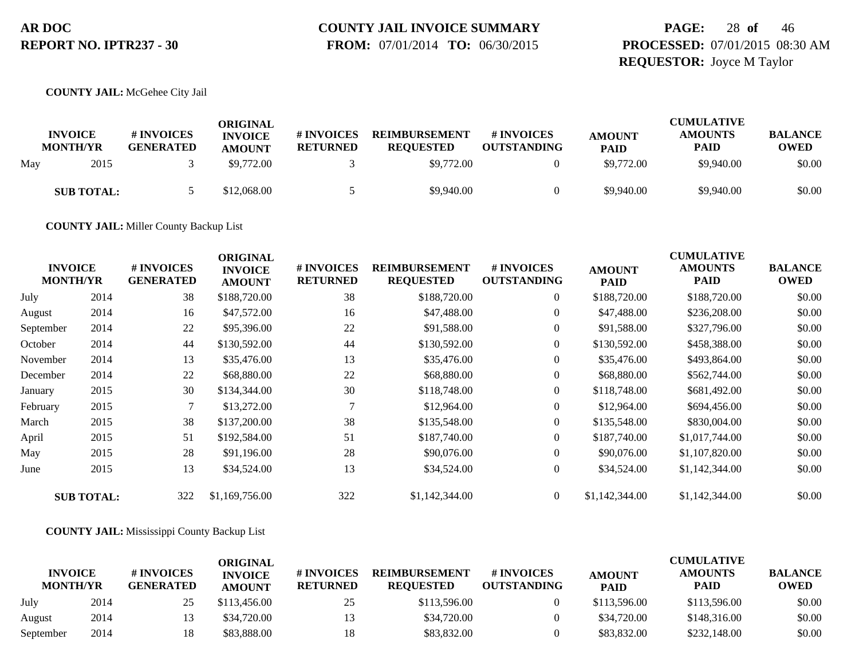# **COUNTY JAIL INVOICE SUMMARY**

 **FROM:** 07/01/2014 **TO:** 06/30/2015

### **PAGE:** 28 **of** 46 **PROCESSED:** 07/01/2015 08:30 AM **REQUESTOR:** Joyce M Taylor

**COUNTY JAIL:** McGehee City Jail

|     | <b>INVOICE</b><br><b>MONTH/YR</b> | # INVOICES<br><b>GENERATED</b> | ORIGINAL<br><b>INVOICE</b><br><b>AMOUNT</b> | # INVOICES<br><b>RETURNED</b> | <b>REIMBURSEMENT</b><br><b>REQUESTED</b> | # INVOICES<br><b>OUTSTANDING</b> | <b>AMOUNT</b><br><b>PAID</b> | <b>CUMULATIVE</b><br><b>AMOUNTS</b><br><b>PAID</b> | <b>BALANCE</b><br><b>OWED</b> |
|-----|-----------------------------------|--------------------------------|---------------------------------------------|-------------------------------|------------------------------------------|----------------------------------|------------------------------|----------------------------------------------------|-------------------------------|
| May | 2015                              |                                | \$9,772.00                                  |                               | \$9,772.00                               |                                  | \$9,772.00                   | \$9,940.00                                         | \$0.00                        |
|     | <b>SUB TOTAL:</b>                 |                                | \$12,068.00                                 |                               | \$9,940.00                               |                                  | \$9,940.00                   | \$9,940.00                                         | \$0.00                        |

**COUNTY JAIL:** Miller County Backup List

| <b>INVOICE</b><br><b>MONTH/YR</b> |                   | # INVOICES<br><b>GENERATED</b> | <b>ORIGINAL</b><br><b>INVOICE</b><br><b>AMOUNT</b> | # INVOICES<br><b>RETURNED</b> | <b>REIMBURSEMENT</b><br><b>REQUESTED</b> | # INVOICES<br><b>OUTSTANDING</b> | <b>AMOUNT</b><br><b>PAID</b> | <b>CUMULATIVE</b><br><b>AMOUNTS</b><br><b>PAID</b> | <b>BALANCE</b><br><b>OWED</b> |
|-----------------------------------|-------------------|--------------------------------|----------------------------------------------------|-------------------------------|------------------------------------------|----------------------------------|------------------------------|----------------------------------------------------|-------------------------------|
| July                              | 2014              | 38                             | \$188,720.00                                       | 38                            | \$188,720.00                             | $\overline{0}$                   | \$188,720.00                 | \$188,720.00                                       | \$0.00                        |
| August                            | 2014              | 16                             | \$47,572.00                                        | 16                            | \$47,488.00                              | $\boldsymbol{0}$                 | \$47,488.00                  | \$236,208.00                                       | \$0.00                        |
| September                         | 2014              | 22                             | \$95,396.00                                        | 22                            | \$91,588.00                              | $\overline{0}$                   | \$91,588.00                  | \$327,796.00                                       | \$0.00                        |
| October                           | 2014              | 44                             | \$130,592.00                                       | 44                            | \$130,592.00                             | $\overline{0}$                   | \$130,592.00                 | \$458,388.00                                       | \$0.00                        |
| November                          | 2014              | 13                             | \$35,476.00                                        | 13                            | \$35,476.00                              | $\overline{0}$                   | \$35,476.00                  | \$493,864.00                                       | \$0.00                        |
| December                          | 2014              | 22                             | \$68,880.00                                        | 22                            | \$68,880.00                              | $\overline{0}$                   | \$68,880.00                  | \$562,744.00                                       | \$0.00                        |
| January                           | 2015              | 30                             | \$134,344.00                                       | 30                            | \$118,748.00                             | $\overline{0}$                   | \$118,748.00                 | \$681,492.00                                       | \$0.00                        |
| February                          | 2015              | 7                              | \$13,272.00                                        |                               | \$12,964.00                              | $\overline{0}$                   | \$12,964.00                  | \$694,456.00                                       | \$0.00                        |
| March                             | 2015              | 38                             | \$137,200.00                                       | 38                            | \$135,548.00                             | $\overline{0}$                   | \$135,548.00                 | \$830,004.00                                       | \$0.00                        |
| April                             | 2015              | 51                             | \$192,584.00                                       | 51                            | \$187,740.00                             | $\overline{0}$                   | \$187,740.00                 | \$1,017,744.00                                     | \$0.00                        |
| May                               | 2015              | 28                             | \$91,196.00                                        | 28                            | \$90,076.00                              | $\overline{0}$                   | \$90,076.00                  | \$1,107,820.00                                     | \$0.00                        |
| June                              | 2015              | 13                             | \$34,524.00                                        | 13                            | \$34,524.00                              | $\overline{0}$                   | \$34,524.00                  | \$1,142,344.00                                     | \$0.00                        |
|                                   | <b>SUB TOTAL:</b> | 322                            | \$1,169,756.00                                     | 322                           | \$1,142,344.00                           | $\overline{0}$                   | \$1,142,344.00               | \$1,142,344.00                                     | \$0.00                        |

#### **COUNTY JAIL:** Mississippi County Backup List

|                                   |      |                                      | ORIGINAL                        |                               |                                          |                                  |                              | <b>CUMULATIVE</b>             |                               |
|-----------------------------------|------|--------------------------------------|---------------------------------|-------------------------------|------------------------------------------|----------------------------------|------------------------------|-------------------------------|-------------------------------|
| <b>INVOICE</b><br><b>MONTH/YR</b> |      | <b>#INVOICES</b><br><b>GENERATED</b> | <b>INVOICE</b><br><b>AMOUNT</b> | # INVOICES<br><b>RETURNED</b> | <b>REIMBURSEMENT</b><br><b>REOUESTED</b> | # INVOICES<br><b>OUTSTANDING</b> | <b>AMOUNT</b><br><b>PAID</b> | <b>AMOUNTS</b><br><b>PAID</b> | <b>BALANCE</b><br><b>OWED</b> |
| July                              | 2014 | 25                                   | \$113,456.00                    | 25                            | \$113,596.00                             |                                  | \$113,596.00                 | \$113,596.00                  | \$0.00                        |
| August                            | 2014 |                                      | \$34,720.00                     | 13                            | \$34,720.00                              |                                  | \$34,720.00                  | \$148,316.00                  | \$0.00                        |
| September                         | 2014 |                                      | \$83,888.00                     | 18                            | \$83,832.00                              |                                  | \$83,832.00                  | \$232,148.00                  | \$0.00                        |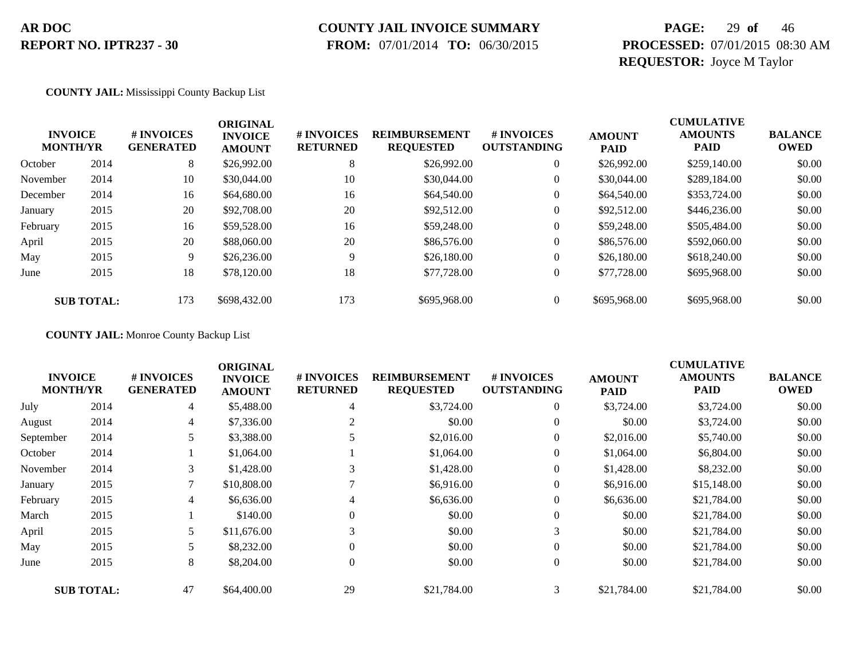# **COUNTY JAIL INVOICE SUMMARY**

 **FROM:** 07/01/2014 **TO:** 06/30/2015

### **PAGE:** 29 **of** 46 **PROCESSED:** 07/01/2015 08:30 AM **REQUESTOR:** Joyce M Taylor

**COUNTY JAIL:** Mississippi County Backup List

| <b>INVOICE</b><br><b>MONTH/YR</b> |                   | # INVOICES<br><b>GENERATED</b> | <b>ORIGINAL</b><br><b>INVOICE</b><br><b>AMOUNT</b> | # INVOICES<br><b>RETURNED</b> | <b>REIMBURSEMENT</b><br><b>REQUESTED</b> | # INVOICES<br><b>OUTSTANDING</b> | <b>AMOUNT</b><br><b>PAID</b> | <b>CUMULATIVE</b><br><b>AMOUNTS</b><br><b>PAID</b> | <b>BALANCE</b><br><b>OWED</b> |
|-----------------------------------|-------------------|--------------------------------|----------------------------------------------------|-------------------------------|------------------------------------------|----------------------------------|------------------------------|----------------------------------------------------|-------------------------------|
| October                           | 2014              | 8                              | \$26,992.00                                        | 8                             | \$26,992.00                              | $\overline{0}$                   | \$26,992.00                  | \$259,140.00                                       | \$0.00                        |
| November                          | 2014              | 10                             | \$30,044.00                                        | 10                            | \$30,044.00                              | $\overline{0}$                   | \$30,044.00                  | \$289,184.00                                       | \$0.00                        |
| December                          | 2014              | 16                             | \$64,680.00                                        | 16                            | \$64,540.00                              | $\boldsymbol{0}$                 | \$64,540.00                  | \$353,724.00                                       | \$0.00                        |
| January                           | 2015              | 20                             | \$92,708.00                                        | 20                            | \$92,512.00                              | $\overline{0}$                   | \$92,512.00                  | \$446,236.00                                       | \$0.00                        |
| February                          | 2015              | 16                             | \$59,528.00                                        | 16                            | \$59,248.00                              | $\boldsymbol{0}$                 | \$59,248.00                  | \$505,484.00                                       | \$0.00                        |
| April                             | 2015              | 20                             | \$88,060.00                                        | 20                            | \$86,576.00                              | $\boldsymbol{0}$                 | \$86,576.00                  | \$592,060.00                                       | \$0.00                        |
| May                               | 2015              | 9                              | \$26,236.00                                        | 9                             | \$26,180.00                              | $\overline{0}$                   | \$26,180.00                  | \$618,240.00                                       | \$0.00                        |
| June                              | 2015              | 18                             | \$78,120.00                                        | 18                            | \$77,728.00                              | $\overline{0}$                   | \$77,728.00                  | \$695,968.00                                       | \$0.00                        |
|                                   | <b>SUB TOTAL:</b> | 173                            | \$698,432.00                                       | 173                           | \$695,968.00                             | $\Omega$                         | \$695,968.00                 | \$695,968.00                                       | \$0.00                        |

**COUNTY JAIL:** Monroe County Backup List

|                                   |                   |                                | <b>ORIGINAL</b>                 |                               |                                          |                                  |                              | <b>CUMULATIVE</b>             |                               |
|-----------------------------------|-------------------|--------------------------------|---------------------------------|-------------------------------|------------------------------------------|----------------------------------|------------------------------|-------------------------------|-------------------------------|
| <b>INVOICE</b><br><b>MONTH/YR</b> |                   | # INVOICES<br><b>GENERATED</b> | <b>INVOICE</b><br><b>AMOUNT</b> | # INVOICES<br><b>RETURNED</b> | <b>REIMBURSEMENT</b><br><b>REQUESTED</b> | # INVOICES<br><b>OUTSTANDING</b> | <b>AMOUNT</b><br><b>PAID</b> | <b>AMOUNTS</b><br><b>PAID</b> | <b>BALANCE</b><br><b>OWED</b> |
| July                              | 2014              | 4                              | \$5,488.00                      | 4                             | \$3,724.00                               | $\overline{0}$                   | \$3,724.00                   | \$3,724.00                    | \$0.00                        |
| August                            | 2014              | 4                              | \$7,336.00                      |                               | \$0.00                                   | $\overline{0}$                   | \$0.00                       | \$3,724.00                    | \$0.00                        |
| September                         | 2014              | 5                              | \$3,388.00                      |                               | \$2,016.00                               | $\overline{0}$                   | \$2,016.00                   | \$5,740.00                    | \$0.00                        |
| October                           | 2014              |                                | \$1,064.00                      |                               | \$1,064.00                               | $\overline{0}$                   | \$1,064.00                   | \$6,804.00                    | \$0.00                        |
| November                          | 2014              | 3                              | \$1,428.00                      | 3                             | \$1,428.00                               | $\overline{0}$                   | \$1,428.00                   | \$8,232.00                    | \$0.00                        |
| January                           | 2015              | $\mathbf{r}$                   | \$10,808.00                     |                               | \$6,916.00                               | $\overline{0}$                   | \$6,916.00                   | \$15,148.00                   | \$0.00                        |
| February                          | 2015              | 4                              | \$6,636.00                      | 4                             | \$6,636.00                               | $\overline{0}$                   | \$6,636.00                   | \$21,784.00                   | \$0.00                        |
| March                             | 2015              |                                | \$140.00                        | $\theta$                      | \$0.00                                   | $\overline{0}$                   | \$0.00                       | \$21,784.00                   | \$0.00                        |
| April                             | 2015              |                                | \$11,676.00                     | 3                             | \$0.00                                   | 3                                | \$0.00                       | \$21,784.00                   | \$0.00                        |
| May                               | 2015              |                                | \$8,232.00                      |                               | \$0.00                                   | $\overline{0}$                   | \$0.00                       | \$21,784.00                   | \$0.00                        |
| June                              | 2015              | 8                              | \$8,204.00                      | $\theta$                      | \$0.00                                   | $\overline{0}$                   | \$0.00                       | \$21,784.00                   | \$0.00                        |
|                                   | <b>SUB TOTAL:</b> | 47                             | \$64,400.00                     | 29                            | \$21,784.00                              | 3                                | \$21,784.00                  | \$21,784.00                   | \$0.00                        |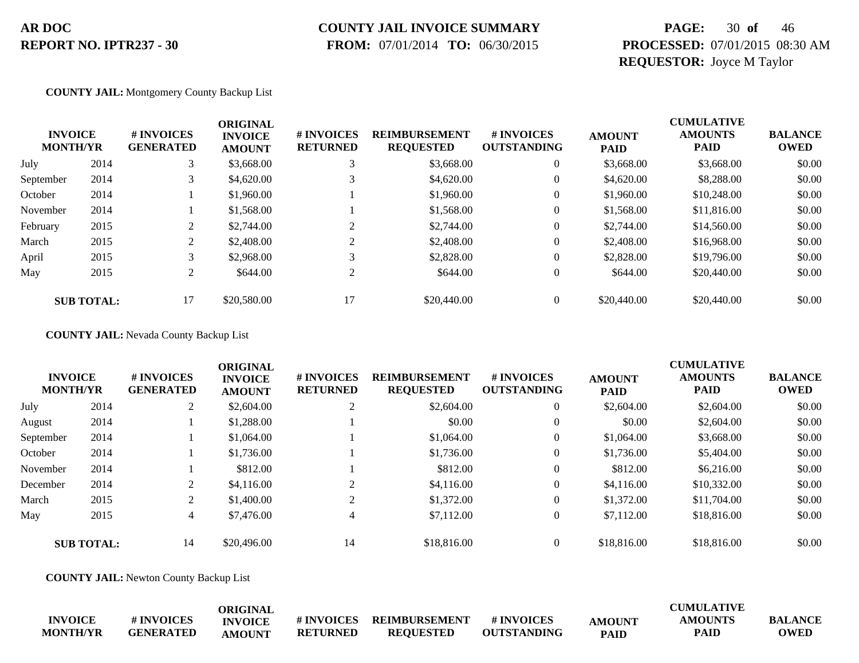# **COUNTY JAIL INVOICE SUMMARY**

 **FROM:** 07/01/2014 **TO:** 06/30/2015

### **PAGE:** 30 **of** 46 **PROCESSED:** 07/01/2015 08:30 AM **REQUESTOR:** Joyce M Taylor

**COUNTY JAIL:** Montgomery County Backup List

| <b>INVOICE</b><br><b>MONTH/YR</b> |                   | # INVOICES<br><b>GENERATED</b> | <b>ORIGINAL</b><br><b>INVOICE</b><br><b>AMOUNT</b> | # INVOICES<br><b>RETURNED</b> | <b>REIMBURSEMENT</b><br><b>REQUESTED</b> | # INVOICES<br><b>OUTSTANDING</b> | <b>AMOUNT</b><br><b>PAID</b> | <b>CUMULATIVE</b><br><b>AMOUNTS</b><br><b>PAID</b> | <b>BALANCE</b><br><b>OWED</b> |
|-----------------------------------|-------------------|--------------------------------|----------------------------------------------------|-------------------------------|------------------------------------------|----------------------------------|------------------------------|----------------------------------------------------|-------------------------------|
| July                              | 2014              | 3                              | \$3,668.00                                         | 3                             | \$3,668.00                               | $\mathbf{0}$                     | \$3,668.00                   | \$3,668.00                                         | \$0.00                        |
| September                         | 2014              | $\rightarrow$                  | \$4,620.00                                         |                               | \$4,620.00                               | $\mathbf{0}$                     | \$4,620.00                   | \$8,288,00                                         | \$0.00                        |
| October                           | 2014              |                                | \$1,960.00                                         |                               | \$1,960.00                               | 0                                | \$1,960.00                   | \$10,248.00                                        | \$0.00                        |
| November                          | 2014              |                                | \$1,568.00                                         |                               | \$1,568.00                               | 0                                | \$1,568.00                   | \$11,816.00                                        | \$0.00                        |
| February                          | 2015              | ◠                              | \$2,744.00                                         | $\sim$                        | \$2,744.00                               | $\overline{0}$                   | \$2,744.00                   | \$14,560.00                                        | \$0.00                        |
| March                             | 2015              | ◠                              | \$2,408.00                                         | $\sim$                        | \$2,408.00                               | $\overline{0}$                   | \$2,408.00                   | \$16,968.00                                        | \$0.00                        |
| April                             | 2015              | 3                              | \$2,968.00                                         | 3                             | \$2,828.00                               | $\mathbf{0}$                     | \$2,828.00                   | \$19,796.00                                        | \$0.00                        |
| May                               | 2015              | 2                              | \$644.00                                           | 2                             | \$644.00                                 | $\overline{0}$                   | \$644.00                     | \$20,440.00                                        | \$0.00                        |
|                                   | <b>SUB TOTAL:</b> |                                | \$20,580.00                                        |                               | \$20,440.00                              |                                  | \$20,440.00                  | \$20,440.00                                        | \$0.00                        |

**COUNTY JAIL:** Nevada County Backup List

| <b>MONTH/YR</b> | <b>INVOICE</b>    | # INVOICES<br><b>GENERATED</b> | <b>ORIGINAL</b><br><b>INVOICE</b><br><b>AMOUNT</b> | # INVOICES<br><b>RETURNED</b> | <b>REIMBURSEMENT</b><br><b>REQUESTED</b> | # INVOICES<br><b>OUTSTANDING</b> | <b>AMOUNT</b><br><b>PAID</b> | <b>CUMULATIVE</b><br><b>AMOUNTS</b><br><b>PAID</b> | <b>BALANCE</b><br><b>OWED</b> |
|-----------------|-------------------|--------------------------------|----------------------------------------------------|-------------------------------|------------------------------------------|----------------------------------|------------------------------|----------------------------------------------------|-------------------------------|
| July            | 2014              | 2                              | \$2,604.00                                         |                               | \$2,604.00                               | $\mathbf{0}$                     | \$2,604.00                   | \$2,604.00                                         | \$0.00                        |
| August          | 2014              |                                | \$1,288.00                                         |                               | \$0.00                                   | $\mathbf{0}$                     | \$0.00                       | \$2,604.00                                         | \$0.00                        |
| September       | 2014              |                                | \$1,064.00                                         |                               | \$1,064.00                               | $\mathbf{0}$                     | \$1,064.00                   | \$3,668.00                                         | \$0.00                        |
| October         | 2014              |                                | \$1,736.00                                         |                               | \$1,736.00                               | $\mathbf{0}$                     | \$1,736.00                   | \$5,404.00                                         | \$0.00                        |
| November        | 2014              |                                | \$812.00                                           |                               | \$812.00                                 | $\mathbf{0}$                     | \$812.00                     | \$6,216.00                                         | \$0.00                        |
| December        | 2014              | $\overline{c}$                 | \$4,116.00                                         |                               | \$4,116.00                               | $\overline{0}$                   | \$4,116.00                   | \$10,332.00                                        | \$0.00                        |
| March           | 2015              | 2                              | \$1,400.00                                         | $\sim$                        | \$1,372.00                               | $\mathbf{0}$                     | \$1,372.00                   | \$11,704.00                                        | \$0.00                        |
| May             | 2015              | $\overline{4}$                 | \$7,476.00                                         | 4                             | \$7,112.00                               | $\overline{0}$                   | \$7,112.00                   | \$18,816.00                                        | \$0.00                        |
|                 | <b>SUB TOTAL:</b> | 14                             | \$20,496.00                                        | 14                            | \$18,816.00                              | $\mathbf{0}$                     | \$18,816.00                  | \$18,816.00                                        | \$0.00                        |

**COUNTY JAIL:** Newton County Backup List

|                 |                  | ORIGINAL       |                 |                      |                    |               | <b>CUMULATIVE</b> |                |
|-----------------|------------------|----------------|-----------------|----------------------|--------------------|---------------|-------------------|----------------|
| <b>INVOICE</b>  | # INVOICES       | <b>INVOICE</b> | # INVOICES      | <b>REIMBURSEMENT</b> | # INVOICES         | <b>AMOUNT</b> | <b>AMOUNTS</b>    | <b>BALANCE</b> |
| <b>MONTH/YR</b> | <b>GENERATED</b> | <b>AMOUNT</b>  | <b>RETURNED</b> | <b>REOUESTED</b>     | <b>OUTSTANDING</b> | <b>PAID</b>   | PAID              | <b>OWED</b>    |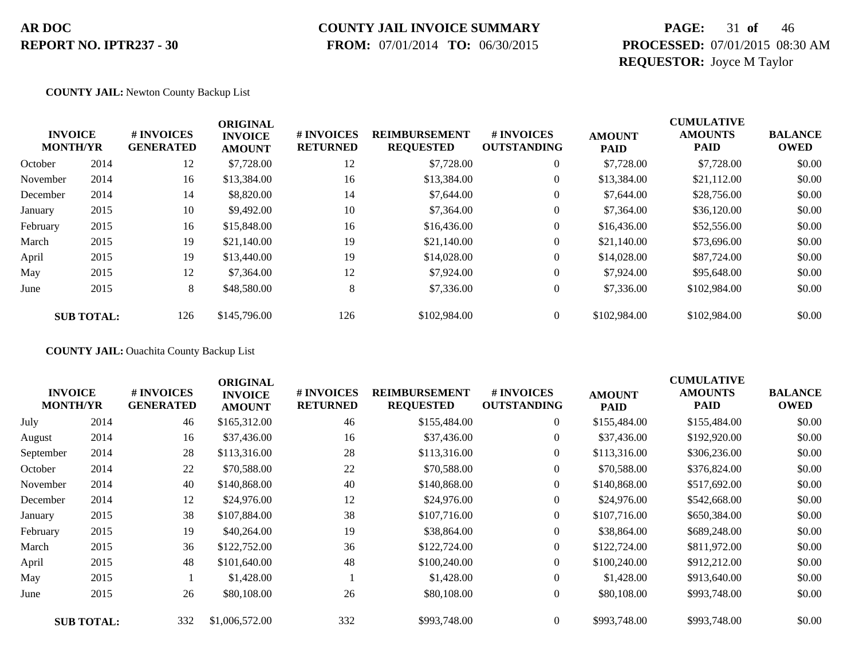### **COUNTY JAIL INVOICE SUMMARY**

 **FROM:** 07/01/2014 **TO:** 06/30/2015

### **PAGE:** 31 **of** 46 **PROCESSED:** 07/01/2015 08:30 AM **REQUESTOR:** Joyce M Taylor

#### **COUNTY JAIL:** Newton County Backup List

|          | <b>INVOICE</b><br><b>MONTH/YR</b> | # INVOICES<br><b>GENERATED</b> | <b>ORIGINAL</b><br><b>INVOICE</b><br><b>AMOUNT</b> | # INVOICES<br><b>RETURNED</b> | <b>REIMBURSEMENT</b><br><b>REQUESTED</b> | # INVOICES<br><b>OUTSTANDING</b> | <b>AMOUNT</b><br><b>PAID</b> | <b>CUMULATIVE</b><br><b>AMOUNTS</b><br><b>PAID</b> | <b>BALANCE</b><br><b>OWED</b> |
|----------|-----------------------------------|--------------------------------|----------------------------------------------------|-------------------------------|------------------------------------------|----------------------------------|------------------------------|----------------------------------------------------|-------------------------------|
| October  | 2014                              | 12                             | \$7,728.00                                         | 12                            | \$7,728.00                               | $\overline{0}$                   | \$7,728.00                   | \$7,728.00                                         | \$0.00                        |
| November | 2014                              | 16                             | \$13,384.00                                        | 16                            | \$13,384.00                              | 0                                | \$13,384.00                  | \$21,112.00                                        | \$0.00                        |
| December | 2014                              | 14                             | \$8,820.00                                         | 14                            | \$7,644.00                               | $\overline{0}$                   | \$7,644.00                   | \$28,756.00                                        | \$0.00                        |
| January  | 2015                              | 10                             | \$9,492.00                                         | 10                            | \$7,364.00                               | $\overline{0}$                   | \$7,364.00                   | \$36,120.00                                        | \$0.00                        |
| February | 2015                              | 16                             | \$15,848.00                                        | 16                            | \$16,436.00                              | 0                                | \$16,436.00                  | \$52,556.00                                        | \$0.00                        |
| March    | 2015                              | 19                             | \$21,140.00                                        | 19                            | \$21,140.00                              | $\overline{0}$                   | \$21,140.00                  | \$73,696.00                                        | \$0.00                        |
| April    | 2015                              | 19                             | \$13,440.00                                        | 19                            | \$14,028.00                              | 0                                | \$14,028.00                  | \$87,724.00                                        | \$0.00                        |
| May      | 2015                              | 12                             | \$7,364.00                                         | 12                            | \$7,924.00                               | $\overline{0}$                   | \$7,924.00                   | \$95,648.00                                        | \$0.00                        |
| June     | 2015                              | 8                              | \$48,580.00                                        | 8                             | \$7,336.00                               | $\overline{0}$                   | \$7,336.00                   | \$102,984.00                                       | \$0.00                        |
|          | <b>SUB TOTAL:</b>                 | 126                            | \$145,796.00                                       | 126                           | \$102,984.00                             | $\overline{0}$                   | \$102,984.00                 | \$102,984.00                                       | \$0.00                        |

**COUNTY JAIL:** Ouachita County Backup List

| <b>INVOICE</b><br><b>MONTH/YR</b> |                   | # INVOICES<br><b>GENERATED</b> | <b>ORIGINAL</b><br><b>INVOICE</b><br><b>AMOUNT</b> | # INVOICES<br><b>RETURNED</b> | <b>REIMBURSEMENT</b><br><b>REQUESTED</b> | # INVOICES<br><b>OUTSTANDING</b> | <b>AMOUNT</b><br><b>PAID</b> | <b>CUMULATIVE</b><br><b>AMOUNTS</b><br><b>PAID</b> | <b>BALANCE</b><br><b>OWED</b> |
|-----------------------------------|-------------------|--------------------------------|----------------------------------------------------|-------------------------------|------------------------------------------|----------------------------------|------------------------------|----------------------------------------------------|-------------------------------|
| July                              | 2014              | 46                             | \$165,312.00                                       | 46                            | \$155,484.00                             | $\boldsymbol{0}$                 | \$155,484.00                 | \$155,484.00                                       | \$0.00                        |
| August                            | 2014              | 16                             | \$37,436.00                                        | 16                            | \$37,436.00                              | $\overline{0}$                   | \$37,436.00                  | \$192,920.00                                       | \$0.00                        |
| September                         | 2014              | 28                             | \$113,316.00                                       | 28                            | \$113,316.00                             | $\Omega$                         | \$113,316.00                 | \$306,236.00                                       | \$0.00                        |
| October                           | 2014              | 22                             | \$70,588.00                                        | 22                            | \$70,588.00                              | $\boldsymbol{0}$                 | \$70,588.00                  | \$376,824.00                                       | \$0.00                        |
| November                          | 2014              | 40                             | \$140,868.00                                       | 40                            | \$140,868.00                             | $\overline{0}$                   | \$140,868.00                 | \$517,692.00                                       | \$0.00                        |
| December                          | 2014              | 12                             | \$24,976.00                                        | 12                            | \$24,976.00                              | $\overline{0}$                   | \$24,976.00                  | \$542,668.00                                       | \$0.00                        |
| January                           | 2015              | 38                             | \$107,884.00                                       | 38                            | \$107,716.00                             | $\overline{0}$                   | \$107,716.00                 | \$650,384.00                                       | \$0.00                        |
| February                          | 2015              | 19                             | \$40,264.00                                        | 19                            | \$38,864.00                              | $\overline{0}$                   | \$38,864.00                  | \$689,248.00                                       | \$0.00                        |
| March                             | 2015              | 36                             | \$122,752.00                                       | 36                            | \$122,724.00                             | $\Omega$                         | \$122,724.00                 | \$811,972.00                                       | \$0.00                        |
| April                             | 2015              | 48                             | \$101,640.00                                       | 48                            | \$100,240.00                             | $\Omega$                         | \$100,240.00                 | \$912,212.00                                       | \$0.00                        |
| May                               | 2015              |                                | \$1,428.00                                         |                               | \$1,428.00                               | $\overline{0}$                   | \$1,428.00                   | \$913,640.00                                       | \$0.00                        |
| June                              | 2015              | 26                             | \$80,108.00                                        | 26                            | \$80,108.00                              | $\boldsymbol{0}$                 | \$80,108.00                  | \$993,748.00                                       | \$0.00                        |
|                                   | <b>SUB TOTAL:</b> | 332                            | \$1,006,572.00                                     | 332                           | \$993,748.00                             | $\Omega$                         | \$993,748.00                 | \$993,748.00                                       | \$0.00                        |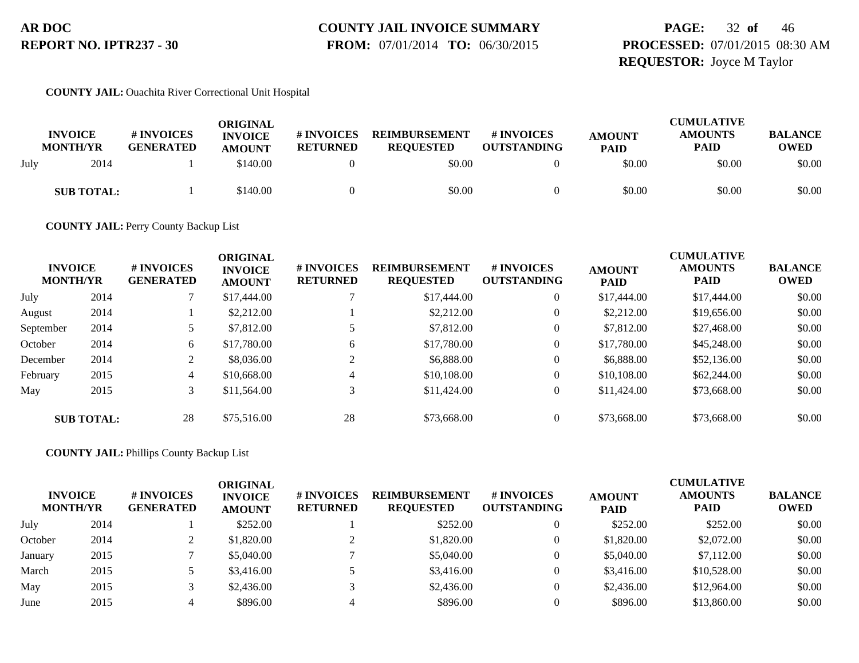#### **COUNTY JAIL INVOICE SUMMARY FROM:** 07/01/2014 **TO:** 06/30/2015

### **PAGE:** 32 **of** 46 **PROCESSED:** 07/01/2015 08:30 AM **REQUESTOR:** Joyce M Taylor

#### **COUNTY JAIL:** Ouachita River Correctional Unit Hospital

|      | <b>INVOICE</b><br><b>MONTH/YR</b> | # INVOICES<br><b>GENERATED</b> | ORIGINAL<br><b>INVOICE</b><br><b>AMOUNT</b> | <b># INVOICES</b><br><b>RETURNED</b> | <b>REIMBURSEMENT</b><br><b>REOUESTED</b> | # INVOICES<br><b>OUTSTANDING</b> | <b>AMOUNT</b><br><b>PAID</b> | <b>CUMULATIVE</b><br><b>AMOUNTS</b><br><b>PAID</b> | <b>BALANCE</b><br><b>OWED</b> |
|------|-----------------------------------|--------------------------------|---------------------------------------------|--------------------------------------|------------------------------------------|----------------------------------|------------------------------|----------------------------------------------------|-------------------------------|
| July | 2014                              |                                | \$140.00                                    |                                      | \$0.00                                   |                                  | \$0.00                       | \$0.00                                             | \$0.00                        |
|      | <b>SUB TOTAL:</b>                 |                                | \$140.00                                    |                                      | \$0.00                                   |                                  | \$0.00                       | \$0.00                                             | \$0.00                        |

**COUNTY JAIL:** Perry County Backup List

| <b>INVOICE</b><br><b>MONTH/YR</b> |                   | # INVOICES<br><b>GENERATED</b> | <b>ORIGINAL</b><br><b>INVOICE</b><br><b>AMOUNT</b> | # INVOICES<br><b>RETURNED</b> | <b>REIMBURSEMENT</b><br><b>REQUESTED</b> | <b>#INVOICES</b><br><b>OUTSTANDING</b> | <b>AMOUNT</b><br><b>PAID</b> | <b>CUMULATIVE</b><br><b>AMOUNTS</b><br><b>PAID</b> | <b>BALANCE</b><br><b>OWED</b> |
|-----------------------------------|-------------------|--------------------------------|----------------------------------------------------|-------------------------------|------------------------------------------|----------------------------------------|------------------------------|----------------------------------------------------|-------------------------------|
| July                              | 2014              |                                | \$17,444.00                                        |                               | \$17,444.00                              | $\overline{0}$                         | \$17,444.00                  | \$17,444.00                                        | \$0.00                        |
| August                            | 2014              |                                | \$2,212.00                                         |                               | \$2,212.00                               | $\boldsymbol{0}$                       | \$2,212.00                   | \$19,656.00                                        | \$0.00                        |
| September                         | 2014              |                                | \$7,812.00                                         |                               | \$7,812.00                               | $\theta$                               | \$7,812.00                   | \$27,468.00                                        | \$0.00                        |
| October                           | 2014              | 6                              | \$17,780.00                                        | 6                             | \$17,780.00                              | 0                                      | \$17,780.00                  | \$45,248.00                                        | \$0.00                        |
| December                          | 2014              | ◠                              | \$8,036.00                                         |                               | \$6,888.00                               | $\boldsymbol{0}$                       | \$6,888.00                   | \$52,136.00                                        | \$0.00                        |
| February                          | 2015              | 4                              | \$10,668.00                                        | 4                             | \$10,108.00                              | $\theta$                               | \$10,108.00                  | \$62,244.00                                        | \$0.00                        |
| May                               | 2015              | 3                              | \$11,564.00                                        | 3                             | \$11,424.00                              | $\overline{0}$                         | \$11,424.00                  | \$73,668.00                                        | \$0.00                        |
|                                   | <b>SUB TOTAL:</b> | 28                             | \$75,516.00                                        | 28                            | \$73,668.00                              | $\theta$                               | \$73,668.00                  | \$73,668.00                                        | \$0.00                        |

**COUNTY JAIL:** Phillips County Backup List

|         | <b>INVOICE</b><br><b>MONTH/YR</b> | # INVOICES<br><b>GENERATED</b> | ORIGINAL<br><b>INVOICE</b><br><b>AMOUNT</b> | # INVOICES<br><b>RETURNED</b> | <b>REIMBURSEMENT</b><br><b>REQUESTED</b> | # INVOICES<br><b>OUTSTANDING</b> | <b>AMOUNT</b><br><b>PAID</b> | <b>CUMULATIVE</b><br><b>AMOUNTS</b><br><b>PAID</b> | <b>BALANCE</b><br><b>OWED</b> |
|---------|-----------------------------------|--------------------------------|---------------------------------------------|-------------------------------|------------------------------------------|----------------------------------|------------------------------|----------------------------------------------------|-------------------------------|
| July    | 2014                              |                                | \$252.00                                    |                               | \$252.00                                 |                                  | \$252.00                     | \$252.00                                           | \$0.00                        |
| October | 2014                              |                                | \$1,820.00                                  |                               | \$1,820.00                               |                                  | \$1,820.00                   | \$2,072.00                                         | \$0.00                        |
| January | 2015                              |                                | \$5,040.00                                  |                               | \$5,040.00                               |                                  | \$5,040.00                   | \$7,112.00                                         | \$0.00                        |
| March   | 2015                              |                                | \$3,416.00                                  |                               | \$3,416.00                               |                                  | \$3,416.00                   | \$10,528.00                                        | \$0.00                        |
| May     | 2015                              |                                | \$2,436.00                                  |                               | \$2,436.00                               |                                  | \$2,436.00                   | \$12,964.00                                        | \$0.00                        |
| June    | 2015                              |                                | \$896.00                                    |                               | \$896.00                                 |                                  | \$896.00                     | \$13,860.00                                        | \$0.00                        |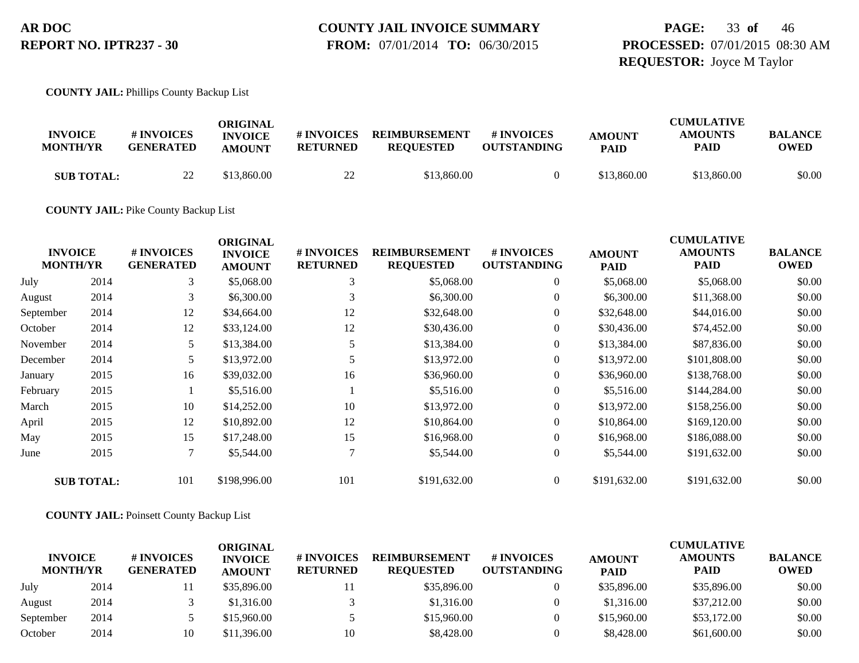#### **COUNTY JAIL INVOICE SUMMARY FROM:** 07/01/2014 **TO:** 06/30/2015

### **PAGE:** 33 **of** 46 **PROCESSED:** 07/01/2015 08:30 AM **REQUESTOR:** Joyce M Taylor

**COUNTY JAIL:** Phillips County Backup List

| <b>INVOICE</b><br><b>MONTH/YR</b> | # INVOICES<br><b>GENERATED</b> | ORIGINAL<br><b>INVOICE</b><br><b>AMOUNT</b> | # INVOICES<br><b>RETURNED</b> | <b>REIMBURSEMENT</b><br><b>REQUESTED</b> | # INVOICES<br><b>OUTSTANDING</b> | <b>AMOUNT</b><br><b>PAID</b> | <b>CUMULATIVE</b><br><b>AMOUNTS</b><br>PAID | <b>BALANCE</b><br>OWED |
|-----------------------------------|--------------------------------|---------------------------------------------|-------------------------------|------------------------------------------|----------------------------------|------------------------------|---------------------------------------------|------------------------|
| <b>SUB TOTAL:</b>                 | 22                             | \$13,860.00                                 | $\gamma\gamma$<br>∠∠          | \$13,860.00                              |                                  | \$13,860.00                  | \$13,860.00                                 | \$0.00                 |

**COUNTY JAIL:** Pike County Backup List

| <b>INVOICE</b><br><b>MONTH/YR</b> |                   | # INVOICES<br><b>GENERATED</b> | <b>ORIGINAL</b><br><b>INVOICE</b><br><b>AMOUNT</b> | # INVOICES<br><b>RETURNED</b> | <b>REIMBURSEMENT</b><br><b>REQUESTED</b> | # INVOICES<br><b>OUTSTANDING</b> | <b>AMOUNT</b><br><b>PAID</b> | <b>CUMULATIVE</b><br><b>AMOUNTS</b><br>PAID | <b>BALANCE</b><br><b>OWED</b> |
|-----------------------------------|-------------------|--------------------------------|----------------------------------------------------|-------------------------------|------------------------------------------|----------------------------------|------------------------------|---------------------------------------------|-------------------------------|
| July                              | 2014              | 3                              | \$5,068.00                                         | 3                             | \$5,068.00                               | $\overline{0}$                   | \$5,068.00                   | \$5,068.00                                  | \$0.00                        |
| August                            | 2014              | 3                              | \$6,300.00                                         | 3                             | \$6,300.00                               | 0                                | \$6,300.00                   | \$11,368.00                                 | \$0.00                        |
| September                         | 2014              | 12                             | \$34,664.00                                        | 12                            | \$32,648.00                              | $\overline{0}$                   | \$32,648.00                  | \$44,016.00                                 | \$0.00                        |
| October                           | 2014              | 12                             | \$33,124.00                                        | 12                            | \$30,436.00                              | $\overline{0}$                   | \$30,436.00                  | \$74,452.00                                 | \$0.00                        |
| November                          | 2014              | 5                              | \$13,384.00                                        | 5                             | \$13,384.00                              | 0                                | \$13,384.00                  | \$87,836.00                                 | \$0.00                        |
| December                          | 2014              | 5                              | \$13,972.00                                        | 5                             | \$13,972.00                              | $\overline{0}$                   | \$13,972.00                  | \$101,808.00                                | \$0.00                        |
| January                           | 2015              | 16                             | \$39,032.00                                        | 16                            | \$36,960.00                              | $\overline{0}$                   | \$36,960.00                  | \$138,768.00                                | \$0.00                        |
| February                          | 2015              |                                | \$5,516.00                                         |                               | \$5,516.00                               | $\overline{0}$                   | \$5,516.00                   | \$144,284.00                                | \$0.00                        |
| March                             | 2015              | 10                             | \$14,252.00                                        | 10                            | \$13,972.00                              | $\overline{0}$                   | \$13,972.00                  | \$158,256.00                                | \$0.00                        |
| April                             | 2015              | 12                             | \$10,892.00                                        | 12                            | \$10,864.00                              | $\overline{0}$                   | \$10,864.00                  | \$169,120.00                                | \$0.00                        |
| May                               | 2015              | 15                             | \$17,248.00                                        | 15                            | \$16,968.00                              | $\overline{0}$                   | \$16,968.00                  | \$186,088.00                                | \$0.00                        |
| June                              | 2015              | $\tau$                         | \$5,544.00                                         |                               | \$5,544.00                               | $\overline{0}$                   | \$5,544.00                   | \$191,632.00                                | \$0.00                        |
|                                   | <b>SUB TOTAL:</b> | 101                            | \$198,996.00                                       | 101                           | \$191,632.00                             | $\overline{0}$                   | \$191,632.00                 | \$191,632.00                                | \$0.00                        |

**COUNTY JAIL:** Poinsett County Backup List

| <b>INVOICE</b><br><b>MONTH/YR</b> |      | # INVOICES<br><b>GENERATED</b> | ORIGINAL<br><b>INVOICE</b><br><b>AMOUNT</b> | # INVOICES<br><b>RETURNED</b> | <b>REIMBURSEMENT</b><br><b>REQUESTED</b> | # INVOICES<br><b>OUTSTANDING</b> | <b>AMOUNT</b><br><b>PAID</b> | <b>CUMULATIVE</b><br><b>AMOUNTS</b><br><b>PAID</b> | <b>BALANCE</b><br><b>OWED</b> |
|-----------------------------------|------|--------------------------------|---------------------------------------------|-------------------------------|------------------------------------------|----------------------------------|------------------------------|----------------------------------------------------|-------------------------------|
| July                              | 2014 |                                | \$35,896.00                                 |                               | \$35,896.00                              |                                  | \$35,896.00                  | \$35,896.00                                        | \$0.00                        |
| August                            | 2014 |                                | \$1,316.00                                  |                               | \$1,316.00                               |                                  | \$1,316.00                   | \$37,212.00                                        | \$0.00                        |
| September                         | 2014 |                                | \$15,960.00                                 |                               | \$15,960.00                              |                                  | \$15,960.00                  | \$53,172.00                                        | \$0.00                        |
| October                           | 2014 | 10                             | \$11,396.00                                 | 10                            | \$8,428.00                               |                                  | \$8,428.00                   | \$61,600.00                                        | \$0.00                        |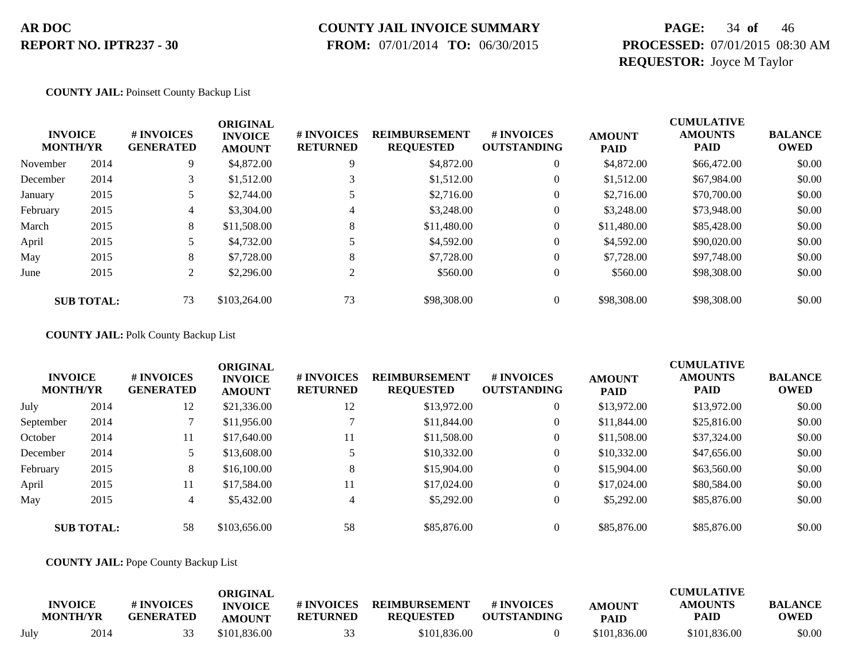# **COUNTY JAIL INVOICE SUMMARY**

 **FROM:** 07/01/2014 **TO:** 06/30/2015

### **PAGE:** 34 **of** 46 **PROCESSED:** 07/01/2015 08:30 AM **REQUESTOR:** Joyce M Taylor

#### **COUNTY JAIL:** Poinsett County Backup List

| <b>INVOICE</b><br><b>MONTH/YR</b> |                   | # INVOICES<br><b>GENERATED</b> | <b>ORIGINAL</b><br><b>INVOICE</b><br><b>AMOUNT</b> | # INVOICES<br><b>RETURNED</b> | <b>REIMBURSEMENT</b><br><b>REQUESTED</b> | # INVOICES<br><b>OUTSTANDING</b> | <b>AMOUNT</b><br><b>PAID</b> | <b>CUMULATIVE</b><br><b>AMOUNTS</b><br><b>PAID</b> | <b>BALANCE</b><br><b>OWED</b> |
|-----------------------------------|-------------------|--------------------------------|----------------------------------------------------|-------------------------------|------------------------------------------|----------------------------------|------------------------------|----------------------------------------------------|-------------------------------|
| November                          | 2014              | 9                              | \$4,872.00                                         | 9                             | \$4,872.00                               | $\theta$                         | \$4,872.00                   | \$66,472.00                                        | \$0.00                        |
| December                          | 2014              | 3                              | \$1,512.00                                         |                               | \$1,512.00                               | $\boldsymbol{0}$                 | \$1,512.00                   | \$67,984.00                                        | \$0.00                        |
| January                           | 2015              |                                | \$2,744.00                                         |                               | \$2,716.00                               | 0                                | \$2,716.00                   | \$70,700.00                                        | \$0.00                        |
| February                          | 2015              | 4                              | \$3,304.00                                         | 4                             | \$3,248.00                               | 0                                | \$3,248.00                   | \$73,948.00                                        | \$0.00                        |
| March                             | 2015              | 8                              | \$11,508.00                                        | 8                             | \$11,480.00                              | 0                                | \$11,480.00                  | \$85,428.00                                        | \$0.00                        |
| April                             | 2015              |                                | \$4,732.00                                         |                               | \$4,592.00                               | 0                                | \$4,592.00                   | \$90,020.00                                        | \$0.00                        |
| May                               | 2015              | 8                              | \$7,728.00                                         | 8                             | \$7,728.00                               | 0                                | \$7,728.00                   | \$97,748.00                                        | \$0.00                        |
| June                              | 2015              | 2                              | \$2,296.00                                         | $\gamma$                      | \$560.00                                 | $\theta$                         | \$560.00                     | \$98,308,00                                        | \$0.00                        |
|                                   | <b>SUB TOTAL:</b> | 73                             | \$103,264.00                                       | 73                            | \$98,308.00                              |                                  | \$98,308,00                  | \$98,308,00                                        | \$0.00                        |

#### **COUNTY JAIL:** Polk County Backup List

| <b>INVOICE</b><br><b>MONTH/YR</b> |                   | <b>#INVOICES</b><br><b>GENERATED</b> | <b>ORIGINAL</b><br><b>INVOICE</b><br><b>AMOUNT</b> | <b># INVOICES</b><br><b>RETURNED</b> | <b>REIMBURSEMENT</b><br><b>REQUESTED</b> | <b># INVOICES</b><br><b>OUTSTANDING</b> | <b>AMOUNT</b><br><b>PAID</b> | <b>CUMULATIVE</b><br><b>AMOUNTS</b><br>PAID | <b>BALANCE</b><br><b>OWED</b> |
|-----------------------------------|-------------------|--------------------------------------|----------------------------------------------------|--------------------------------------|------------------------------------------|-----------------------------------------|------------------------------|---------------------------------------------|-------------------------------|
| July                              | 2014              | 12                                   | \$21,336.00                                        | 12                                   | \$13,972.00                              | $\overline{0}$                          | \$13,972.00                  | \$13,972.00                                 | \$0.00                        |
| September                         | 2014              |                                      | \$11,956.00                                        |                                      | \$11,844.00                              | $\mathbf{0}$                            | \$11,844.00                  | \$25,816.00                                 | \$0.00                        |
| October                           | 2014              | 11                                   | \$17,640.00                                        | 11                                   | \$11,508.00                              | $\overline{0}$                          | \$11,508.00                  | \$37,324.00                                 | \$0.00                        |
| December                          | 2014              | 5.                                   | \$13,608.00                                        |                                      | \$10,332.00                              | $\overline{0}$                          | \$10,332.00                  | \$47,656.00                                 | \$0.00                        |
| February                          | 2015              | 8                                    | \$16,100.00                                        | 8                                    | \$15,904.00                              | $\mathbf{0}$                            | \$15,904.00                  | \$63,560.00                                 | \$0.00                        |
| April                             | 2015              | 11                                   | \$17,584.00                                        | 11                                   | \$17,024.00                              | $\overline{0}$                          | \$17,024.00                  | \$80,584.00                                 | \$0.00                        |
| May                               | 2015              | 4                                    | \$5,432.00                                         | 4                                    | \$5,292.00                               | $\overline{0}$                          | \$5,292.00                   | \$85,876.00                                 | \$0.00                        |
|                                   | <b>SUB TOTAL:</b> | 58                                   | \$103,656.00                                       | 58                                   | \$85,876.00                              |                                         | \$85,876.00                  | \$85,876.00                                 | \$0.00                        |

#### **COUNTY JAIL:** Pope County Backup List

|      | <b>INVOICE</b><br><b>MONTH/YR</b> | # INVOICES<br><b>GENERATED</b> | ORIGINAL<br><b>INVOICE</b><br><b>AMOUNT</b> | # INVOICES<br><b>RETURNED</b> | <b>REIMBURSEMENT</b><br><b>REOUESTED</b> | <b>#INVOICES</b><br><b>OUTSTANDING</b> | <b>AMOUNT</b><br><b>PAID</b> | <b>CUMULATIVE</b><br><b>AMOUNTS</b><br>PAID | <b>BALANCE</b><br>OWED |
|------|-----------------------------------|--------------------------------|---------------------------------------------|-------------------------------|------------------------------------------|----------------------------------------|------------------------------|---------------------------------------------|------------------------|
| July | 2014                              |                                | \$101,836,00                                |                               | \$101,836.00                             |                                        | \$101,836.00                 | \$101,836,00                                | \$0.00                 |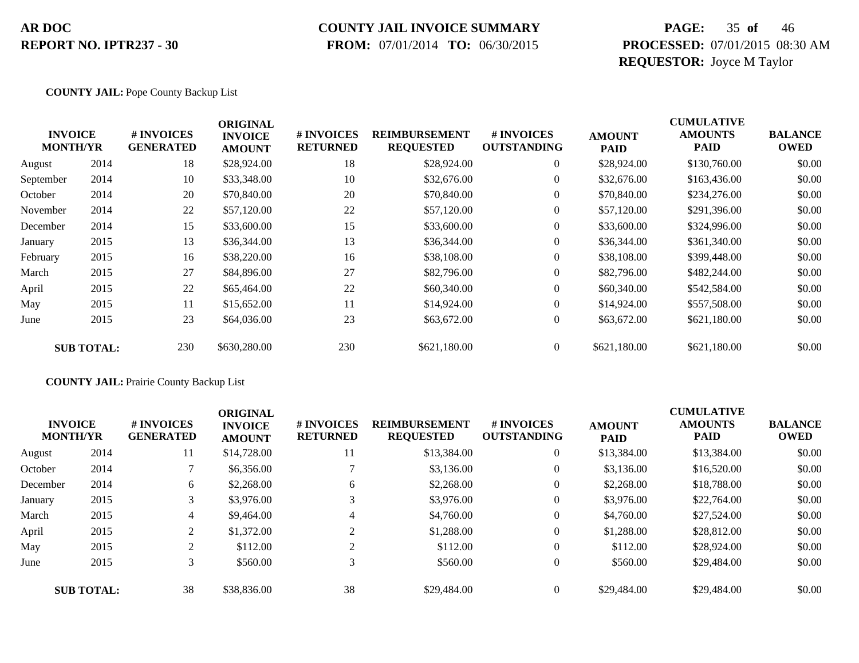#### **COUNTY JAIL INVOICE SUMMARY**

 **FROM:** 07/01/2014 **TO:** 06/30/2015

### **PAGE:** 35 **of** 46 **PROCESSED:** 07/01/2015 08:30 AM **REQUESTOR:** Joyce M Taylor

#### **COUNTY JAIL:** Pope County Backup List

|           |                                   |                                | <b>ORIGINAL</b>                 |                               |                                          |                                  |                              | <b>CUMULATIVE</b>             |                               |
|-----------|-----------------------------------|--------------------------------|---------------------------------|-------------------------------|------------------------------------------|----------------------------------|------------------------------|-------------------------------|-------------------------------|
|           | <b>INVOICE</b><br><b>MONTH/YR</b> | # INVOICES<br><b>GENERATED</b> | <b>INVOICE</b><br><b>AMOUNT</b> | # INVOICES<br><b>RETURNED</b> | <b>REIMBURSEMENT</b><br><b>REQUESTED</b> | # INVOICES<br><b>OUTSTANDING</b> | <b>AMOUNT</b><br><b>PAID</b> | <b>AMOUNTS</b><br><b>PAID</b> | <b>BALANCE</b><br><b>OWED</b> |
| August    | 2014                              | 18                             | \$28,924.00                     | 18                            | \$28,924.00                              | $\overline{0}$                   | \$28,924.00                  | \$130,760.00                  | \$0.00                        |
| September | 2014                              | 10                             | \$33,348.00                     | 10                            | \$32,676.00                              | $\boldsymbol{0}$                 | \$32,676.00                  | \$163,436.00                  | \$0.00                        |
| October   | 2014                              | 20                             | \$70,840.00                     | 20                            | \$70,840.00                              | $\overline{0}$                   | \$70,840.00                  | \$234,276.00                  | \$0.00                        |
| November  | 2014                              | 22                             | \$57,120.00                     | 22                            | \$57,120.00                              | $\boldsymbol{0}$                 | \$57,120.00                  | \$291,396.00                  | \$0.00                        |
| December  | 2014                              | 15                             | \$33,600.00                     | 15                            | \$33,600.00                              | $\overline{0}$                   | \$33,600.00                  | \$324,996.00                  | \$0.00                        |
| January   | 2015                              | 13                             | \$36,344.00                     | 13                            | \$36,344.00                              | $\mathbf{0}$                     | \$36,344.00                  | \$361,340.00                  | \$0.00                        |
| February  | 2015                              | 16                             | \$38,220.00                     | 16                            | \$38,108.00                              | $\overline{0}$                   | \$38,108.00                  | \$399,448.00                  | \$0.00                        |
| March     | 2015                              | 27                             | \$84,896.00                     | 27                            | \$82,796.00                              | $\overline{0}$                   | \$82,796.00                  | \$482,244.00                  | \$0.00                        |
| April     | 2015                              | 22                             | \$65,464.00                     | 22                            | \$60,340.00                              | $\overline{0}$                   | \$60,340.00                  | \$542,584.00                  | \$0.00                        |
| May       | 2015                              | 11                             | \$15,652.00                     | 11                            | \$14,924.00                              | $\overline{0}$                   | \$14,924.00                  | \$557,508.00                  | \$0.00                        |
| June      | 2015                              | 23                             | \$64,036.00                     | 23                            | \$63,672.00                              | $\overline{0}$                   | \$63,672.00                  | \$621,180.00                  | \$0.00                        |
|           | <b>SUB TOTAL:</b>                 | 230                            | \$630,280.00                    | 230                           | \$621,180.00                             | $\theta$                         | \$621,180.00                 | \$621,180.00                  | \$0.00                        |

**COUNTY JAIL:** Prairie County Backup List

|          | <b>INVOICE</b><br><b>MONTH/YR</b> | # INVOICES<br><b>GENERATED</b> | <b>ORIGINAL</b><br><b>INVOICE</b><br><b>AMOUNT</b> | # INVOICES<br><b>RETURNED</b> | <b>REIMBURSEMENT</b><br><b>REQUESTED</b> | # INVOICES<br><b>OUTSTANDING</b> | <b>AMOUNT</b><br><b>PAID</b> | <b>CUMULATIVE</b><br><b>AMOUNTS</b><br><b>PAID</b> | <b>BALANCE</b><br><b>OWED</b> |
|----------|-----------------------------------|--------------------------------|----------------------------------------------------|-------------------------------|------------------------------------------|----------------------------------|------------------------------|----------------------------------------------------|-------------------------------|
| August   | 2014                              | 11                             | \$14,728.00                                        | 11                            | \$13,384.00                              | $\overline{0}$                   | \$13,384.00                  | \$13,384.00                                        | \$0.00                        |
| October  | 2014                              |                                | \$6,356.00                                         |                               | \$3,136.00                               | $\overline{0}$                   | \$3,136.00                   | \$16,520.00                                        | \$0.00                        |
| December | 2014                              | 6                              | \$2,268.00                                         | 6                             | \$2,268.00                               | $\overline{0}$                   | \$2,268.00                   | \$18,788.00                                        | \$0.00                        |
| January  | 2015                              | 3                              | \$3,976.00                                         | 3                             | \$3,976.00                               | $\overline{0}$                   | \$3,976.00                   | \$22,764.00                                        | \$0.00                        |
| March    | 2015                              | 4                              | \$9,464.00                                         | $\overline{4}$                | \$4,760.00                               | $\overline{0}$                   | \$4,760.00                   | \$27,524.00                                        | \$0.00                        |
| April    | 2015                              | 2                              | \$1,372.00                                         | $\mathfrak{D}$                | \$1,288.00                               | $\overline{0}$                   | \$1,288.00                   | \$28,812.00                                        | \$0.00                        |
| May      | 2015                              | 2                              | \$112.00                                           | $\overline{2}$                | \$112.00                                 | $\overline{0}$                   | \$112.00                     | \$28,924.00                                        | \$0.00                        |
| June     | 2015                              | 3                              | \$560.00                                           | 3                             | \$560.00                                 | $\overline{0}$                   | \$560.00                     | \$29,484.00                                        | \$0.00                        |
|          | <b>SUB TOTAL:</b>                 | 38                             | \$38,836.00                                        | 38                            | \$29,484.00                              | $\overline{0}$                   | \$29,484.00                  | \$29,484.00                                        | \$0.00                        |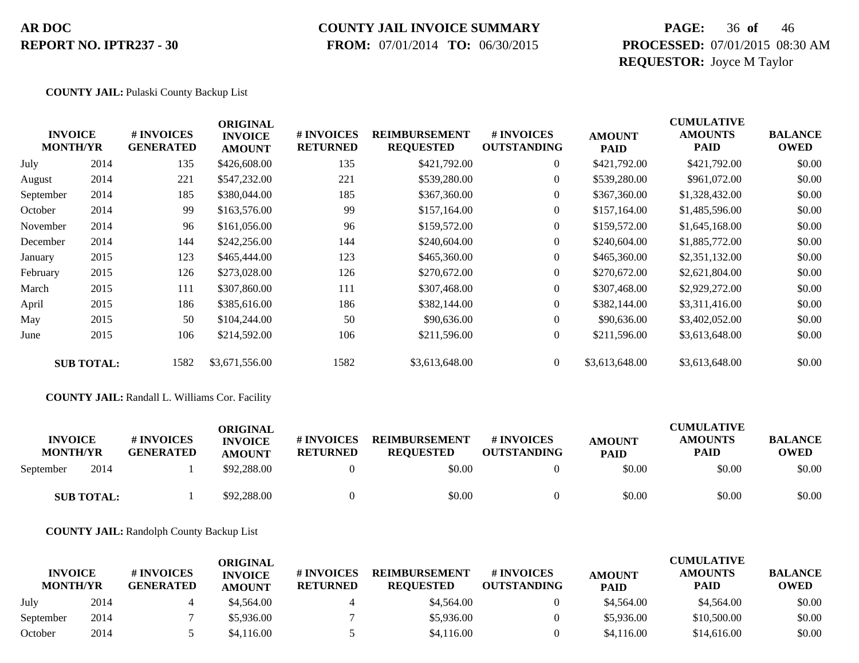# **COUNTY JAIL INVOICE SUMMARY**

 **FROM:** 07/01/2014 **TO:** 06/30/2015

### **PAGE:** 36 **of** 46 **PROCESSED:** 07/01/2015 08:30 AM **REQUESTOR:** Joyce M Taylor

#### **COUNTY JAIL:** Pulaski County Backup List

|           |                                   |                                | <b>ORIGINAL</b>                 |                               |                                          |                                  | <b>CUMULATIVE</b>            |                               |                               |  |
|-----------|-----------------------------------|--------------------------------|---------------------------------|-------------------------------|------------------------------------------|----------------------------------|------------------------------|-------------------------------|-------------------------------|--|
|           | <b>INVOICE</b><br><b>MONTH/YR</b> | # INVOICES<br><b>GENERATED</b> | <b>INVOICE</b><br><b>AMOUNT</b> | # INVOICES<br><b>RETURNED</b> | <b>REIMBURSEMENT</b><br><b>REQUESTED</b> | # INVOICES<br><b>OUTSTANDING</b> | <b>AMOUNT</b><br><b>PAID</b> | <b>AMOUNTS</b><br><b>PAID</b> | <b>BALANCE</b><br><b>OWED</b> |  |
| July      | 2014                              | 135                            | \$426,608.00                    | 135                           | \$421,792.00                             | $\boldsymbol{0}$                 | \$421,792.00                 | \$421,792.00                  | \$0.00                        |  |
| August    | 2014                              | 221                            | \$547,232.00                    | 221                           | \$539,280.00                             | $\overline{0}$                   | \$539,280.00                 | \$961,072.00                  | \$0.00                        |  |
| September | 2014                              | 185                            | \$380,044.00                    | 185                           | \$367,360.00                             | $\Omega$                         | \$367,360.00                 | \$1,328,432.00                | \$0.00                        |  |
| October   | 2014                              | 99                             | \$163,576.00                    | 99                            | \$157,164.00                             | $\overline{0}$                   | \$157,164.00                 | \$1,485,596.00                | \$0.00                        |  |
| November  | 2014                              | 96                             | \$161,056.00                    | 96                            | \$159,572.00                             | $\overline{0}$                   | \$159,572.00                 | \$1,645,168.00                | \$0.00                        |  |
| December  | 2014                              | 144                            | \$242,256.00                    | 144                           | \$240,604.00                             | $\Omega$                         | \$240,604.00                 | \$1,885,772.00                | \$0.00                        |  |
| January   | 2015                              | 123                            | \$465,444.00                    | 123                           | \$465,360.00                             | $\Omega$                         | \$465,360.00                 | \$2,351,132.00                | \$0.00                        |  |
| February  | 2015                              | 126                            | \$273,028.00                    | 126                           | \$270,672.00                             | $\boldsymbol{0}$                 | \$270,672.00                 | \$2,621,804.00                | \$0.00                        |  |
| March     | 2015                              | 111                            | \$307,860.00                    | 111                           | \$307,468.00                             | $\overline{0}$                   | \$307,468.00                 | \$2,929,272.00                | \$0.00                        |  |
| April     | 2015                              | 186                            | \$385,616.00                    | 186                           | \$382,144.00                             | $\overline{0}$                   | \$382,144.00                 | \$3,311,416.00                | \$0.00                        |  |
| May       | 2015                              | 50                             | \$104,244.00                    | 50                            | \$90,636.00                              | $\overline{0}$                   | \$90,636.00                  | \$3,402,052.00                | \$0.00                        |  |
| June      | 2015                              | 106                            | \$214,592.00                    | 106                           | \$211,596.00                             | $\boldsymbol{0}$                 | \$211,596.00                 | \$3,613,648.00                | \$0.00                        |  |
|           | <b>SUB TOTAL:</b>                 | 1582                           | \$3,671,556.00                  | 1582                          | \$3,613,648.00                           | $\overline{0}$                   | \$3,613,648.00               | \$3,613,648.00                | \$0.00                        |  |

#### **COUNTY JAIL:** Randall L. Williams Cor. Facility

| <b>INVOICE</b><br><b>MONTH/YR</b> |                   | # INVOICES<br><b>GENERATED</b> | ORIGINAL<br><b>INVOICE</b><br><b>AMOUNT</b> | # INVOICES<br><b>RETURNED</b> | <b>REIMBURSEMENT</b><br><b>REOUESTED</b> | # INVOICES<br><b>OUTSTANDING</b> | <b>AMOUNT</b><br><b>PAID</b> | <b>CUMULATIVE</b><br><b>AMOUNTS</b><br>PAID | <b>BALANCE</b><br><b>OWED</b> |
|-----------------------------------|-------------------|--------------------------------|---------------------------------------------|-------------------------------|------------------------------------------|----------------------------------|------------------------------|---------------------------------------------|-------------------------------|
| September                         | 2014              |                                | \$92,288,00                                 |                               | \$0.00                                   |                                  | \$0.00                       | \$0.00                                      | \$0.00                        |
|                                   | <b>SUB TOTAL:</b> |                                | \$92,288.00                                 |                               | \$0.00                                   |                                  | \$0.00                       | \$0.00                                      | \$0.00                        |

**COUNTY JAIL:** Randolph County Backup List

|                                   |      |                                | ORIGINAL                        |                               |                                          |                                  |                              | <b>CUMULATIVE</b>             |                               |
|-----------------------------------|------|--------------------------------|---------------------------------|-------------------------------|------------------------------------------|----------------------------------|------------------------------|-------------------------------|-------------------------------|
| <b>INVOICE</b><br><b>MONTH/YR</b> |      | # INVOICES<br><b>GENERATED</b> | <b>INVOICE</b><br><b>AMOUNT</b> | # INVOICES<br><b>RETURNED</b> | <b>REIMBURSEMENT</b><br><b>REOUESTED</b> | # INVOICES<br><b>OUTSTANDING</b> | <b>AMOUNT</b><br><b>PAID</b> | <b>AMOUNTS</b><br><b>PAID</b> | <b>BALANCE</b><br><b>OWED</b> |
| July                              | 2014 |                                | \$4,564.00                      |                               | \$4,564.00                               |                                  | \$4,564.00                   | \$4,564.00                    | \$0.00                        |
| September                         | 2014 |                                | \$5,936.00                      |                               | \$5,936.00                               |                                  | \$5,936.00                   | \$10,500.00                   | \$0.00                        |
| October                           | 2014 |                                | \$4,116.00                      |                               | \$4,116.00                               |                                  | \$4,116.00                   | \$14,616.00                   | \$0.00                        |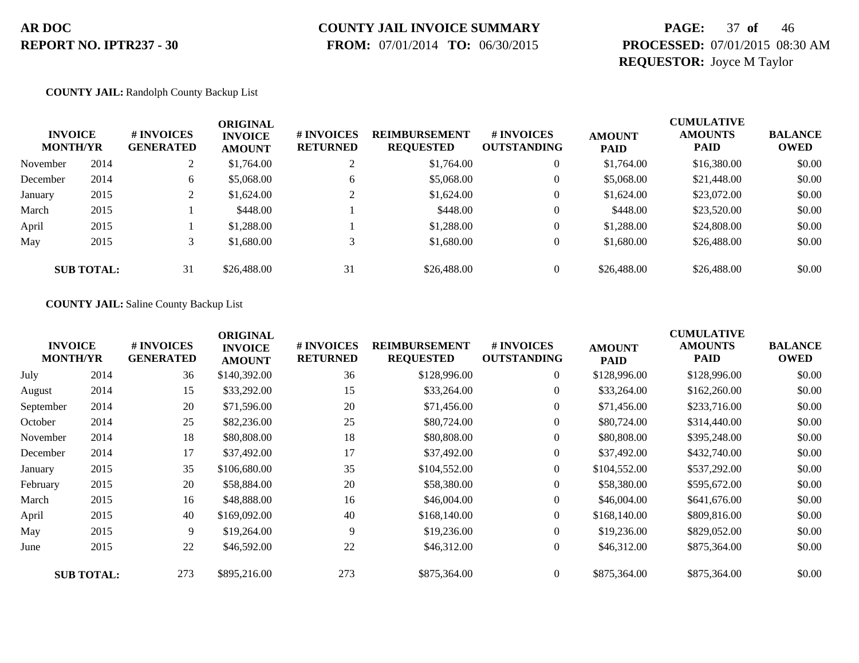# **COUNTY JAIL INVOICE SUMMARY**

 **FROM:** 07/01/2014 **TO:** 06/30/2015

### **PAGE:** 37 **of** 46 **PROCESSED:** 07/01/2015 08:30 AM **REQUESTOR:** Joyce M Taylor

#### **COUNTY JAIL:** Randolph County Backup List

| <b>INVOICE</b><br><b>MONTH/YR</b> |                   | # INVOICES<br><b>GENERATED</b> | ORIGINAL<br><b>INVOICE</b><br><b>AMOUNT</b> | <b># INVOICES</b><br><b>RETURNED</b> | <b>REIMBURSEMENT</b><br><b>REQUESTED</b> | # INVOICES<br><b>OUTSTANDING</b> | <b>AMOUNT</b><br><b>PAID</b> | <b>CUMULATIVE</b><br><b>AMOUNTS</b><br><b>PAID</b> | <b>BALANCE</b><br><b>OWED</b> |
|-----------------------------------|-------------------|--------------------------------|---------------------------------------------|--------------------------------------|------------------------------------------|----------------------------------|------------------------------|----------------------------------------------------|-------------------------------|
| November                          | 2014              | 2                              | \$1,764.00                                  | ∠                                    | \$1,764.00                               |                                  | \$1,764.00                   | \$16,380.00                                        | \$0.00                        |
| December                          | 2014              | 6                              | \$5,068.00                                  | 6                                    | \$5,068.00                               | $\boldsymbol{0}$                 | \$5,068.00                   | \$21,448.00                                        | \$0.00                        |
| January                           | 2015              | $\gamma$<br>∠                  | \$1,624.00                                  |                                      | \$1,624.00                               |                                  | \$1,624.00                   | \$23,072.00                                        | \$0.00                        |
| March                             | 2015              |                                | \$448.00                                    |                                      | \$448.00                                 | $\theta$                         | \$448.00                     | \$23,520.00                                        | \$0.00                        |
| April                             | 2015              |                                | \$1,288.00                                  |                                      | \$1,288.00                               |                                  | \$1,288.00                   | \$24,808.00                                        | \$0.00                        |
| May                               | 2015              | 3                              | \$1,680.00                                  |                                      | \$1,680.00                               | $\theta$                         | \$1,680.00                   | \$26,488.00                                        | \$0.00                        |
|                                   | <b>SUB TOTAL:</b> | 31                             | \$26,488.00                                 | 31                                   | \$26,488.00                              |                                  | \$26,488.00                  | \$26,488.00                                        | \$0.00                        |

#### **COUNTY JAIL:** Saline County Backup List

|           | <b>INVOICE</b><br><b>MONTH/YR</b> | # INVOICES<br><b>GENERATED</b> | <b>ORIGINAL</b><br><b>INVOICE</b><br><b>AMOUNT</b> | # INVOICES<br><b>RETURNED</b> | <b>REIMBURSEMENT</b><br><b>REQUESTED</b> | # INVOICES<br><b>OUTSTANDING</b> | <b>AMOUNT</b><br><b>PAID</b> | <b>CUMULATIVE</b><br><b>AMOUNTS</b><br><b>PAID</b> | <b>BALANCE</b><br><b>OWED</b> |
|-----------|-----------------------------------|--------------------------------|----------------------------------------------------|-------------------------------|------------------------------------------|----------------------------------|------------------------------|----------------------------------------------------|-------------------------------|
| July      | 2014                              | 36                             | \$140,392.00                                       | 36                            | \$128,996.00                             | $\boldsymbol{0}$                 | \$128,996.00                 | \$128,996.00                                       | \$0.00                        |
| August    | 2014                              | 15                             | \$33,292.00                                        | 15                            | \$33,264.00                              | $\overline{0}$                   | \$33,264.00                  | \$162,260.00                                       | \$0.00                        |
| September | 2014                              | 20                             | \$71,596.00                                        | 20                            | \$71,456.00                              | $\overline{0}$                   | \$71,456.00                  | \$233,716.00                                       | \$0.00                        |
| October   | 2014                              | 25                             | \$82,236.00                                        | 25                            | \$80,724.00                              | $\boldsymbol{0}$                 | \$80,724.00                  | \$314,440.00                                       | \$0.00                        |
| November  | 2014                              | 18                             | \$80,808.00                                        | 18                            | \$80,808.00                              | $\boldsymbol{0}$                 | \$80,808.00                  | \$395,248.00                                       | \$0.00                        |
| December  | 2014                              | 17                             | \$37,492.00                                        | 17                            | \$37,492.00                              | $\overline{0}$                   | \$37,492.00                  | \$432,740.00                                       | \$0.00                        |
| January   | 2015                              | 35                             | \$106,680.00                                       | 35                            | \$104,552.00                             | $\overline{0}$                   | \$104,552.00                 | \$537,292.00                                       | \$0.00                        |
| February  | 2015                              | 20                             | \$58,884.00                                        | 20                            | \$58,380.00                              | $\overline{0}$                   | \$58,380.00                  | \$595,672.00                                       | \$0.00                        |
| March     | 2015                              | 16                             | \$48,888.00                                        | 16                            | \$46,004.00                              | $\overline{0}$                   | \$46,004.00                  | \$641,676.00                                       | \$0.00                        |
| April     | 2015                              | 40                             | \$169,092.00                                       | 40                            | \$168,140.00                             | $\overline{0}$                   | \$168,140.00                 | \$809,816.00                                       | \$0.00                        |
| May       | 2015                              | 9                              | \$19,264.00                                        | 9                             | \$19,236.00                              | $\overline{0}$                   | \$19,236.00                  | \$829,052.00                                       | \$0.00                        |
| June      | 2015                              | 22                             | \$46,592.00                                        | 22                            | \$46,312.00                              | $\overline{0}$                   | \$46,312.00                  | \$875,364.00                                       | \$0.00                        |
|           | <b>SUB TOTAL:</b>                 | 273                            | \$895,216.00                                       | 273                           | \$875,364.00                             | $\overline{0}$                   | \$875,364.00                 | \$875,364.00                                       | \$0.00                        |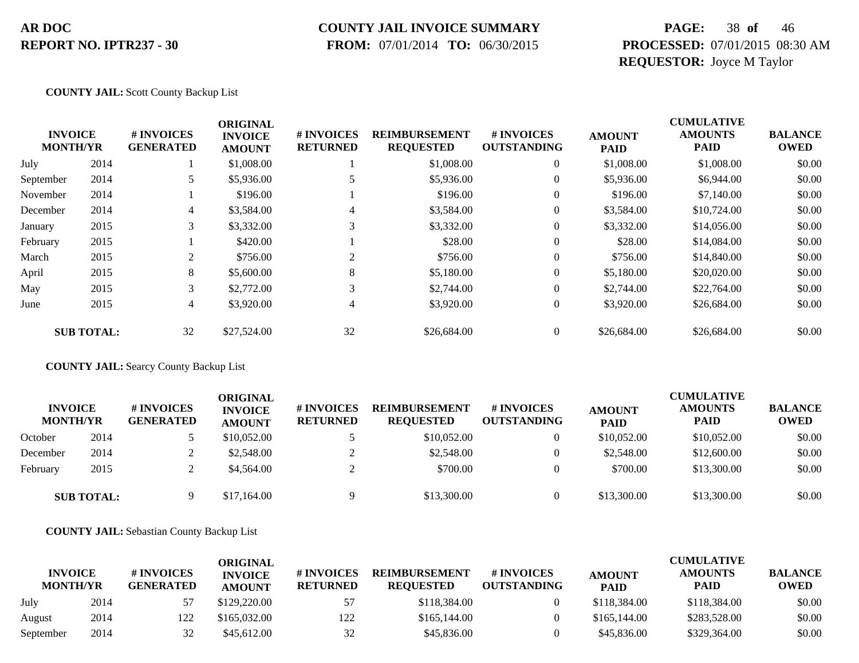#### **COUNTY JAIL INVOICE SUMMARY**

 **FROM:** 07/01/2014 **TO:** 06/30/2015

### **PAGE:** 38 **of** 46 **PROCESSED:** 07/01/2015 08:30 AM **REQUESTOR:** Joyce M Taylor

**COUNTY JAIL:** Scott County Backup List

|                                   |                   |                                | <b>ORIGINAL</b>                 |                               |                                          | <b>CUMULATIVE</b>                |                              |                               |                               |
|-----------------------------------|-------------------|--------------------------------|---------------------------------|-------------------------------|------------------------------------------|----------------------------------|------------------------------|-------------------------------|-------------------------------|
| <b>INVOICE</b><br><b>MONTH/YR</b> |                   | # INVOICES<br><b>GENERATED</b> | <b>INVOICE</b><br><b>AMOUNT</b> | # INVOICES<br><b>RETURNED</b> | <b>REIMBURSEMENT</b><br><b>REQUESTED</b> | # INVOICES<br><b>OUTSTANDING</b> | <b>AMOUNT</b><br><b>PAID</b> | <b>AMOUNTS</b><br><b>PAID</b> | <b>BALANCE</b><br><b>OWED</b> |
| July                              | 2014              |                                | \$1,008.00                      |                               | \$1,008.00                               | $\mathbf{0}$                     | \$1,008.00                   | \$1,008.00                    | \$0.00                        |
| September                         | 2014              |                                | \$5,936.00                      |                               | \$5,936.00                               | $\overline{0}$                   | \$5,936.00                   | \$6,944.00                    | \$0.00                        |
| November                          | 2014              |                                | \$196.00                        |                               | \$196.00                                 | 0                                | \$196.00                     | \$7,140.00                    | \$0.00                        |
| December                          | 2014              | 4                              | \$3,584.00                      |                               | \$3,584.00                               | $\mathbf{0}$                     | \$3,584.00                   | \$10,724.00                   | \$0.00                        |
| January                           | 2015              | 3                              | \$3,332.00                      | 3                             | \$3,332.00                               | $\overline{0}$                   | \$3,332.00                   | \$14,056.00                   | \$0.00                        |
| February                          | 2015              |                                | \$420.00                        |                               | \$28.00                                  | $\overline{0}$                   | \$28.00                      | \$14,084.00                   | \$0.00                        |
| March                             | 2015              | $\overline{c}$                 | \$756.00                        | 2                             | \$756.00                                 | $\overline{0}$                   | \$756.00                     | \$14,840.00                   | \$0.00                        |
| April                             | 2015              | 8                              | \$5,600.00                      | 8                             | \$5,180.00                               | $\overline{0}$                   | \$5,180.00                   | \$20,020.00                   | \$0.00                        |
| May                               | 2015              | 3                              | \$2,772.00                      | 3                             | \$2,744.00                               | $\mathbf{0}$                     | \$2,744.00                   | \$22,764.00                   | \$0.00                        |
| June                              | 2015              | 4                              | \$3,920.00                      | $\overline{4}$                | \$3,920.00                               | $\overline{0}$                   | \$3,920.00                   | \$26,684.00                   | \$0.00                        |
|                                   | <b>SUB TOTAL:</b> | 32                             | \$27,524.00                     | 32                            | \$26,684.00                              | 0                                | \$26,684.00                  | \$26,684.00                   | \$0.00                        |

**COUNTY JAIL:** Searcy County Backup List

| <b>INVOICE</b><br><b>MONTH/YR</b> |                   | # INVOICES<br><b>GENERATED</b> | ORIGINAL<br><b>INVOICE</b><br><b>AMOUNT</b> | # INVOICES<br><b>RETURNED</b> | <b>REIMBURSEMENT</b><br><b>REOUESTED</b> | # INVOICES<br><b>OUTSTANDING</b> | <b>AMOUNT</b><br><b>PAID</b> | <b>CUMULATIVE</b><br><b>AMOUNTS</b><br><b>PAID</b> | <b>BALANCE</b><br><b>OWED</b> |
|-----------------------------------|-------------------|--------------------------------|---------------------------------------------|-------------------------------|------------------------------------------|----------------------------------|------------------------------|----------------------------------------------------|-------------------------------|
| October                           | 2014              |                                | \$10,052.00                                 |                               | \$10,052.00                              | $\Omega$                         | \$10,052.00                  | \$10,052.00                                        | \$0.00                        |
| December                          | 2014              |                                | \$2,548.00                                  |                               | \$2,548.00                               |                                  | \$2,548.00                   | \$12,600.00                                        | \$0.00                        |
| February                          | 2015              |                                | \$4,564.00                                  |                               | \$700.00                                 |                                  | \$700.00                     | \$13,300.00                                        | \$0.00                        |
|                                   | <b>SUB TOTAL:</b> |                                | \$17,164.00                                 |                               | \$13,300.00                              |                                  | \$13,300.00                  | \$13,300.00                                        | \$0.00                        |

**COUNTY JAIL:** Sebastian County Backup List

|                                   |      |                                | ORIGINAL                        |                               |                                          |                                  |                              | <b>CUMULATIVE</b>             |                               |
|-----------------------------------|------|--------------------------------|---------------------------------|-------------------------------|------------------------------------------|----------------------------------|------------------------------|-------------------------------|-------------------------------|
| <b>INVOICE</b><br><b>MONTH/YR</b> |      | # INVOICES<br><b>GENERATED</b> | <b>INVOICE</b><br><b>AMOUNT</b> | # INVOICES<br><b>RETURNED</b> | <b>REIMBURSEMENT</b><br><b>REOUESTED</b> | # INVOICES<br><b>OUTSTANDING</b> | <b>AMOUNT</b><br><b>PAID</b> | <b>AMOUNTS</b><br><b>PAID</b> | <b>BALANCE</b><br><b>OWED</b> |
| July                              | 2014 |                                | \$129,220.00                    | 57                            | \$118,384,00                             |                                  | \$118,384.00                 | \$118,384.00                  | \$0.00                        |
| August                            | 2014 | 122                            | \$165,032.00                    | 122                           | \$165,144.00                             |                                  | \$165,144.00                 | \$283,528,00                  | \$0.00                        |
| September                         | 2014 | 32                             | \$45,612.00                     | 32                            | \$45,836.00                              |                                  | \$45,836.00                  | \$329,364.00                  | \$0.00                        |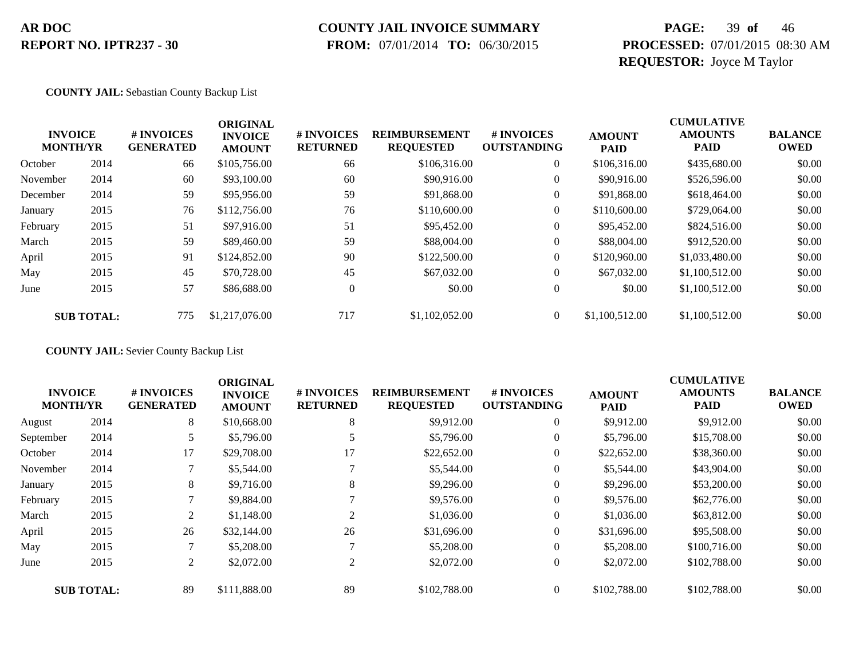# **COUNTY JAIL INVOICE SUMMARY**

 **FROM:** 07/01/2014 **TO:** 06/30/2015

### **PAGE:** 39 **of** 46 **PROCESSED:** 07/01/2015 08:30 AM **REQUESTOR:** Joyce M Taylor

#### **COUNTY JAIL:** Sebastian County Backup List

|          | <b>INVOICE</b><br><b>MONTH/YR</b> | # INVOICES<br><b>GENERATED</b> | <b>ORIGINAL</b><br><b>INVOICE</b><br><b>AMOUNT</b> | # INVOICES<br><b>RETURNED</b> | <b>REIMBURSEMENT</b><br><b>REQUESTED</b> | <b>#INVOICES</b><br><b>OUTSTANDING</b> | <b>AMOUNT</b><br><b>PAID</b> | <b>CUMULATIVE</b><br><b>AMOUNTS</b><br><b>PAID</b> | <b>BALANCE</b><br><b>OWED</b> |
|----------|-----------------------------------|--------------------------------|----------------------------------------------------|-------------------------------|------------------------------------------|----------------------------------------|------------------------------|----------------------------------------------------|-------------------------------|
| October  | 2014                              | 66                             | \$105,756.00                                       | 66                            | \$106,316.00                             | $\overline{0}$                         | \$106,316.00                 | \$435,680.00                                       | \$0.00                        |
| November | 2014                              | 60                             | \$93,100.00                                        | 60                            | \$90,916.00                              | $\overline{0}$                         | \$90,916.00                  | \$526,596.00                                       | \$0.00                        |
| December | 2014                              | 59                             | \$95,956.00                                        | 59                            | \$91,868.00                              | $\overline{0}$                         | \$91,868.00                  | \$618,464.00                                       | \$0.00                        |
| January  | 2015                              | 76                             | \$112,756.00                                       | 76                            | \$110,600.00                             | $\overline{0}$                         | \$110,600.00                 | \$729,064.00                                       | \$0.00                        |
| February | 2015                              | 51                             | \$97,916.00                                        | 51                            | \$95,452.00                              | $\overline{0}$                         | \$95,452.00                  | \$824,516.00                                       | \$0.00                        |
| March    | 2015                              | 59                             | \$89,460.00                                        | 59                            | \$88,004.00                              | $\overline{0}$                         | \$88,004.00                  | \$912,520.00                                       | \$0.00                        |
| April    | 2015                              | 91                             | \$124,852.00                                       | 90                            | \$122,500.00                             | $\Omega$                               | \$120,960.00                 | \$1,033,480.00                                     | \$0.00                        |
| May      | 2015                              | 45                             | \$70,728.00                                        | 45                            | \$67,032.00                              | $\overline{0}$                         | \$67,032.00                  | \$1,100,512.00                                     | \$0.00                        |
| June     | 2015                              | 57                             | \$86,688,00                                        | $\theta$                      | \$0.00                                   | $\overline{0}$                         | \$0.00                       | \$1,100,512.00                                     | \$0.00                        |
|          | <b>SUB TOTAL:</b>                 | 775                            | \$1,217,076.00                                     | 717                           | \$1,102,052.00                           | $\Omega$                               | \$1,100,512.00               | \$1,100,512.00                                     | \$0.00                        |

**COUNTY JAIL:** Sevier County Backup List

| <b>INVOICE</b><br># INVOICES |                   |                  | <b>ORIGINAL</b>                 |                               |                                          |                                  |                              | <b>CUMULATIVE</b>             |                               |
|------------------------------|-------------------|------------------|---------------------------------|-------------------------------|------------------------------------------|----------------------------------|------------------------------|-------------------------------|-------------------------------|
|                              | <b>MONTH/YR</b>   | <b>GENERATED</b> | <b>INVOICE</b><br><b>AMOUNT</b> | # INVOICES<br><b>RETURNED</b> | <b>REIMBURSEMENT</b><br><b>REQUESTED</b> | # INVOICES<br><b>OUTSTANDING</b> | <b>AMOUNT</b><br><b>PAID</b> | <b>AMOUNTS</b><br><b>PAID</b> | <b>BALANCE</b><br><b>OWED</b> |
| August                       | 2014              | 8                | \$10,668.00                     | 8                             | \$9,912.00                               | $\overline{0}$                   | \$9,912.00                   | \$9,912.00                    | \$0.00                        |
| September                    | 2014              |                  | \$5,796.00                      |                               | \$5,796.00                               | $\overline{0}$                   | \$5,796.00                   | \$15,708.00                   | \$0.00                        |
| October                      | 2014              | 17               | \$29,708.00                     | 17                            | \$22,652.00                              | $\theta$                         | \$22,652.00                  | \$38,360.00                   | \$0.00                        |
| November                     | 2014              |                  | \$5,544.00                      |                               | \$5,544.00                               | $\overline{0}$                   | \$5,544.00                   | \$43,904.00                   | \$0.00                        |
| January                      | 2015              | 8                | \$9,716.00                      | 8                             | \$9,296.00                               | $\mathbf{0}$                     | \$9,296.00                   | \$53,200.00                   | \$0.00                        |
| February                     | 2015              |                  | \$9,884.00                      |                               | \$9,576.00                               | $\mathbf{0}$                     | \$9,576.00                   | \$62,776.00                   | \$0.00                        |
| March                        | 2015              | 2                | \$1,148.00                      | $\sim$                        | \$1,036.00                               | $\boldsymbol{0}$                 | \$1,036.00                   | \$63,812.00                   | \$0.00                        |
| April                        | 2015              | 26               | \$32,144.00                     | 26                            | \$31,696.00                              | $\overline{0}$                   | \$31,696.00                  | \$95,508.00                   | \$0.00                        |
| May                          | 2015              | 7                | \$5,208.00                      |                               | \$5,208.00                               | $\mathbf{0}$                     | \$5,208.00                   | \$100,716.00                  | \$0.00                        |
| June                         | 2015              | 2                | \$2,072.00                      | 2                             | \$2,072.00                               | $\overline{0}$                   | \$2,072.00                   | \$102,788.00                  | \$0.00                        |
|                              | <b>SUB TOTAL:</b> | 89               | \$111,888.00                    | 89                            | \$102,788.00                             | $\Omega$                         | \$102,788.00                 | \$102,788.00                  | \$0.00                        |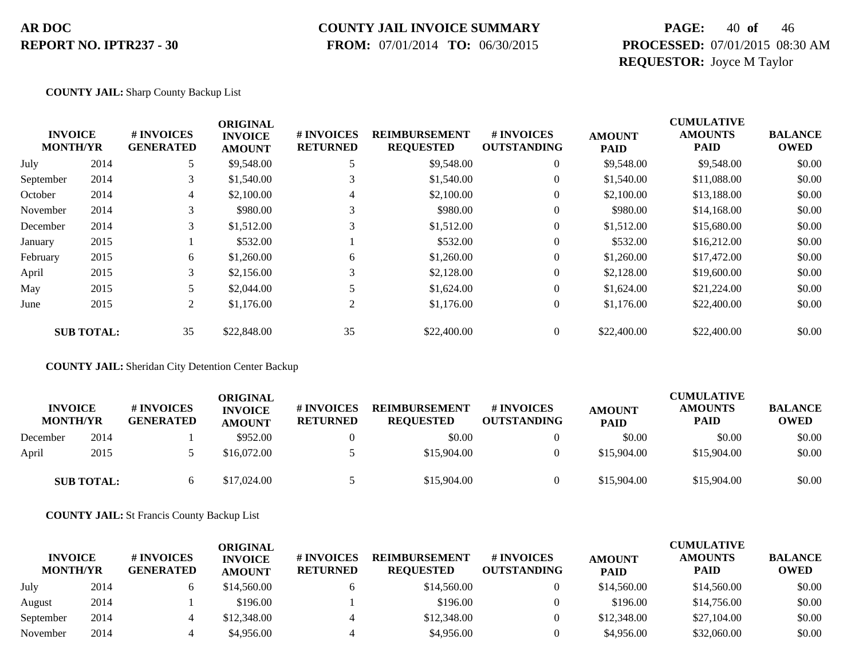### **COUNTY JAIL INVOICE SUMMARY**

 **FROM:** 07/01/2014 **TO:** 06/30/2015

### **PAGE:** 40 **of** 46 **PROCESSED:** 07/01/2015 08:30 AM **REQUESTOR:** Joyce M Taylor

**COUNTY JAIL:** Sharp County Backup List

|                                   |                   |                                | <b>ORIGINAL</b>                 |                               |                                          |                                  |                              | <b>CUMULATIVE</b>             |                               |
|-----------------------------------|-------------------|--------------------------------|---------------------------------|-------------------------------|------------------------------------------|----------------------------------|------------------------------|-------------------------------|-------------------------------|
| <b>INVOICE</b><br><b>MONTH/YR</b> |                   | # INVOICES<br><b>GENERATED</b> | <b>INVOICE</b><br><b>AMOUNT</b> | # INVOICES<br><b>RETURNED</b> | <b>REIMBURSEMENT</b><br><b>REQUESTED</b> | # INVOICES<br><b>OUTSTANDING</b> | <b>AMOUNT</b><br><b>PAID</b> | <b>AMOUNTS</b><br><b>PAID</b> | <b>BALANCE</b><br><b>OWED</b> |
| July                              | 2014              | 5                              | \$9,548.00                      |                               | \$9,548.00                               | $\overline{0}$                   | \$9,548.00                   | \$9,548.00                    | \$0.00                        |
| September                         | 2014              | 3                              | \$1,540.00                      | 3                             | \$1,540.00                               | $\overline{0}$                   | \$1,540.00                   | \$11,088.00                   | \$0.00                        |
| October                           | 2014              | 4                              | \$2,100.00                      | 4                             | \$2,100.00                               | 0                                | \$2,100.00                   | \$13,188.00                   | \$0.00                        |
| November                          | 2014              | 3                              | \$980.00                        |                               | \$980.00                                 | $\theta$                         | \$980.00                     | \$14,168.00                   | \$0.00                        |
| December                          | 2014              | 3                              | \$1,512.00                      | 3                             | \$1,512.00                               | $\overline{0}$                   | \$1,512.00                   | \$15,680.00                   | \$0.00                        |
| January                           | 2015              |                                | \$532.00                        |                               | \$532.00                                 | $\overline{0}$                   | \$532.00                     | \$16,212.00                   | \$0.00                        |
| February                          | 2015              | 6                              | \$1,260.00                      | 6                             | \$1,260.00                               | 0                                | \$1,260.00                   | \$17,472.00                   | \$0.00                        |
| April                             | 2015              | 3                              | \$2,156.00                      | 3                             | \$2,128.00                               | $\overline{0}$                   | \$2,128.00                   | \$19,600.00                   | \$0.00                        |
| May                               | 2015              |                                | \$2,044.00                      |                               | \$1,624.00                               | $\overline{0}$                   | \$1,624.00                   | \$21,224.00                   | \$0.00                        |
| June                              | 2015              | $\overline{2}$                 | \$1,176.00                      | 2                             | \$1,176.00                               | $\overline{0}$                   | \$1,176.00                   | \$22,400.00                   | \$0.00                        |
|                                   | <b>SUB TOTAL:</b> | 35                             | \$22,848.00                     | 35                            | \$22,400.00                              | 0                                | \$22,400.00                  | \$22,400.00                   | \$0.00                        |

**COUNTY JAIL:** Sheridan City Detention Center Backup

| <b>INVOICE</b><br><b>MONTH/YR</b> |                   | <b># INVOICES</b><br><b>GENERATED</b> | ORIGINAL<br><b>INVOICE</b><br><b>AMOUNT</b> | # INVOICES<br><b>RETURNED</b> | <b>REIMBURSEMENT</b><br><b>REOUESTED</b> | <b>#INVOICES</b><br><b>OUTSTANDING</b> | <b>AMOUNT</b><br><b>PAID</b> | <b>CUMULATIVE</b><br><b>AMOUNTS</b><br><b>PAID</b> | <b>BALANCE</b><br><b>OWED</b> |
|-----------------------------------|-------------------|---------------------------------------|---------------------------------------------|-------------------------------|------------------------------------------|----------------------------------------|------------------------------|----------------------------------------------------|-------------------------------|
| December                          | 2014              |                                       | \$952.00                                    |                               | \$0.00                                   |                                        | \$0.00                       | \$0.00                                             | \$0.00                        |
| April                             | 2015              |                                       | \$16,072.00                                 |                               | \$15,904.00                              | $\Omega$                               | \$15,904.00                  | \$15,904.00                                        | \$0.00                        |
|                                   | <b>SUB TOTAL:</b> |                                       | \$17,024.00                                 |                               | \$15,904.00                              | $\theta$                               | \$15,904.00                  | \$15,904.00                                        | \$0.00                        |

**COUNTY JAIL:** St Francis County Backup List

| <b>INVOICE</b><br><b>MONTH/YR</b> |      | # INVOICES<br><b>GENERATED</b> | ORIGINAL<br><b>INVOICE</b><br><b>AMOUNT</b> | <b># INVOICES</b><br><b>RETURNED</b> | <b>REIMBURSEMENT</b><br><b>REOUESTED</b> | <b>#INVOICES</b><br><b>OUTSTANDING</b> | <b>AMOUNT</b><br><b>PAID</b> | <b>CUMULATIVE</b><br><b>AMOUNTS</b><br><b>PAID</b> | <b>BALANCE</b><br><b>OWED</b> |
|-----------------------------------|------|--------------------------------|---------------------------------------------|--------------------------------------|------------------------------------------|----------------------------------------|------------------------------|----------------------------------------------------|-------------------------------|
| July                              | 2014 | h.                             | \$14,560.00                                 |                                      | \$14,560.00                              | $\theta$                               | \$14,560.00                  | \$14,560.00                                        | \$0.00                        |
| August                            | 2014 |                                | \$196.00                                    |                                      | \$196.00                                 |                                        | \$196.00                     | \$14,756.00                                        | \$0.00                        |
| September                         | 2014 | 4                              | \$12,348.00                                 |                                      | \$12,348.00                              | $\theta$                               | \$12,348.00                  | \$27,104.00                                        | \$0.00                        |
| November                          | 2014 | 4                              | \$4,956.00                                  |                                      | \$4,956.00                               |                                        | \$4,956.00                   | \$32,060.00                                        | \$0.00                        |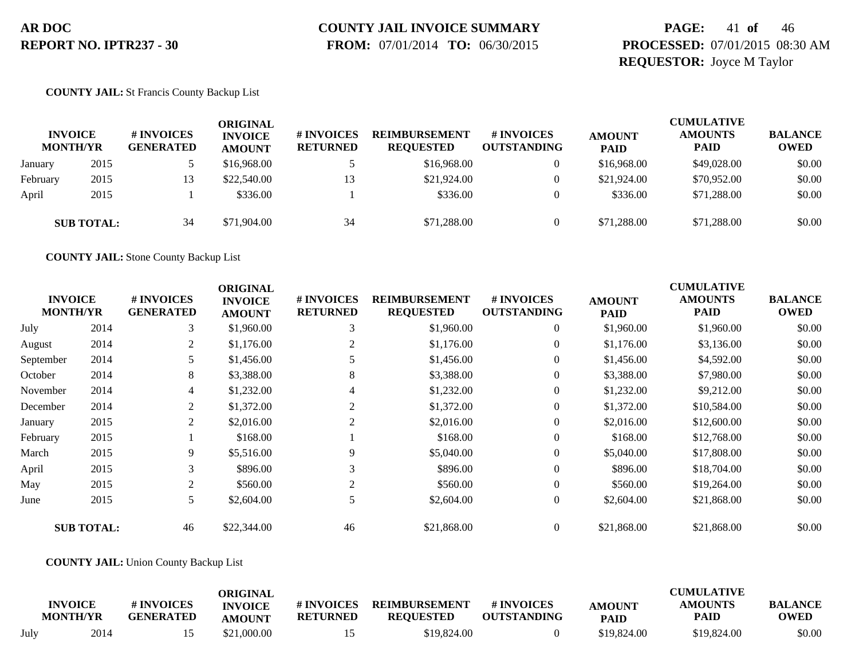# **COUNTY JAIL INVOICE SUMMARY**

 **FROM:** 07/01/2014 **TO:** 06/30/2015

### **PAGE:** 41 **of** 46 **PROCESSED:** 07/01/2015 08:30 AM **REQUESTOR:** Joyce M Taylor

#### **COUNTY JAIL:** St Francis County Backup List

|          | <b>INVOICE</b><br><b>MONTH/YR</b> | # INVOICES<br><b>GENERATED</b> | ORIGINAL<br><b>INVOICE</b><br><b>AMOUNT</b> | # INVOICES<br><b>RETURNED</b> | <b>REIMBURSEMENT</b><br><b>REOUESTED</b> | <b>#INVOICES</b><br><b>OUTSTANDING</b> | <b>AMOUNT</b><br><b>PAID</b> | <b>CUMULATIVE</b><br><b>AMOUNTS</b><br><b>PAID</b> | <b>BALANCE</b><br><b>OWED</b> |
|----------|-----------------------------------|--------------------------------|---------------------------------------------|-------------------------------|------------------------------------------|----------------------------------------|------------------------------|----------------------------------------------------|-------------------------------|
| January  | 2015                              |                                | \$16,968.00                                 |                               | \$16,968,00                              | 0                                      | \$16,968.00                  | \$49,028,00                                        | \$0.00                        |
| February | 2015                              | 13                             | \$22,540.00                                 |                               | \$21,924.00                              | 0                                      | \$21,924.00                  | \$70,952.00                                        | \$0.00                        |
| April    | 2015                              |                                | \$336.00                                    |                               | \$336.00                                 | $\Omega$                               | \$336.00                     | \$71,288.00                                        | \$0.00                        |
|          | <b>SUB TOTAL:</b>                 | 34                             | \$71,904.00                                 | 34                            | \$71,288.00                              | $\Omega$                               | \$71,288.00                  | \$71,288.00                                        | \$0.00                        |

**COUNTY JAIL:** Stone County Backup List

| <b>INVOICE</b><br><b>MONTH/YR</b> |                   | # INVOICES<br><b>GENERATED</b> | <b>ORIGINAL</b><br><b>INVOICE</b><br><b>AMOUNT</b> | # INVOICES<br><b>RETURNED</b> | <b>REIMBURSEMENT</b><br><b>REQUESTED</b> | # INVOICES<br><b>OUTSTANDING</b> | <b>AMOUNT</b><br><b>PAID</b> | <b>CUMULATIVE</b><br><b>AMOUNTS</b><br><b>PAID</b> | <b>BALANCE</b><br><b>OWED</b> |
|-----------------------------------|-------------------|--------------------------------|----------------------------------------------------|-------------------------------|------------------------------------------|----------------------------------|------------------------------|----------------------------------------------------|-------------------------------|
| July                              | 2014              | 3                              | \$1,960.00                                         | 3                             | \$1,960.00                               | $\overline{0}$                   | \$1,960.00                   | \$1,960.00                                         | \$0.00                        |
| August                            | 2014              | 2                              | \$1,176.00                                         | 2                             | \$1,176.00                               | $\overline{0}$                   | \$1,176.00                   | \$3,136.00                                         | \$0.00                        |
| September                         | 2014              |                                | \$1,456.00                                         |                               | \$1,456.00                               | $\overline{0}$                   | \$1,456.00                   | \$4,592.00                                         | \$0.00                        |
| October                           | 2014              | 8                              | \$3,388.00                                         | 8                             | \$3,388.00                               | $\overline{0}$                   | \$3,388.00                   | \$7,980.00                                         | \$0.00                        |
| November                          | 2014              | $\overline{4}$                 | \$1,232.00                                         | 4                             | \$1,232.00                               | $\overline{0}$                   | \$1,232.00                   | \$9,212.00                                         | \$0.00                        |
| December                          | 2014              | 2                              | \$1,372.00                                         | 2                             | \$1,372.00                               | $\overline{0}$                   | \$1,372.00                   | \$10,584.00                                        | \$0.00                        |
| January                           | 2015              | 2                              | \$2,016.00                                         | 2                             | \$2,016.00                               | $\overline{0}$                   | \$2,016.00                   | \$12,600.00                                        | \$0.00                        |
| February                          | 2015              |                                | \$168.00                                           |                               | \$168.00                                 | $\overline{0}$                   | \$168.00                     | \$12,768.00                                        | \$0.00                        |
| March                             | 2015              | 9                              | \$5,516.00                                         | 9                             | \$5,040.00                               | $\overline{0}$                   | \$5,040.00                   | \$17,808.00                                        | \$0.00                        |
| April                             | 2015              | 3                              | \$896.00                                           | 3                             | \$896.00                                 | $\overline{0}$                   | \$896.00                     | \$18,704.00                                        | \$0.00                        |
| May                               | 2015              | 2                              | \$560.00                                           | 2                             | \$560.00                                 | $\overline{0}$                   | \$560.00                     | \$19,264.00                                        | \$0.00                        |
| June                              | 2015              | 5                              | \$2,604.00                                         | 5                             | \$2,604.00                               | $\overline{0}$                   | \$2,604.00                   | \$21,868.00                                        | \$0.00                        |
|                                   | <b>SUB TOTAL:</b> | 46                             | \$22,344.00                                        | 46                            | \$21,868.00                              | $\overline{0}$                   | \$21,868.00                  | \$21,868.00                                        | \$0.00                        |

#### **COUNTY JAIL:** Union County Backup List

|      | <b>INVOICE</b><br><b>MONTH/YR</b> | # INVOICES<br><b>GENERATED</b> | ORIGINAL<br><b>INVOICE</b> | # INVOICES<br><b>RETURNED</b> | <b>REIMBURSEMENT</b><br><b>REOUESTED</b> | # INVOICES<br><b>OUTSTANDING</b> | <b>AMOUNT</b> | <b>CUMULATIVE</b><br><b>AMOUNTS</b><br>PAID | <b>BALANCE</b><br><b>OWED</b> |
|------|-----------------------------------|--------------------------------|----------------------------|-------------------------------|------------------------------------------|----------------------------------|---------------|---------------------------------------------|-------------------------------|
|      |                                   |                                | <b>AMOUNT</b>              |                               |                                          |                                  | <b>PAID</b>   |                                             |                               |
| July | 2014                              |                                | \$21,000.00                |                               | \$19.824.00                              |                                  | \$19.824.00   | \$19.824.00                                 | \$0.00                        |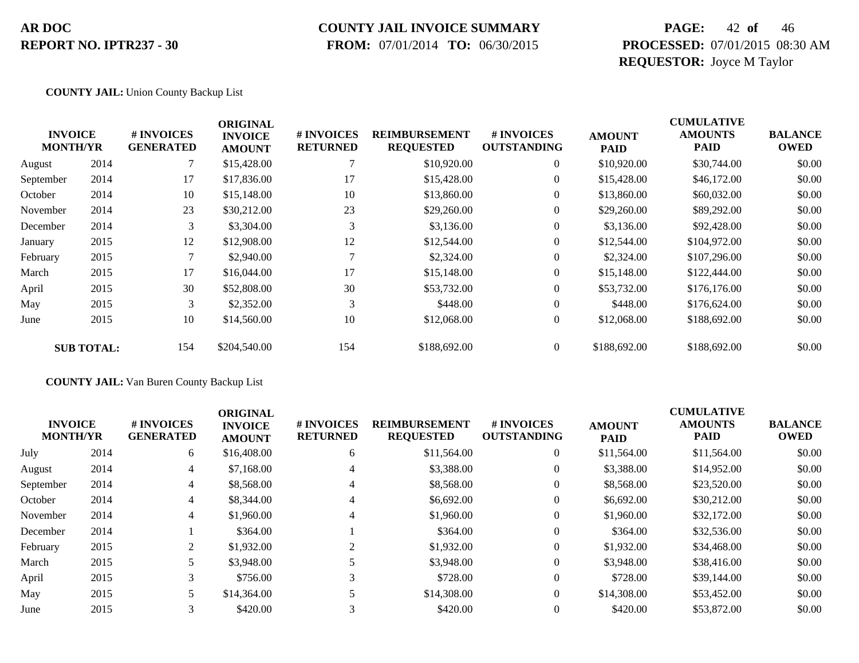### **COUNTY JAIL INVOICE SUMMARY**

 **FROM:** 07/01/2014 **TO:** 06/30/2015

### **PAGE:** 42 **of** 46 **PROCESSED:** 07/01/2015 08:30 AM **REQUESTOR:** Joyce M Taylor

#### **COUNTY JAIL:** Union County Backup List

|           |                                   |                                | <b>ORIGINAL</b>                 |                               |                                          |                                        |                              | <b>CUMULATIVE</b>      |                               |
|-----------|-----------------------------------|--------------------------------|---------------------------------|-------------------------------|------------------------------------------|----------------------------------------|------------------------------|------------------------|-------------------------------|
|           | <b>INVOICE</b><br><b>MONTH/YR</b> | # INVOICES<br><b>GENERATED</b> | <b>INVOICE</b><br><b>AMOUNT</b> | # INVOICES<br><b>RETURNED</b> | <b>REIMBURSEMENT</b><br><b>REQUESTED</b> | <b>#INVOICES</b><br><b>OUTSTANDING</b> | <b>AMOUNT</b><br><b>PAID</b> | <b>AMOUNTS</b><br>PAID | <b>BALANCE</b><br><b>OWED</b> |
| August    | 2014                              |                                | \$15,428.00                     |                               | \$10,920.00                              | $\overline{0}$                         | \$10,920.00                  | \$30,744.00            | \$0.00                        |
| September | 2014                              | 17                             | \$17,836.00                     | 17                            | \$15,428.00                              |                                        | \$15,428.00                  | \$46,172.00            | \$0.00                        |
| October   | 2014                              | 10                             | \$15,148.00                     | 10                            | \$13,860.00                              | $\overline{0}$                         | \$13,860.00                  | \$60,032.00            | \$0.00                        |
| November  | 2014                              | 23                             | \$30,212.00                     | 23                            | \$29,260.00                              | $\boldsymbol{0}$                       | \$29,260.00                  | \$89,292.00            | \$0.00                        |
| December  | 2014                              | 3                              | \$3,304.00                      | 3                             | \$3,136.00                               | $\overline{0}$                         | \$3,136.00                   | \$92,428.00            | \$0.00                        |
| January   | 2015                              | 12                             | \$12,908.00                     | 12                            | \$12,544.00                              | $\boldsymbol{0}$                       | \$12,544.00                  | \$104,972.00           | \$0.00                        |
| February  | 2015                              |                                | \$2,940.00                      |                               | \$2,324.00                               | $\overline{0}$                         | \$2,324.00                   | \$107,296.00           | \$0.00                        |
| March     | 2015                              | 17                             | \$16,044.00                     | 17                            | \$15,148.00                              | $\overline{0}$                         | \$15,148.00                  | \$122,444.00           | \$0.00                        |
| April     | 2015                              | 30                             | \$52,808.00                     | 30                            | \$53,732.00                              | $\overline{0}$                         | \$53,732.00                  | \$176,176.00           | \$0.00                        |
| May       | 2015                              | 3                              | \$2,352.00                      | 3                             | \$448.00                                 | $\overline{0}$                         | \$448.00                     | \$176,624.00           | \$0.00                        |
| June      | 2015                              | 10                             | \$14,560.00                     | 10                            | \$12,068.00                              | $\boldsymbol{0}$                       | \$12,068.00                  | \$188,692.00           | \$0.00                        |
|           | <b>SUB TOTAL:</b>                 | 154                            | \$204,540.00                    | 154                           | \$188,692.00                             | $\theta$                               | \$188,692.00                 | \$188,692.00           | \$0.00                        |

**COUNTY JAIL:** Van Buren County Backup List

|           | <b>INVOICE</b><br><b>MONTH/YR</b> | # INVOICES<br><b>GENERATED</b> | <b>ORIGINAL</b><br><b>INVOICE</b><br><b>AMOUNT</b> | # INVOICES<br><b>RETURNED</b> | <b>REIMBURSEMENT</b><br><b>REQUESTED</b> | <b>#INVOICES</b><br><b>OUTSTANDING</b> | <b>AMOUNT</b><br><b>PAID</b> | <b>CUMULATIVE</b><br><b>AMOUNTS</b><br><b>PAID</b> | <b>BALANCE</b><br><b>OWED</b> |
|-----------|-----------------------------------|--------------------------------|----------------------------------------------------|-------------------------------|------------------------------------------|----------------------------------------|------------------------------|----------------------------------------------------|-------------------------------|
| July      | 2014                              | 6                              | \$16,408.00                                        | 6                             | \$11,564.00                              | $\overline{0}$                         | \$11,564.00                  | \$11,564.00                                        | \$0.00                        |
| August    | 2014                              | 4                              | \$7,168.00                                         | 4                             | \$3,388.00                               | $\overline{0}$                         | \$3,388.00                   | \$14,952.00                                        | \$0.00                        |
| September | 2014                              | 4                              | \$8,568.00                                         | 4                             | \$8,568.00                               | $\overline{0}$                         | \$8,568.00                   | \$23,520.00                                        | \$0.00                        |
| October   | 2014                              | 4                              | \$8,344.00                                         | 4                             | \$6,692.00                               | $\overline{0}$                         | \$6,692.00                   | \$30,212.00                                        | \$0.00                        |
| November  | 2014                              | 4                              | \$1,960.00                                         | 4                             | \$1,960.00                               | $\overline{0}$                         | \$1,960.00                   | \$32,172.00                                        | \$0.00                        |
| December  | 2014                              |                                | \$364.00                                           |                               | \$364.00                                 | $\overline{0}$                         | \$364.00                     | \$32,536.00                                        | \$0.00                        |
| February  | 2015                              | 2                              | \$1,932.00                                         |                               | \$1,932.00                               | $\overline{0}$                         | \$1,932.00                   | \$34,468.00                                        | \$0.00                        |
| March     | 2015                              |                                | \$3,948.00                                         |                               | \$3,948.00                               | $\overline{0}$                         | \$3,948.00                   | \$38,416.00                                        | \$0.00                        |
| April     | 2015                              | 3                              | \$756.00                                           | 3                             | \$728.00                                 | $\overline{0}$                         | \$728.00                     | \$39,144.00                                        | \$0.00                        |
| May       | 2015                              |                                | \$14,364.00                                        |                               | \$14,308.00                              | $\overline{0}$                         | \$14,308.00                  | \$53,452.00                                        | \$0.00                        |
| June      | 2015                              | 3                              | \$420.00                                           | 3                             | \$420.00                                 | $\overline{0}$                         | \$420.00                     | \$53,872.00                                        | \$0.00                        |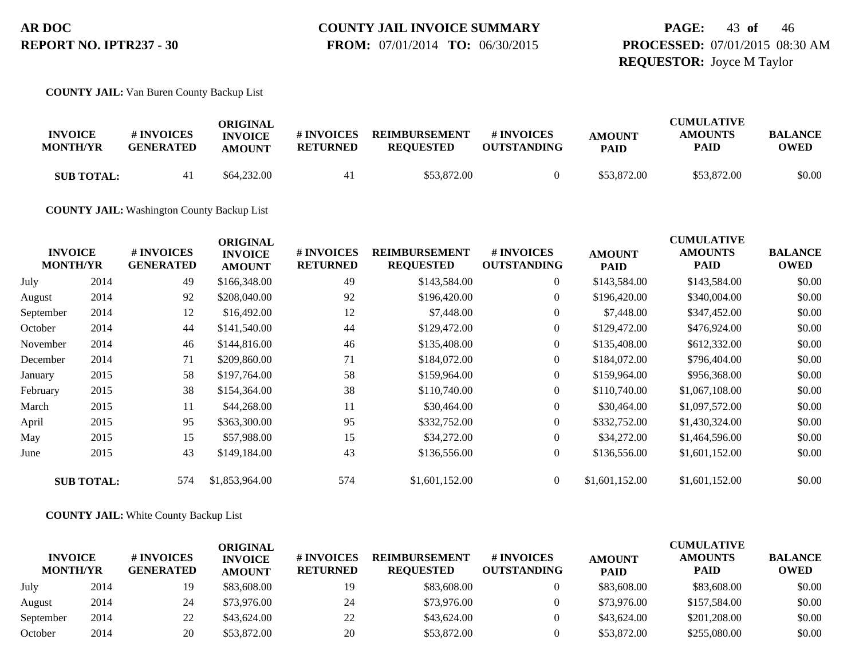#### **COUNTY JAIL INVOICE SUMMARY FROM:** 07/01/2014 **TO:** 06/30/2015

**PAGE:** 43 **of** 46 **PROCESSED:** 07/01/2015 08:30 AM **REQUESTOR:** Joyce M Taylor

**COUNTY JAIL:** Van Buren County Backup List

| <b>INVOICE</b><br><b>MONTH/YR</b> | # INVOICES       | ORIGINAL<br><b>INVOICE</b> | # INVOICES | <b>REIMBURSEMENT</b> | # INVOICES         | <b>AMOUNT</b> | <b>CUMULATIVE</b><br><b>AMOUNTS</b> | <b>BALANCE</b> |
|-----------------------------------|------------------|----------------------------|------------|----------------------|--------------------|---------------|-------------------------------------|----------------|
|                                   | <b>GENERATED</b> | <b>AMOUNT</b>              | RETURNED   | <b>REOUESTED</b>     | <b>OUTSTANDING</b> | <b>PAID</b>   | PAID                                | <b>OWED</b>    |
| <b>SUB TOTAL:</b>                 |                  | \$64,232,00                | 41         | \$53,872.00          |                    | \$53,872.00   | \$53,872.00                         | \$0.00         |

**COUNTY JAIL:** Washington County Backup List

|           | <b>INVOICE</b><br><b>MONTH/YR</b> | # INVOICES<br><b>GENERATED</b> | <b>ORIGINAL</b><br><b>INVOICE</b><br><b>AMOUNT</b> | # INVOICES<br><b>RETURNED</b> | <b>REIMBURSEMENT</b><br><b>REQUESTED</b> | # INVOICES<br><b>OUTSTANDING</b> | <b>AMOUNT</b><br><b>PAID</b> | <b>CUMULATIVE</b><br><b>AMOUNTS</b><br><b>PAID</b> | <b>BALANCE</b><br><b>OWED</b> |
|-----------|-----------------------------------|--------------------------------|----------------------------------------------------|-------------------------------|------------------------------------------|----------------------------------|------------------------------|----------------------------------------------------|-------------------------------|
| July      | 2014                              | 49                             | \$166,348.00                                       | 49                            | \$143,584.00                             | $\overline{0}$                   | \$143,584.00                 | \$143,584.00                                       | \$0.00                        |
| August    | 2014                              | 92                             | \$208,040.00                                       | 92                            | \$196,420.00                             | $\overline{0}$                   | \$196,420.00                 | \$340,004.00                                       | \$0.00                        |
| September | 2014                              | 12                             | \$16,492.00                                        | 12                            | \$7,448.00                               | $\overline{0}$                   | \$7,448.00                   | \$347,452.00                                       | \$0.00                        |
| October   | 2014                              | 44                             | \$141,540.00                                       | 44                            | \$129,472.00                             | $\overline{0}$                   | \$129,472.00                 | \$476,924.00                                       | \$0.00                        |
| November  | 2014                              | 46                             | \$144,816.00                                       | 46                            | \$135,408.00                             | $\overline{0}$                   | \$135,408.00                 | \$612,332.00                                       | \$0.00                        |
| December  | 2014                              | 71                             | \$209,860.00                                       | 71                            | \$184,072.00                             | $\overline{0}$                   | \$184,072.00                 | \$796,404.00                                       | \$0.00                        |
| January   | 2015                              | 58                             | \$197,764.00                                       | 58                            | \$159,964.00                             | $\overline{0}$                   | \$159,964.00                 | \$956,368.00                                       | \$0.00                        |
| February  | 2015                              | 38                             | \$154,364.00                                       | 38                            | \$110,740.00                             | $\overline{0}$                   | \$110,740.00                 | \$1,067,108.00                                     | \$0.00                        |
| March     | 2015                              | 11                             | \$44,268.00                                        | 11                            | \$30,464.00                              | $\overline{0}$                   | \$30,464.00                  | \$1,097,572.00                                     | \$0.00                        |
| April     | 2015                              | 95                             | \$363,300.00                                       | 95                            | \$332,752.00                             | $\overline{0}$                   | \$332,752.00                 | \$1,430,324.00                                     | \$0.00                        |
| May       | 2015                              | 15                             | \$57,988.00                                        | 15                            | \$34,272.00                              | $\overline{0}$                   | \$34,272.00                  | \$1,464,596.00                                     | \$0.00                        |
| June      | 2015                              | 43                             | \$149,184.00                                       | 43                            | \$136,556.00                             | $\overline{0}$                   | \$136,556.00                 | \$1,601,152.00                                     | \$0.00                        |
|           | <b>SUB TOTAL:</b>                 | 574                            | \$1,853,964.00                                     | 574                           | \$1,601,152.00                           | $\overline{0}$                   | \$1,601,152.00               | \$1,601,152.00                                     | \$0.00                        |

**COUNTY JAIL:** White County Backup List

| <b>INVOICE</b><br><b>MONTH/YR</b> |      | # INVOICES<br><b>GENERATED</b> | ORIGINAL<br><b>INVOICE</b><br><b>AMOUNT</b> | <b># INVOICES</b><br><b>RETURNED</b> | <b>REIMBURSEMENT</b><br><b>REQUESTED</b> | # INVOICES<br><b>OUTSTANDING</b> | <b>AMOUNT</b><br><b>PAID</b> | <b>CUMULATIVE</b><br><b>AMOUNTS</b><br><b>PAID</b> | <b>BALANCE</b><br><b>OWED</b> |
|-----------------------------------|------|--------------------------------|---------------------------------------------|--------------------------------------|------------------------------------------|----------------------------------|------------------------------|----------------------------------------------------|-------------------------------|
| July                              | 2014 | 19                             | \$83,608.00                                 | 19                                   | \$83,608.00                              |                                  | \$83,608.00                  | \$83,608,00                                        | \$0.00                        |
| August                            | 2014 | 24                             | \$73,976.00                                 | 24                                   | \$73,976.00                              |                                  | \$73,976.00                  | \$157,584.00                                       | \$0.00                        |
| September                         | 2014 | 22                             | \$43,624.00                                 | 22                                   | \$43,624.00                              | $\overline{0}$                   | \$43,624.00                  | \$201,208.00                                       | \$0.00                        |
| October                           | 2014 | 20                             | \$53,872.00                                 | 20                                   | \$53,872.00                              |                                  | \$53,872.00                  | \$255,080.00                                       | \$0.00                        |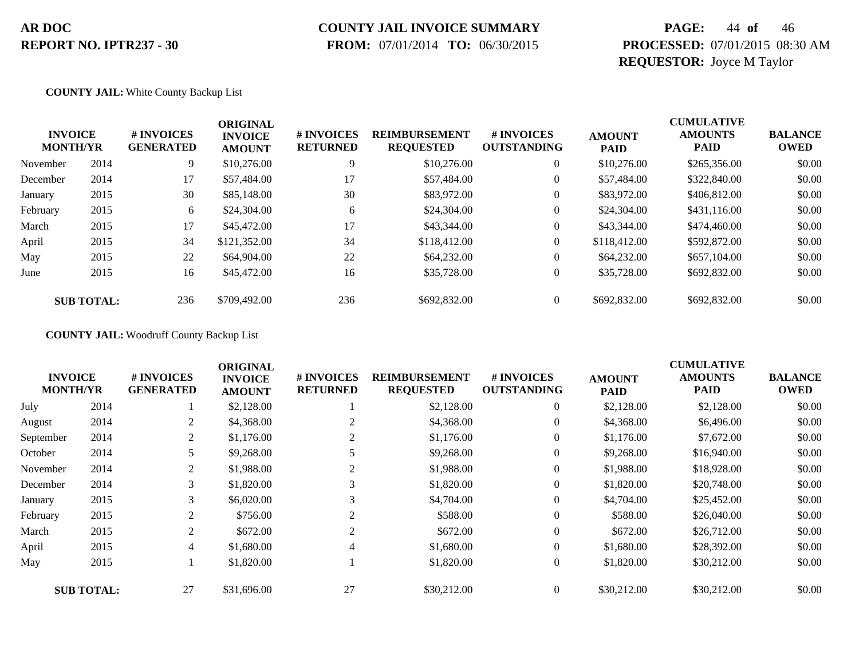# **COUNTY JAIL INVOICE SUMMARY**

 **FROM:** 07/01/2014 **TO:** 06/30/2015

### **PAGE:** 44 **of** 46 **PROCESSED:** 07/01/2015 08:30 AM **REQUESTOR:** Joyce M Taylor

#### **COUNTY JAIL:** White County Backup List

|          | <b>INVOICE</b><br><b>MONTH/YR</b> | # INVOICES<br><b>GENERATED</b> | <b>ORIGINAL</b><br><b>INVOICE</b><br><b>AMOUNT</b> | # INVOICES<br><b>RETURNED</b> | <b>REIMBURSEMENT</b><br><b>REQUESTED</b> | # INVOICES<br><b>OUTSTANDING</b> | <b>AMOUNT</b><br><b>PAID</b> | <b>CUMULATIVE</b><br><b>AMOUNTS</b><br><b>PAID</b> | <b>BALANCE</b><br><b>OWED</b> |
|----------|-----------------------------------|--------------------------------|----------------------------------------------------|-------------------------------|------------------------------------------|----------------------------------|------------------------------|----------------------------------------------------|-------------------------------|
| November | 2014                              | 9                              | \$10,276.00                                        | 9                             | \$10,276.00                              | $\overline{0}$                   | \$10,276.00                  | \$265,356.00                                       | \$0.00                        |
| December | 2014                              | 17                             | \$57,484.00                                        | 17                            | \$57,484.00                              | $\boldsymbol{0}$                 | \$57,484.00                  | \$322,840.00                                       | \$0.00                        |
| January  | 2015                              | 30                             | \$85,148.00                                        | 30                            | \$83,972.00                              | $\boldsymbol{0}$                 | \$83,972.00                  | \$406,812.00                                       | \$0.00                        |
| February | 2015                              | 6                              | \$24,304.00                                        | 6                             | \$24,304.00                              | 0                                | \$24,304.00                  | \$431,116.00                                       | \$0.00                        |
| March    | 2015                              | 17                             | \$45,472.00                                        | 17                            | \$43,344.00                              | $\boldsymbol{0}$                 | \$43,344.00                  | \$474,460.00                                       | \$0.00                        |
| April    | 2015                              | 34                             | \$121,352.00                                       | 34                            | \$118,412.00                             | $\boldsymbol{0}$                 | \$118,412.00                 | \$592,872.00                                       | \$0.00                        |
| May      | 2015                              | 22                             | \$64,904.00                                        | 22                            | \$64,232,00                              | $\overline{0}$                   | \$64,232.00                  | \$657,104.00                                       | \$0.00                        |
| June     | 2015                              | 16                             | \$45,472.00                                        | 16                            | \$35,728.00                              | $\overline{0}$                   | \$35,728.00                  | \$692,832.00                                       | \$0.00                        |
|          | <b>SUB TOTAL:</b>                 | 236                            | \$709,492.00                                       | 236                           | \$692,832.00                             | $\Omega$                         | \$692,832.00                 | \$692,832.00                                       | \$0.00                        |

#### **COUNTY JAIL:** Woodruff County Backup List

|                                   |                   |                                | <b>ORIGINAL</b>                 |                               |                                          |                                  |                              | <b>CUMULATIVE</b>             |                               |
|-----------------------------------|-------------------|--------------------------------|---------------------------------|-------------------------------|------------------------------------------|----------------------------------|------------------------------|-------------------------------|-------------------------------|
| <b>INVOICE</b><br><b>MONTH/YR</b> |                   | # INVOICES<br><b>GENERATED</b> | <b>INVOICE</b><br><b>AMOUNT</b> | # INVOICES<br><b>RETURNED</b> | <b>REIMBURSEMENT</b><br><b>REQUESTED</b> | # INVOICES<br><b>OUTSTANDING</b> | <b>AMOUNT</b><br><b>PAID</b> | <b>AMOUNTS</b><br><b>PAID</b> | <b>BALANCE</b><br><b>OWED</b> |
| July                              | 2014              |                                | \$2,128.00                      |                               | \$2,128.00                               | $\theta$                         | \$2,128.00                   | \$2,128.00                    | \$0.00                        |
| August                            | 2014              | 2                              | \$4,368.00                      |                               | \$4,368.00                               | $\theta$                         | \$4,368.00                   | \$6,496.00                    | \$0.00                        |
| September                         | 2014              | 2                              | \$1,176.00                      | 2                             | \$1,176.00                               | $\overline{0}$                   | \$1,176.00                   | \$7,672.00                    | \$0.00                        |
| October                           | 2014              |                                | \$9,268.00                      |                               | \$9,268.00                               | $\overline{0}$                   | \$9,268.00                   | \$16,940.00                   | \$0.00                        |
| November                          | 2014              | $\overline{c}$                 | \$1,988.00                      |                               | \$1,988.00                               | $\overline{0}$                   | \$1,988.00                   | \$18,928.00                   | \$0.00                        |
| December                          | 2014              | 3                              | \$1,820.00                      | 3                             | \$1,820.00                               | $\overline{0}$                   | \$1,820.00                   | \$20,748.00                   | \$0.00                        |
| January                           | 2015              | 3                              | \$6,020.00                      | 3                             | \$4,704.00                               | $\overline{0}$                   | \$4,704.00                   | \$25,452.00                   | \$0.00                        |
| February                          | 2015              | 2                              | \$756.00                        | $\sim$                        | \$588.00                                 | $\mathbf{0}$                     | \$588.00                     | \$26,040.00                   | \$0.00                        |
| March                             | 2015              | 2                              | \$672.00                        | 2                             | \$672.00                                 | $\overline{0}$                   | \$672.00                     | \$26,712.00                   | \$0.00                        |
| April                             | 2015              | 4                              | \$1,680.00                      | 4                             | \$1,680.00                               | $\overline{0}$                   | \$1,680.00                   | \$28,392.00                   | \$0.00                        |
| May                               | 2015              |                                | \$1,820.00                      |                               | \$1,820.00                               | $\mathbf{0}$                     | \$1,820.00                   | \$30,212.00                   | \$0.00                        |
|                                   | <b>SUB TOTAL:</b> | 27                             | \$31,696.00                     | 27                            | \$30,212.00                              | $\overline{0}$                   | \$30,212.00                  | \$30,212.00                   | \$0.00                        |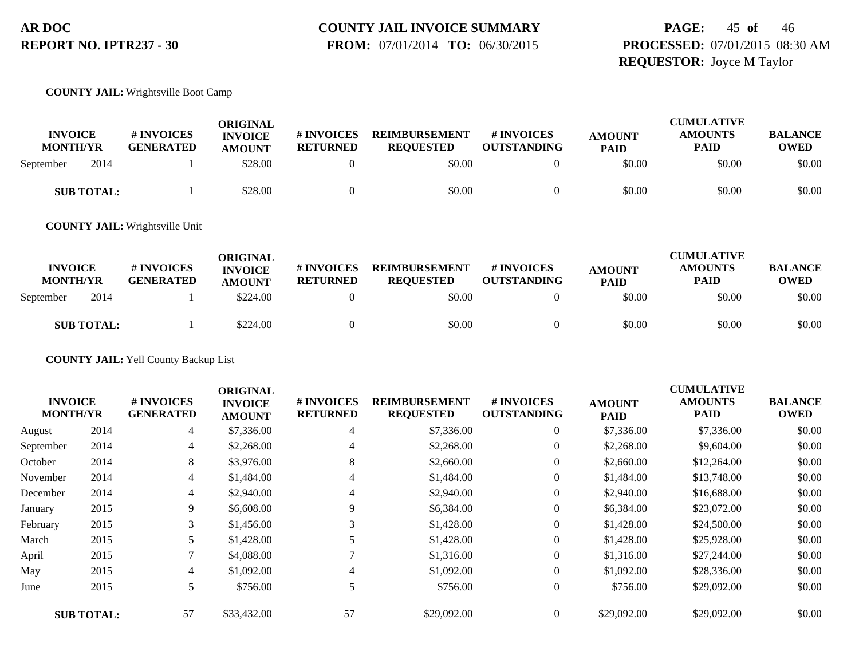#### **COUNTY JAIL INVOICE SUMMARY FROM:** 07/01/2014 **TO:** 06/30/2015

### **PAGE:** 45 **of** 46 **PROCESSED:** 07/01/2015 08:30 AM **REQUESTOR:** Joyce M Taylor

#### **COUNTY JAIL:** Wrightsville Boot Camp

| <b>INVOICE</b><br><b>MONTH/YR</b> | <b>#INVOICES</b><br><b>GENERATED</b> | <b>ORIGINAL</b><br><b>INVOICE</b><br><b>AMOUNT</b> | <b>#INVOICES</b><br><b>RETURNED</b> | <b>REIMBURSEMENT</b><br><b>REOUESTED</b> | # INVOICES<br><b>OUTSTANDING</b> | <b>AMOUNT</b><br><b>PAID</b> | <b>CUMULATIVE</b><br><b>AMOUNTS</b><br><b>PAID</b> | <b>BALANCE</b><br><b>OWED</b> |
|-----------------------------------|--------------------------------------|----------------------------------------------------|-------------------------------------|------------------------------------------|----------------------------------|------------------------------|----------------------------------------------------|-------------------------------|
| 2014<br>September                 |                                      | \$28.00                                            |                                     | \$0.00                                   |                                  | \$0.00                       | \$0.00                                             | \$0.00                        |
| <b>SUB TOTAL:</b>                 |                                      | \$28.00                                            |                                     | \$0.00                                   |                                  | \$0.00                       | \$0.00                                             | \$0.00                        |

**COUNTY JAIL:** Wrightsville Unit

| <b>INVOICE</b><br><b>MONTH/YR</b> | # INVOICES<br><b>GENERATED</b> | ORIGINAL<br><b>INVOICE</b><br><b>AMOUNT</b> | # INVOICES<br><b>RETURNED</b> | <b>REIMBURSEMENT</b><br><b>REOUESTED</b> | # INVOICES<br><b>OUTSTANDING</b> | <b>AMOUNT</b><br><b>PAID</b> | <b>CUMULATIVE</b><br><b>AMOUNTS</b><br><b>PAID</b> | <b>BALANCE</b><br><b>OWED</b> |
|-----------------------------------|--------------------------------|---------------------------------------------|-------------------------------|------------------------------------------|----------------------------------|------------------------------|----------------------------------------------------|-------------------------------|
| 2014<br>September                 |                                | \$224.00                                    |                               | \$0.00                                   |                                  | \$0.00                       | \$0.00                                             | \$0.00                        |
| <b>SUB TOTAL:</b>                 |                                | \$224.00                                    |                               | \$0.00                                   |                                  | \$0.00                       | \$0.00                                             | \$0.00                        |

**COUNTY JAIL:** Yell County Backup List

|           |                                   |                                | <b>ORIGINAL</b>                 |                               |                                          |                                  |                              | <b>CUMULATIVE</b>             |                               |
|-----------|-----------------------------------|--------------------------------|---------------------------------|-------------------------------|------------------------------------------|----------------------------------|------------------------------|-------------------------------|-------------------------------|
|           | <b>INVOICE</b><br><b>MONTH/YR</b> | # INVOICES<br><b>GENERATED</b> | <b>INVOICE</b><br><b>AMOUNT</b> | # INVOICES<br><b>RETURNED</b> | <b>REIMBURSEMENT</b><br><b>REQUESTED</b> | # INVOICES<br><b>OUTSTANDING</b> | <b>AMOUNT</b><br><b>PAID</b> | <b>AMOUNTS</b><br><b>PAID</b> | <b>BALANCE</b><br><b>OWED</b> |
| August    | 2014                              | 4                              | \$7,336.00                      | 4                             | \$7,336.00                               | $\overline{0}$                   | \$7,336.00                   | \$7,336.00                    | \$0.00                        |
| September | 2014                              | 4                              | \$2,268.00                      |                               | \$2,268.00                               | $\boldsymbol{0}$                 | \$2,268.00                   | \$9,604.00                    | \$0.00                        |
| October   | 2014                              | 8                              | \$3,976.00                      | 8                             | \$2,660.00                               | $\overline{0}$                   | \$2,660.00                   | \$12,264.00                   | \$0.00                        |
| November  | 2014                              | 4                              | \$1,484.00                      | 4                             | \$1,484.00                               | $\boldsymbol{0}$                 | \$1,484.00                   | \$13,748.00                   | \$0.00                        |
| December  | 2014                              | 4                              | \$2,940.00                      | 4                             | \$2,940.00                               | $\overline{0}$                   | \$2,940.00                   | \$16,688.00                   | \$0.00                        |
| January   | 2015                              | 9                              | \$6,608.00                      | 9                             | \$6,384.00                               | $\overline{0}$                   | \$6,384.00                   | \$23,072.00                   | \$0.00                        |
| February  | 2015                              | 3                              | \$1,456.00                      |                               | \$1,428.00                               | $\overline{0}$                   | \$1,428.00                   | \$24,500.00                   | \$0.00                        |
| March     | 2015                              |                                | \$1,428.00                      |                               | \$1,428.00                               | $\overline{0}$                   | \$1,428.00                   | \$25,928.00                   | \$0.00                        |
| April     | 2015                              |                                | \$4,088.00                      |                               | \$1,316.00                               | $\overline{0}$                   | \$1,316.00                   | \$27,244.00                   | \$0.00                        |
| May       | 2015                              | 4                              | \$1,092.00                      | 4                             | \$1,092.00                               | $\overline{0}$                   | \$1,092.00                   | \$28,336.00                   | \$0.00                        |
| June      | 2015                              | 5                              | \$756.00                        | 5                             | \$756.00                                 | $\overline{0}$                   | \$756.00                     | \$29,092.00                   | \$0.00                        |
|           | <b>SUB TOTAL:</b>                 | 57                             | \$33,432.00                     | 57                            | \$29,092.00                              | $\overline{0}$                   | \$29,092.00                  | \$29,092.00                   | \$0.00                        |